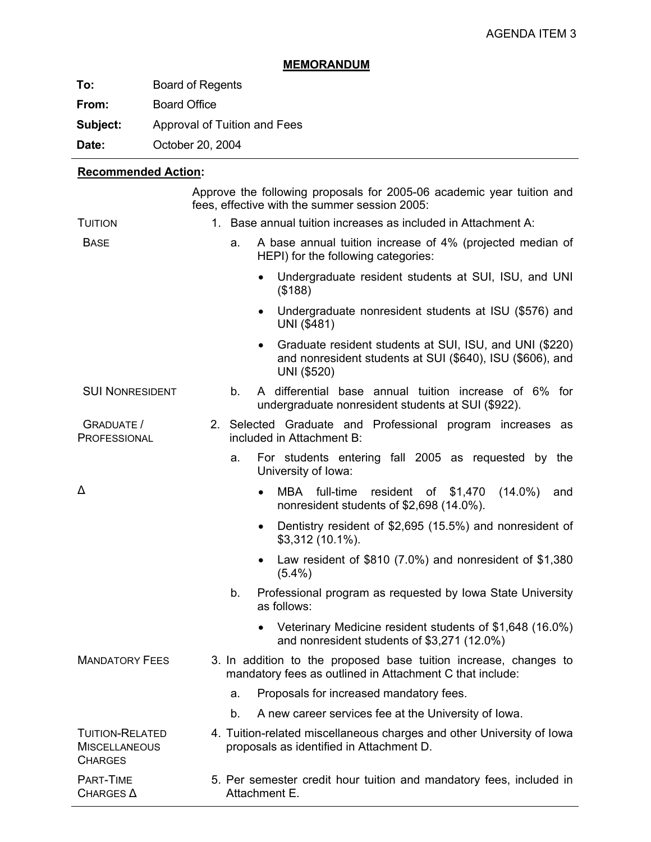**MEMORANDUM**

**To:** Board of Regents

From: **Board Office** 

**Subject:** Approval of Tuition and Fees

**Date: October 20, 2004** 

# **Recommended Action:**

|                                                                  |    | Approve the following proposals for 2005-06 academic year tuition and<br>fees, effective with the summer session 2005:                           |
|------------------------------------------------------------------|----|--------------------------------------------------------------------------------------------------------------------------------------------------|
| <b>TUITION</b>                                                   |    | 1. Base annual tuition increases as included in Attachment A:                                                                                    |
| <b>BASE</b>                                                      | a. | A base annual tuition increase of 4% (projected median of<br>HEPI) for the following categories:                                                 |
|                                                                  |    | Undergraduate resident students at SUI, ISU, and UNI<br>$\bullet$<br>(\$188)                                                                     |
|                                                                  |    | Undergraduate nonresident students at ISU (\$576) and<br>$\bullet$<br>UNI (\$481)                                                                |
|                                                                  |    | Graduate resident students at SUI, ISU, and UNI (\$220)<br>$\bullet$<br>and nonresident students at SUI (\$640), ISU (\$606), and<br>UNI (\$520) |
| <b>SUI NONRESIDENT</b>                                           | b. | A differential base annual tuition increase of 6% for<br>undergraduate nonresident students at SUI (\$922).                                      |
| <b>GRADUATE /</b><br>PROFESSIONAL                                |    | 2. Selected Graduate and Professional program increases as<br>included in Attachment B:                                                          |
|                                                                  | a. | For students entering fall 2005 as requested by the<br>University of Iowa:                                                                       |
| Δ                                                                |    | MBA<br>resident of \$1,470<br>full-time<br>$(14.0\%)$<br>and<br>$\bullet$<br>nonresident students of \$2,698 (14.0%).                            |
|                                                                  |    | Dentistry resident of \$2,695 (15.5%) and nonresident of<br>$\bullet$<br>\$3,312 (10.1%).                                                        |
|                                                                  |    | Law resident of $$810$ (7.0%) and nonresident of $$1,380$<br>$(5.4\%)$                                                                           |
|                                                                  | b. | Professional program as requested by Iowa State University<br>as follows:                                                                        |
|                                                                  |    | Veterinary Medicine resident students of \$1,648 (16.0%)<br>$\bullet$<br>and nonresident students of \$3,271 (12.0%)                             |
| <b>MANDATORY FEES</b>                                            |    | 3. In addition to the proposed base tuition increase, changes to<br>mandatory fees as outlined in Attachment C that include:                     |
|                                                                  | a. | Proposals for increased mandatory fees.                                                                                                          |
|                                                                  | b. | A new career services fee at the University of Iowa.                                                                                             |
| <b>TUITION-RELATED</b><br><b>MISCELLANEOUS</b><br><b>CHARGES</b> |    | 4. Tuition-related miscellaneous charges and other University of Iowa<br>proposals as identified in Attachment D.                                |
| PART-TIME<br>CHARGES A                                           |    | 5. Per semester credit hour tuition and mandatory fees, included in<br>Attachment E.                                                             |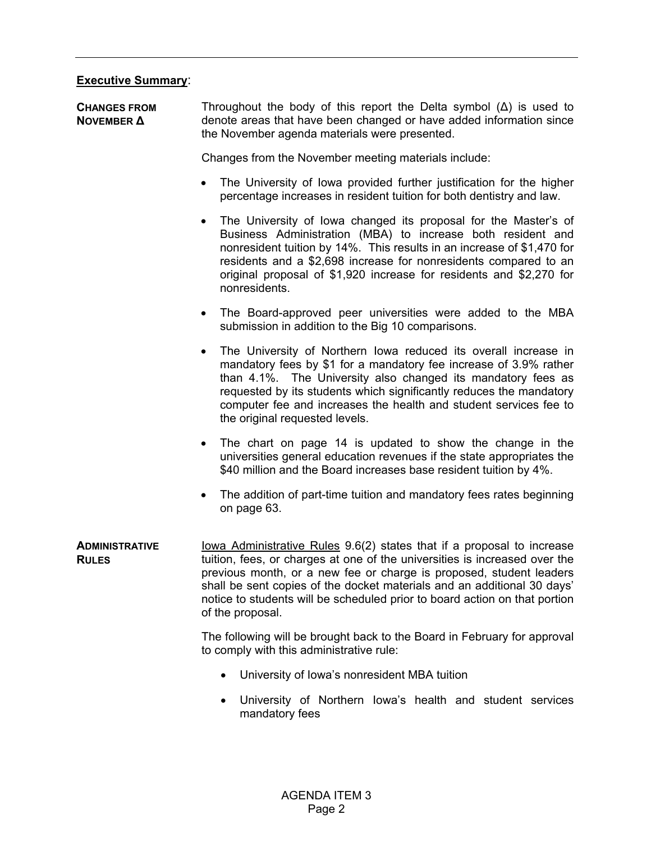#### **Executive Summary**:

**CHANGES FROM NOVEMBER ∆** Throughout the body of this report the Delta symbol  $(\Delta)$  is used to denote areas that have been changed or have added information since the November agenda materials were presented.

Changes from the November meeting materials include:

- The University of Iowa provided further justification for the higher percentage increases in resident tuition for both dentistry and law.
- The University of Iowa changed its proposal for the Master's of Business Administration (MBA) to increase both resident and nonresident tuition by 14%. This results in an increase of \$1,470 for residents and a \$2,698 increase for nonresidents compared to an original proposal of \$1,920 increase for residents and \$2,270 for nonresidents.
- The Board-approved peer universities were added to the MBA submission in addition to the Big 10 comparisons.
- The University of Northern Iowa reduced its overall increase in mandatory fees by \$1 for a mandatory fee increase of 3.9% rather than 4.1%. The University also changed its mandatory fees as requested by its students which significantly reduces the mandatory computer fee and increases the health and student services fee to the original requested levels.
- The chart on page 14 is updated to show the change in the universities general education revenues if the state appropriates the \$40 million and the Board increases base resident tuition by 4%.
- The addition of part-time tuition and mandatory fees rates beginning on page 63.
- **ADMINISTRATIVE RULES** lowa Administrative Rules 9.6(2) states that if a proposal to increase tuition, fees, or charges at one of the universities is increased over the previous month, or a new fee or charge is proposed, student leaders shall be sent copies of the docket materials and an additional 30 days' notice to students will be scheduled prior to board action on that portion of the proposal.

The following will be brought back to the Board in February for approval to comply with this administrative rule:

- University of Iowa's nonresident MBA tuition
- University of Northern Iowa's health and student services mandatory fees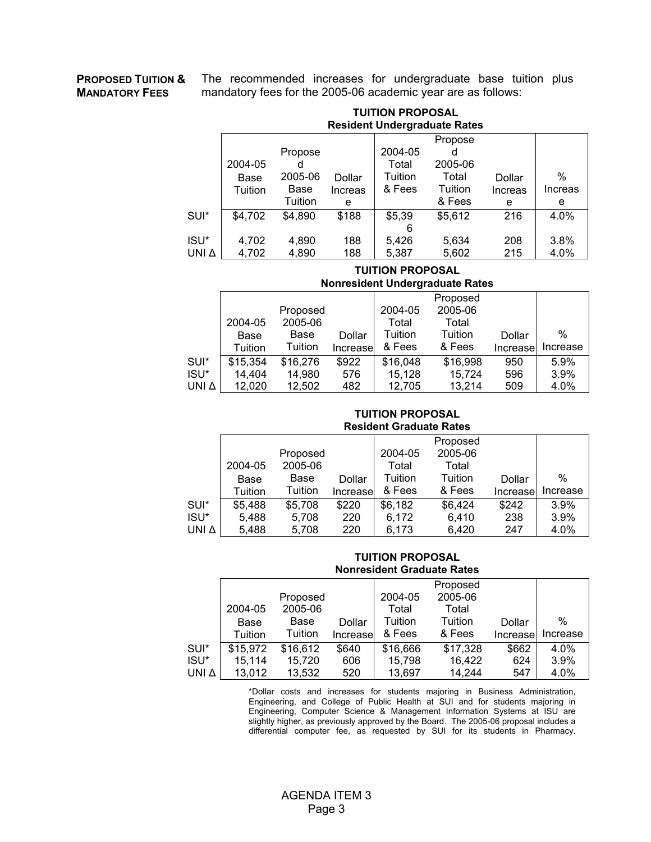#### **PROPOSED TUITION & MANDATORY FEES**

The recommended increases for undergraduate base tuition plus mandatory fees for the 2005-06 academic year are as follows:

|                  | <b>TUITION PROPOSAL</b><br><b>Resident Undergraduate Rates</b> |         |         |         |         |         |         |
|------------------|----------------------------------------------------------------|---------|---------|---------|---------|---------|---------|
|                  |                                                                |         |         |         | Propose |         |         |
|                  |                                                                | Propose |         | 2004-05 | d       |         |         |
|                  | 2004-05                                                        | d       |         | Total   | 2005-06 |         |         |
|                  | Base                                                           | 2005-06 | Dollar  | Tuition | Total   | Dollar  | %       |
|                  | Tuition                                                        | Base    | Increas | & Fees  | Tuition | Increas | Increas |
|                  |                                                                | Tuition | e       |         | & Fees  | e       | e       |
| SUI*             | \$4,702                                                        | \$4,890 | \$188   | \$5,39  | \$5,612 | 216     | 4.0%    |
|                  |                                                                |         |         | 6       |         |         |         |
| ISU <sup>*</sup> | 4,702                                                          | 4,890   | 188     | 5,426   | 5,634   | 208     | 3.8%    |
| UNI A            | 4,702                                                          | 4,890   | 188     | 5,387   | 5,602   | 215     | 4.0%    |

# **TUITION PROPOSAL Nonresident Undergraduate Rates**

|                  |          |          |          |          | Proposed |          |          |
|------------------|----------|----------|----------|----------|----------|----------|----------|
|                  |          | Proposed |          | 2004-05  | 2005-06  |          |          |
|                  | 2004-05  | 2005-06  |          | Total    | Total    |          |          |
|                  | Base     | Base     | Dollar   | Tuition  | Tuition  | Dollar   | %        |
|                  | Tuition  | Tuition  | Increase | & Fees   | & Fees   | Increase | Increase |
| SUI*             | \$15,354 | \$16,276 | \$922    | \$16,048 | \$16,998 | 950      | 5.9%     |
| ISU <sup>*</sup> | 14,404   | 14,980   | 576      | 15,128   | 15.724   | 596      | 3.9%     |
| UNI A            | 12,020   | 12,502   | 482      | 12,705   | 13.214   | 509      | 4.0%     |

#### **TUITION PROPOSAL Resident Graduate Rates**

|                  |         |          |          |         | Proposed |                 |          |
|------------------|---------|----------|----------|---------|----------|-----------------|----------|
|                  |         | Proposed |          | 2004-05 | 2005-06  |                 |          |
|                  | 2004-05 | 2005-06  |          | Total   | Total    |                 |          |
|                  | Base    | Base     | Dollar   | Tuition | Tuition  | Dollar          | $\%$     |
|                  | Tuition | Tuition  | Increase | & Fees  | & Fees   | <b>Increase</b> | Increase |
| SUI*             | \$5,488 | \$5,708  | \$220    | \$6,182 | \$6,424  | \$242           | 3.9%     |
| ISU <sup>*</sup> | 5,488   | 5,708    | 220      | 6,172   | 6,410    | 238             | 3.9%     |
| UNI A            | 5,488   | 5,708    | 220      | 6,173   | 6,420    | 247             | 4.0%     |

#### **TUITION PROPOSAL Nonresident Graduate Rates**

|       |          |          |           |          | Proposed |          |          |
|-------|----------|----------|-----------|----------|----------|----------|----------|
|       |          | Proposed |           | 2004-05  | 2005-06  |          |          |
|       | 2004-05  | 2005-06  |           | Total    | Total    |          |          |
|       | Base     | Base     | Dollar    | Tuition  | Tuition  | Dollar   | $\%$     |
|       | Tuition  | Tuition  | Increasel | & Fees   | & Fees   | Increase | Increase |
| SUI*  | \$15,972 | \$16,612 | \$640     | \$16,666 | \$17,328 | \$662    | 4.0%     |
| ISU*  | 15,114   | 15,720   | 606       | 15,798   | 16,422   | 624      | 3.9%     |
| UNI A | 13,012   | 13,532   | 520       | 13,697   | 14,244   | 547      | 4.0%     |

 \*Dollar costs and increases for students majoring in Business Administration, Engineering, and College of Public Health at SUI and for students majoring in Engineering, Computer Science & Management Information Systems at ISU are slightly higher, as previously approved by the Board. The 2005-06 proposal includes a differential computer fee, as requested by SUI for its students in Pharmacy.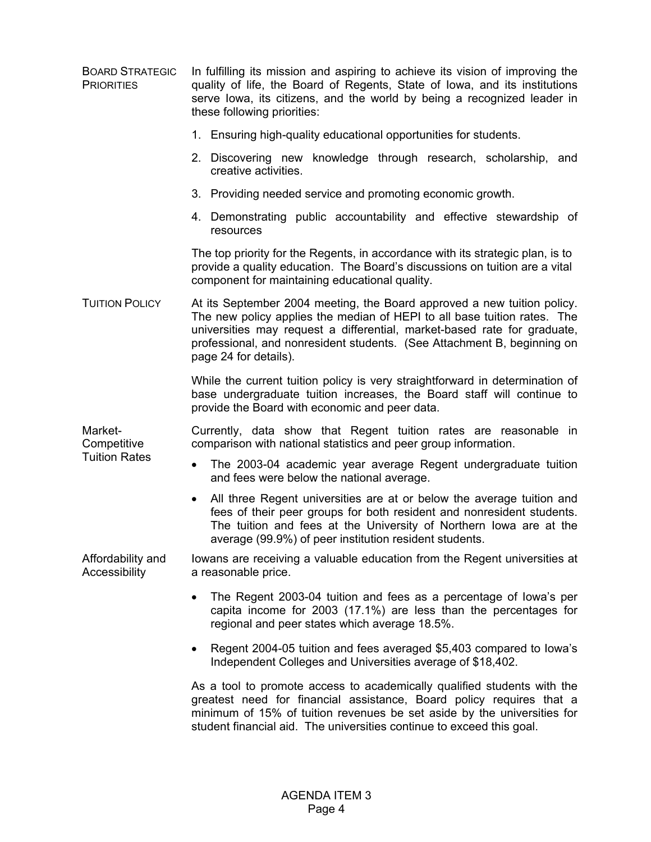BOARD STRATEGIC **PRIORITIES** In fulfilling its mission and aspiring to achieve its vision of improving the quality of life, the Board of Regents, State of Iowa, and its institutions serve Iowa, its citizens, and the world by being a recognized leader in these following priorities:

- 1. Ensuring high-quality educational opportunities for students.
- 2. Discovering new knowledge through research, scholarship, and creative activities.
- 3. Providing needed service and promoting economic growth.
- 4. Demonstrating public accountability and effective stewardship of resources

 The top priority for the Regents, in accordance with its strategic plan, is to provide a quality education. The Board's discussions on tuition are a vital component for maintaining educational quality.

TUITION POLICY At its September 2004 meeting, the Board approved a new tuition policy. The new policy applies the median of HEPI to all base tuition rates. The universities may request a differential, market-based rate for graduate, professional, and nonresident students. (See Attachment B, beginning on page 24 for details).

> While the current tuition policy is very straightforward in determination of base undergraduate tuition increases, the Board staff will continue to provide the Board with economic and peer data.

Market-**Competitive** Tuition Rates Currently, data show that Regent tuition rates are reasonable in comparison with national statistics and peer group information.

- The 2003-04 academic year average Regent undergraduate tuition and fees were below the national average.
- All three Regent universities are at or below the average tuition and fees of their peer groups for both resident and nonresident students. The tuition and fees at the University of Northern Iowa are at the average (99.9%) of peer institution resident students.

Affordability and Accessibility Iowans are receiving a valuable education from the Regent universities at a reasonable price.

- The Regent 2003-04 tuition and fees as a percentage of Iowa's per capita income for 2003 (17.1%) are less than the percentages for regional and peer states which average 18.5%.
- Regent 2004-05 tuition and fees averaged \$5,403 compared to Iowa's Independent Colleges and Universities average of \$18,402.

As a tool to promote access to academically qualified students with the greatest need for financial assistance, Board policy requires that a minimum of 15% of tuition revenues be set aside by the universities for student financial aid. The universities continue to exceed this goal.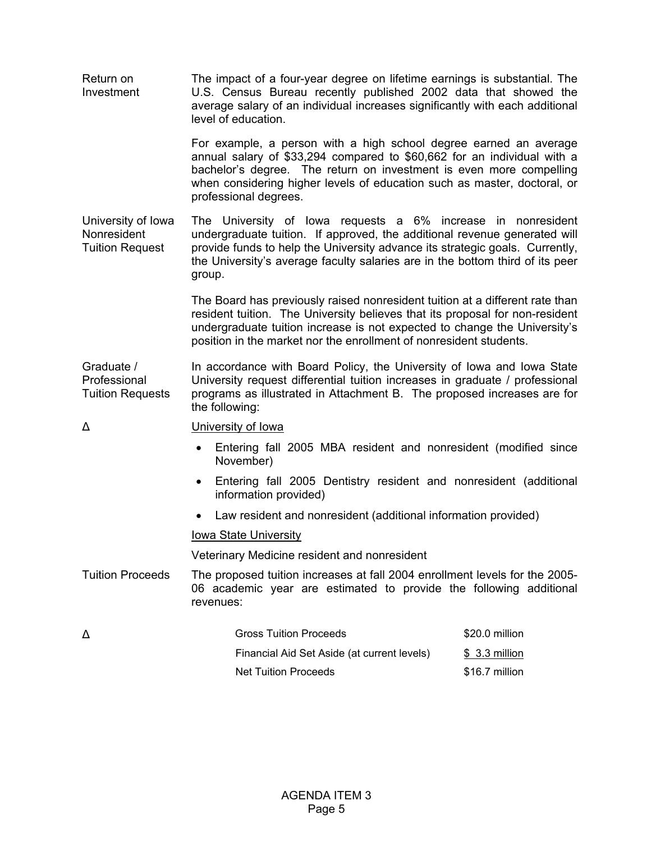Return on Investment The impact of a four-year degree on lifetime earnings is substantial. The U.S. Census Bureau recently published 2002 data that showed the average salary of an individual increases significantly with each additional level of education.

> For example, a person with a high school degree earned an average annual salary of \$33,294 compared to \$60,662 for an individual with a bachelor's degree. The return on investment is even more compelling when considering higher levels of education such as master, doctoral, or professional degrees.

University of Iowa Nonresident Tuition Request The University of Iowa requests a 6% increase in nonresident undergraduate tuition. If approved, the additional revenue generated will provide funds to help the University advance its strategic goals. Currently, the University's average faculty salaries are in the bottom third of its peer group.

> The Board has previously raised nonresident tuition at a different rate than resident tuition. The University believes that its proposal for non-resident undergraduate tuition increase is not expected to change the University's position in the market nor the enrollment of nonresident students.

Graduate / Professional Tuition Requests In accordance with Board Policy, the University of Iowa and Iowa State University request differential tuition increases in graduate / professional programs as illustrated in Attachment B. The proposed increases are for the following:

∆ University of Iowa

- Entering fall 2005 MBA resident and nonresident (modified since November)
- Entering fall 2005 Dentistry resident and nonresident (additional information provided)
- Law resident and nonresident (additional information provided)

#### Iowa State University

Veterinary Medicine resident and nonresident

Tuition Proceeds The proposed tuition increases at fall 2004 enrollment levels for the 2005- 06 academic year are estimated to provide the following additional revenues:

| Δ | <b>Gross Tuition Proceeds</b>               | \$20.0 million |
|---|---------------------------------------------|----------------|
|   | Financial Aid Set Aside (at current levels) | \$ 3.3 million |
|   | Net Tuition Proceeds                        | \$16.7 million |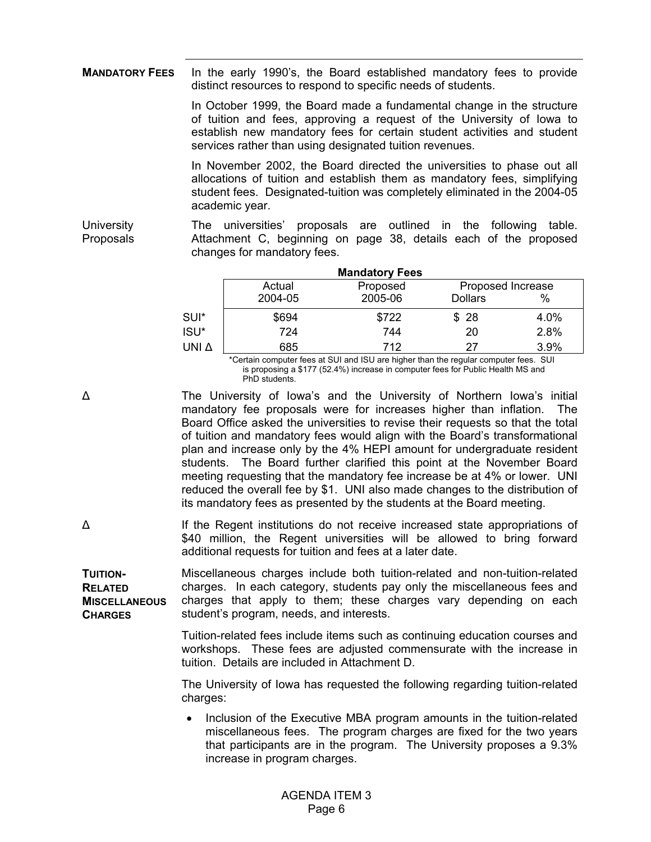**MANDATORY FEES** In the early 1990's, the Board established mandatory fees to provide distinct resources to respond to specific needs of students.

> In October 1999, the Board made a fundamental change in the structure of tuition and fees, approving a request of the University of Iowa to establish new mandatory fees for certain student activities and student services rather than using designated tuition revenues.

> In November 2002, the Board directed the universities to phase out all allocations of tuition and establish them as mandatory fees, simplifying student fees. Designated-tuition was completely eliminated in the 2004-05 academic year.

**University** Proposals The universities' proposals are outlined in the following table. Attachment C, beginning on page 38, details each of the proposed changes for mandatory fees.

| <b>Mandatory Fees</b> |         |          |                   |      |  |  |  |
|-----------------------|---------|----------|-------------------|------|--|--|--|
|                       | Actual  | Proposed | Proposed Increase |      |  |  |  |
|                       | 2004-05 | 2005-06  | <b>Dollars</b>    | $\%$ |  |  |  |
| SUI*                  | \$694   | \$722    | \$ 28             | 4.0% |  |  |  |
| ISU*                  | 724     | 744      | 20                | 2.8% |  |  |  |
| UNI A                 | 685     | 712      | 27                | 3.9% |  |  |  |

\*Certain computer fees at SUI and ISU are higher than the regular computer fees. SUI is proposing a \$177 (52.4%) increase in computer fees for Public Health MS and PhD students.

∆ The University of Iowa's and the University of Northern Iowa's initial mandatory fee proposals were for increases higher than inflation. The Board Office asked the universities to revise their requests so that the total of tuition and mandatory fees would align with the Board's transformational plan and increase only by the 4% HEPI amount for undergraduate resident students. The Board further clarified this point at the November Board meeting requesting that the mandatory fee increase be at 4% or lower. UNI reduced the overall fee by \$1. UNI also made changes to the distribution of its mandatory fees as presented by the students at the Board meeting.

∆ If the Regent institutions do not receive increased state appropriations of \$40 million, the Regent universities will be allowed to bring forward additional requests for tuition and fees at a later date.

**TUITION-RELATED MISCELLANEOUS CHARGES** Miscellaneous charges include both tuition-related and non-tuition-related charges. In each category, students pay only the miscellaneous fees and charges that apply to them; these charges vary depending on each student's program, needs, and interests.

> Tuition-related fees include items such as continuing education courses and workshops. These fees are adjusted commensurate with the increase in tuition. Details are included in Attachment D.

> The University of Iowa has requested the following regarding tuition-related charges:

• Inclusion of the Executive MBA program amounts in the tuition-related miscellaneous fees. The program charges are fixed for the two years that participants are in the program. The University proposes a 9.3% increase in program charges.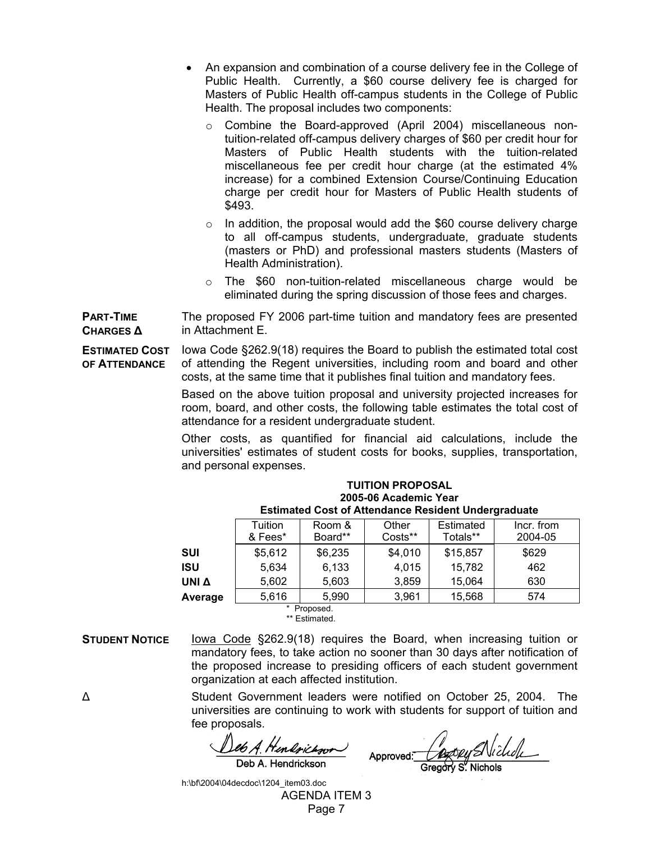- An expansion and combination of a course delivery fee in the College of Public Health. Currently, a \$60 course delivery fee is charged for Masters of Public Health off-campus students in the College of Public Health. The proposal includes two components:
	- $\circ$  Combine the Board-approved (April 2004) miscellaneous nontuition-related off-campus delivery charges of \$60 per credit hour for Masters of Public Health students with the tuition-related miscellaneous fee per credit hour charge (at the estimated 4% increase) for a combined Extension Course/Continuing Education charge per credit hour for Masters of Public Health students of \$493.
	- $\circ$  In addition, the proposal would add the \$60 course delivery charge to all off-campus students, undergraduate, graduate students (masters or PhD) and professional masters students (Masters of Health Administration).
	- o The \$60 non-tuition-related miscellaneous charge would be eliminated during the spring discussion of those fees and charges.

**PART-TIME CHARGES ∆** The proposed FY 2006 part-time tuition and mandatory fees are presented in Attachment E.

**ESTIMATED COST OF ATTENDANCE** Iowa Code §262.9(18) requires the Board to publish the estimated total cost of attending the Regent universities, including room and board and other costs, at the same time that it publishes final tuition and mandatory fees.

> Based on the above tuition proposal and university projected increases for room, board, and other costs, the following table estimates the total cost of attendance for a resident undergraduate student.

> Other costs, as quantified for financial aid calculations, include the universities' estimates of student costs for books, supplies, transportation, and personal expenses.

|                      | Loundred Obot of Attornative Regident Ondergraduate |                   |                  |                       |                       |  |  |  |
|----------------------|-----------------------------------------------------|-------------------|------------------|-----------------------|-----------------------|--|--|--|
|                      | Tuition<br>& Fees*                                  | Room &<br>Board** | Other<br>Costs** | Estimated<br>Totals** | Incr. from<br>2004-05 |  |  |  |
|                      |                                                     |                   |                  |                       |                       |  |  |  |
| <b>SUI</b>           | \$5,612                                             | \$6,235           | \$4,010          | \$15,857              | \$629                 |  |  |  |
| <b>ISU</b>           | 5,634                                               | 6,133             | 4,015            | 15,782                | 462                   |  |  |  |
| UNI A                | 5,602                                               | 5,603             | 3,859            | 15,064                | 630                   |  |  |  |
| Average              | 5,616                                               | 5,990             | 3,961            | 15,568                | 574                   |  |  |  |
| $\star$<br>Proposed. |                                                     |                   |                  |                       |                       |  |  |  |

| <b>TUITION PROPOSAL</b>                             |
|-----------------------------------------------------|
| 2005-06 Academic Year                               |
| Estimated Cost of Attendance Resident Undergraduate |

\*\* Estimated.

**STUDENT NOTICE** Iowa Code §262.9(18) requires the Board, when increasing tuition or mandatory fees, to take action no sooner than 30 days after notification of the proposed increase to presiding officers of each student government organization at each affected institution.

∆ Student Government leaders were notified on October 25, 2004. The universities are continuing to work with students for support of tuition and fee proposals.

A. Hendrichson

Approved: Cogopy SNichol

Deb A. Hendrickson

Gregory S. Nichols

AGENDA ITEM 3 Page 7 h:\bf\2004\04decdoc\1204\_item03.doc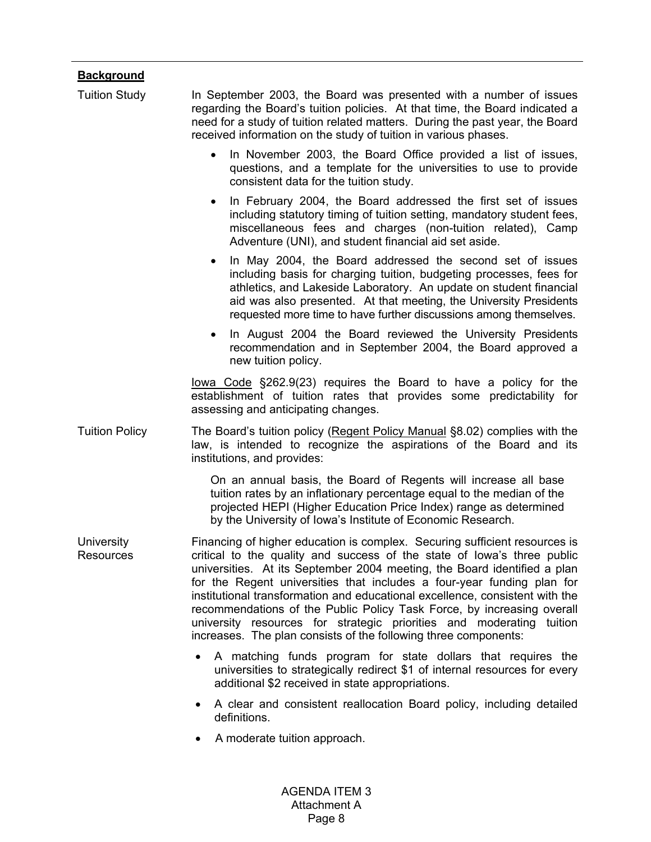# **Background**

| <b>Tuition Study</b>           | In September 2003, the Board was presented with a number of issues<br>regarding the Board's tuition policies. At that time, the Board indicated a<br>need for a study of tuition related matters. During the past year, the Board<br>received information on the study of tuition in various phases.                                                                                                                                                                                                                                                                                                                |  |  |  |  |
|--------------------------------|---------------------------------------------------------------------------------------------------------------------------------------------------------------------------------------------------------------------------------------------------------------------------------------------------------------------------------------------------------------------------------------------------------------------------------------------------------------------------------------------------------------------------------------------------------------------------------------------------------------------|--|--|--|--|
|                                | In November 2003, the Board Office provided a list of issues,<br>$\bullet$<br>questions, and a template for the universities to use to provide<br>consistent data for the tuition study.                                                                                                                                                                                                                                                                                                                                                                                                                            |  |  |  |  |
|                                | In February 2004, the Board addressed the first set of issues<br>$\bullet$<br>including statutory timing of tuition setting, mandatory student fees,<br>miscellaneous fees and charges (non-tuition related), Camp<br>Adventure (UNI), and student financial aid set aside.                                                                                                                                                                                                                                                                                                                                         |  |  |  |  |
|                                | In May 2004, the Board addressed the second set of issues<br>$\bullet$<br>including basis for charging tuition, budgeting processes, fees for<br>athletics, and Lakeside Laboratory. An update on student financial<br>aid was also presented. At that meeting, the University Presidents<br>requested more time to have further discussions among themselves.                                                                                                                                                                                                                                                      |  |  |  |  |
|                                | In August 2004 the Board reviewed the University Presidents<br>$\bullet$<br>recommendation and in September 2004, the Board approved a<br>new tuition policy.                                                                                                                                                                                                                                                                                                                                                                                                                                                       |  |  |  |  |
|                                | lowa Code §262.9(23) requires the Board to have a policy for the<br>establishment of tuition rates that provides some predictability for<br>assessing and anticipating changes.                                                                                                                                                                                                                                                                                                                                                                                                                                     |  |  |  |  |
| <b>Tuition Policy</b>          | The Board's tuition policy (Regent Policy Manual §8.02) complies with the<br>law, is intended to recognize the aspirations of the Board and its<br>institutions, and provides:                                                                                                                                                                                                                                                                                                                                                                                                                                      |  |  |  |  |
|                                | On an annual basis, the Board of Regents will increase all base<br>tuition rates by an inflationary percentage equal to the median of the<br>projected HEPI (Higher Education Price Index) range as determined<br>by the University of Iowa's Institute of Economic Research.                                                                                                                                                                                                                                                                                                                                       |  |  |  |  |
| University<br><b>Resources</b> | Financing of higher education is complex. Securing sufficient resources is<br>critical to the quality and success of the state of lowa's three public<br>universities. At its September 2004 meeting, the Board identified a plan<br>for the Regent universities that includes a four-year funding plan for<br>institutional transformation and educational excellence, consistent with the<br>recommendations of the Public Policy Task Force, by increasing overall<br>university resources for strategic priorities and moderating<br>tuition<br>increases. The plan consists of the following three components: |  |  |  |  |
|                                | A matching funds program for state dollars that requires the<br>universities to strategically redirect \$1 of internal resources for every<br>additional \$2 received in state appropriations.                                                                                                                                                                                                                                                                                                                                                                                                                      |  |  |  |  |

- A clear and consistent reallocation Board policy, including detailed definitions.
- A moderate tuition approach.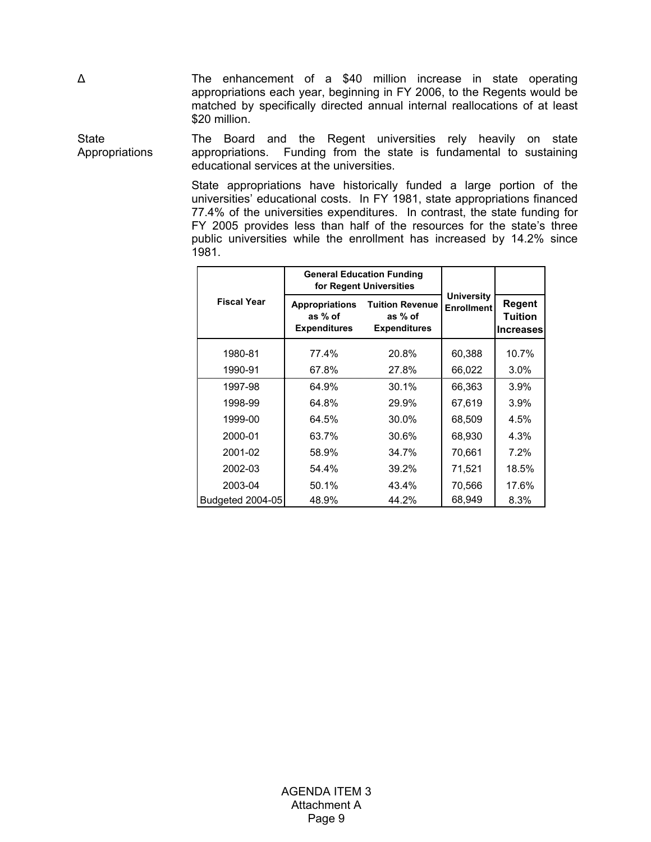∆ The enhancement of a \$40 million increase in state operating appropriations each year, beginning in FY 2006, to the Regents would be matched by specifically directed annual internal reallocations of at least \$20 million.

**State** Appropriations The Board and the Regent universities rely heavily on state appropriations. Funding from the state is fundamental to sustaining educational services at the universities.

> State appropriations have historically funded a large portion of the universities' educational costs. In FY 1981, state appropriations financed 77.4% of the universities expenditures. In contrast, the state funding for FY 2005 provides less than half of the resources for the state's three public universities while the enrollment has increased by 14.2% since 1981.

|                    |                                                                                                                     | <b>General Education Funding</b><br>for Regent Universities |                                        |                                                     |
|--------------------|---------------------------------------------------------------------------------------------------------------------|-------------------------------------------------------------|----------------------------------------|-----------------------------------------------------|
| <b>Fiscal Year</b> | <b>Tuition Revenue</b><br><b>Appropriations</b><br>as % of<br>as % of<br><b>Expenditures</b><br><b>Expenditures</b> |                                                             | <b>University</b><br><b>Enrollment</b> | <b>Regent</b><br><b>Tuition</b><br><b>Increases</b> |
| 1980-81            | 77.4%                                                                                                               | 20.8%                                                       | 60,388                                 | 10.7%                                               |
| 1990-91            | 67.8%                                                                                                               | 27.8%                                                       | 66,022                                 | 3.0%                                                |
| 1997-98            | 64.9%                                                                                                               | 30.1%                                                       | 66,363                                 | 3.9%                                                |
| 1998-99            | 64.8%                                                                                                               | 29.9%                                                       | 67,619                                 | 3.9%                                                |
| 1999-00            | 64.5%                                                                                                               | 30.0%                                                       | 68,509                                 | 4.5%                                                |
| 2000-01            | 63.7%                                                                                                               | 30.6%                                                       | 68,930                                 | 4.3%                                                |
| 2001-02            | 58.9%                                                                                                               | 34.7%                                                       | 70,661                                 | 7.2%                                                |
| 2002-03            | 54.4%                                                                                                               | 39.2%                                                       | 71,521                                 | 18.5%                                               |
| 2003-04            | 50.1%                                                                                                               | 43.4%                                                       | 70,566                                 | 17.6%                                               |
| Budgeted 2004-05   | 48.9%                                                                                                               | 44.2%                                                       | 68,949                                 | 8.3%                                                |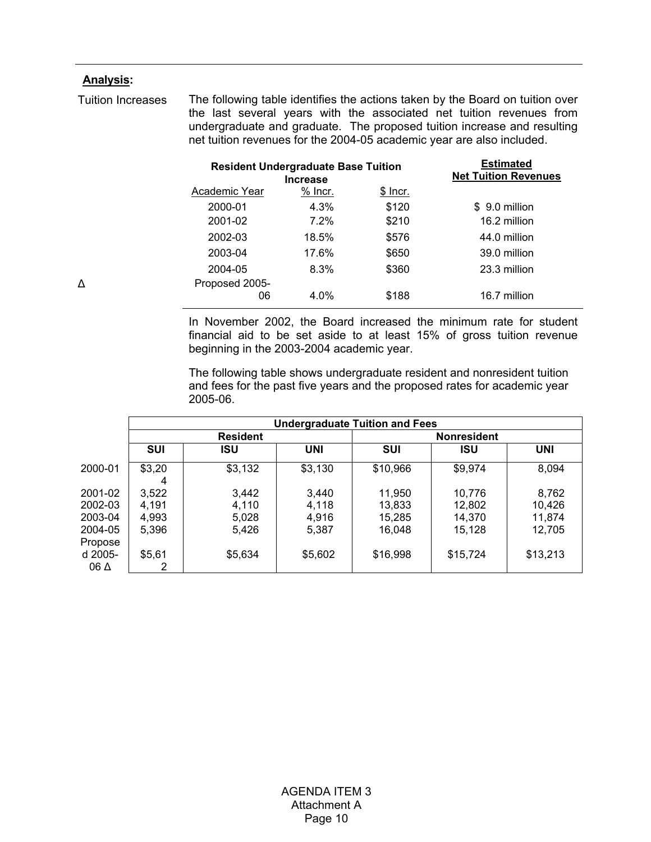#### **Analysis:**

The following table identifies the actions taken by the Board on tuition over the last several years with the associated net tuition revenues from undergraduate and graduate. The proposed tuition increase and resulting net tuition revenues for the 2004-05 academic year are also included. Tuition Increases

|   |                | <b>Resident Undergraduate Base Tuition</b><br><b>Increase</b> |           |               |  |
|---|----------------|---------------------------------------------------------------|-----------|---------------|--|
|   | Academic Year  | $%$ Incr.                                                     | $$$ Incr. |               |  |
|   | 2000-01        | 4.3%                                                          | \$120     | \$9.0 million |  |
|   | 2001-02        | $7.2\%$                                                       | \$210     | 16.2 million  |  |
|   | 2002-03        | 18.5%                                                         | \$576     | 44.0 million  |  |
|   | 2003-04        | 17.6%                                                         | \$650     | 39.0 million  |  |
|   | 2004-05        | 8.3%                                                          | \$360     | 23.3 million  |  |
| Δ | Proposed 2005- |                                                               |           |               |  |
|   | 06             | $4.0\%$                                                       | \$188     | 16.7 million  |  |

In November 2002, the Board increased the minimum rate for student financial aid to be set aside to at least 15% of gross tuition revenue beginning in the 2003-2004 academic year.

The following table shows undergraduate resident and nonresident tuition and fees for the past five years and the proposed rates for academic year 2005-06.

|                         | <b>Undergraduate Tuition and Fees</b> |                 |            |                    |            |            |  |  |  |
|-------------------------|---------------------------------------|-----------------|------------|--------------------|------------|------------|--|--|--|
|                         |                                       | <b>Resident</b> |            | <b>Nonresident</b> |            |            |  |  |  |
|                         | <b>SUI</b>                            | <b>ISU</b>      | <b>UNI</b> | <b>SUI</b>         | <b>ISU</b> | <b>UNI</b> |  |  |  |
| 2000-01                 | \$3,20<br>4                           | \$3,132         | \$3,130    | \$10,966           | \$9,974    | 8,094      |  |  |  |
| 2001-02                 | 3,522                                 | 3,442           | 3,440      | 11,950             | 10,776     | 8,762      |  |  |  |
| 2002-03                 | 4,191                                 | 4,110           | 4,118      | 13,833             | 12,802     | 10,426     |  |  |  |
| 2003-04                 | 4,993                                 | 5,028           | 4,916      | 15,285             | 14,370     | 11,874     |  |  |  |
| 2004-05<br>Propose      | 5,396                                 | 5,426           | 5,387      | 16,048             | 15,128     | 12,705     |  |  |  |
| d 2005-<br>$06\,\Delta$ | \$5,61<br>2                           | \$5,634         | \$5,602    | \$16,998           | \$15,724   | \$13,213   |  |  |  |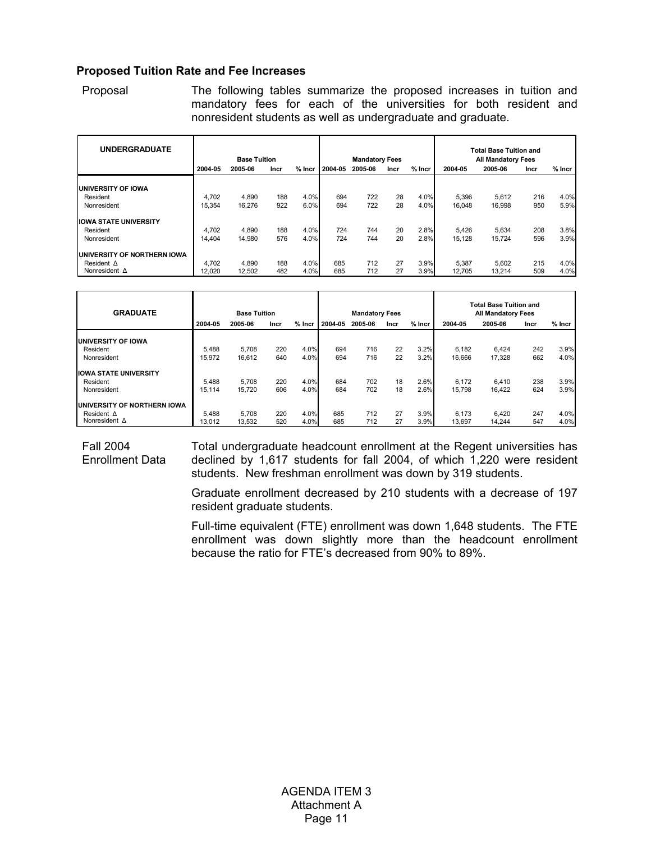#### **Proposed Tuition Rate and Fee Increases**

Proposal The following tables summarize the proposed increases in tuition and mandatory fees for each of the universities for both resident and nonresident students as well as undergraduate and graduate.

| <b>UNDERGRADUATE</b><br><b>Base Tuition</b> |                 |                 | <b>Mandatory Fees</b> |              |            | <b>Total Base Tuition and</b><br><b>All Mandatory Fees</b> |          |              |                 |                 |            |              |
|---------------------------------------------|-----------------|-----------------|-----------------------|--------------|------------|------------------------------------------------------------|----------|--------------|-----------------|-----------------|------------|--------------|
|                                             | 2004-05         | 2005-06         | Incr                  | $%$ Incr     | 2004-05    | 2005-06                                                    | Incr     | $%$ Incr     | 2004-05         | 2005-06         | Incr       | $%$ Incr     |
| <b>UNIVERSITY OF IOWA</b>                   |                 |                 |                       |              |            |                                                            |          |              |                 |                 |            |              |
| Resident<br>Nonresident                     | 4.702<br>15.354 | 4.890<br>16.276 | 188<br>922            | 4.0%<br>6.0% | 694<br>694 | 722<br>722                                                 | 28<br>28 | 4.0%<br>4.0% | 5.396<br>16.048 | 5.612<br>16.998 | 216<br>950 | 4.0%<br>5.9% |
| <b>IOWA STATE UNIVERSITY</b>                |                 |                 |                       |              |            |                                                            |          |              |                 |                 |            |              |
| Resident<br>Nonresident                     | 4.702<br>14.404 | 4.890<br>14.980 | 188<br>576            | 4.0%<br>4.0% | 724<br>724 | 744<br>744                                                 | 20<br>20 | 2.8%<br>2.8% | 5.426<br>15.128 | 5.634<br>15.724 | 208<br>596 | 3.8%<br>3.9% |
| UNIVERSITY OF NORTHERN IOWA                 |                 |                 |                       |              |            |                                                            |          |              |                 |                 |            |              |
| Resident $\Delta$<br>Nonresident $\Delta$   | 4.702<br>12.020 | 4.890<br>12.502 | 188<br>482            | 4.0%<br>4.0% | 685<br>685 | 712<br>712                                                 | 27<br>27 | 3.9%<br>3.9% | 5.387<br>12.705 | 5.602<br>13,214 | 215<br>509 | 4.0%<br>4.0% |

| <b>GRADUATE</b>                     |         | <b>Base Tuition</b> |      |          |         | <b>Mandatory Fees</b> |      |          |         | Total Base Tuition and<br><b>All Mandatory Fees</b> |      |          |
|-------------------------------------|---------|---------------------|------|----------|---------|-----------------------|------|----------|---------|-----------------------------------------------------|------|----------|
|                                     | 2004-05 | 2005-06             | Incr | $%$ Incr | 2004-05 | 2005-06               | Incr | $%$ Incr | 2004-05 | 2005-06                                             | Incr | $%$ Incr |
| <b>UNIVERSITY OF IOWA</b>           |         |                     |      |          |         |                       |      |          |         |                                                     |      |          |
| Resident                            | 5.488   | 5.708               | 220  | 4.0%     | 694     | 716                   | 22   | 3.2%     | 6.182   | 6,424                                               | 242  | 3.9%     |
| Nonresident                         | 15.972  | 16.612              | 640  | 4.0%     | 694     | 716                   | 22   | 3.2%     | 16.666  | 17,328                                              | 662  | 4.0%     |
| <b>IOWA STATE UNIVERSITY</b>        |         |                     |      |          |         |                       |      |          |         |                                                     |      |          |
| Resident                            | 5.488   | 5.708               | 220  | 4.0%     | 684     | 702                   | 18   | 2.6%     | 6.172   | 6.410                                               | 238  | 3.9%     |
| Nonresident                         | 15.114  | 15.720              | 606  | 4.0%     | 684     | 702                   | 18   | 2.6%     | 15.798  | 16.422                                              | 624  | 3.9%     |
| <b>IUNIVERSITY OF NORTHERN IOWA</b> |         |                     |      |          |         |                       |      |          |         |                                                     |      |          |
| Resident $\Delta$                   | 5,488   | 5.708               | 220  | 4.0%     | 685     | 712                   | 27   | 3.9%     | 6.173   | 6,420                                               | 247  | 4.0%     |
| Nonresident $\Delta$                | 13.012  | 13,532              | 520  | 4.0%     | 685     | 712                   | 27   | 3.9%     | 13.697  | 14.244                                              | 547  | 4.0%     |

Fall 2004 Enrollment Data Total undergraduate headcount enrollment at the Regent universities has declined by 1,617 students for fall 2004, of which 1,220 were resident students. New freshman enrollment was down by 319 students.

Graduate enrollment decreased by 210 students with a decrease of 197 resident graduate students.

Full-time equivalent (FTE) enrollment was down 1,648 students. The FTE enrollment was down slightly more than the headcount enrollment because the ratio for FTE's decreased from 90% to 89%.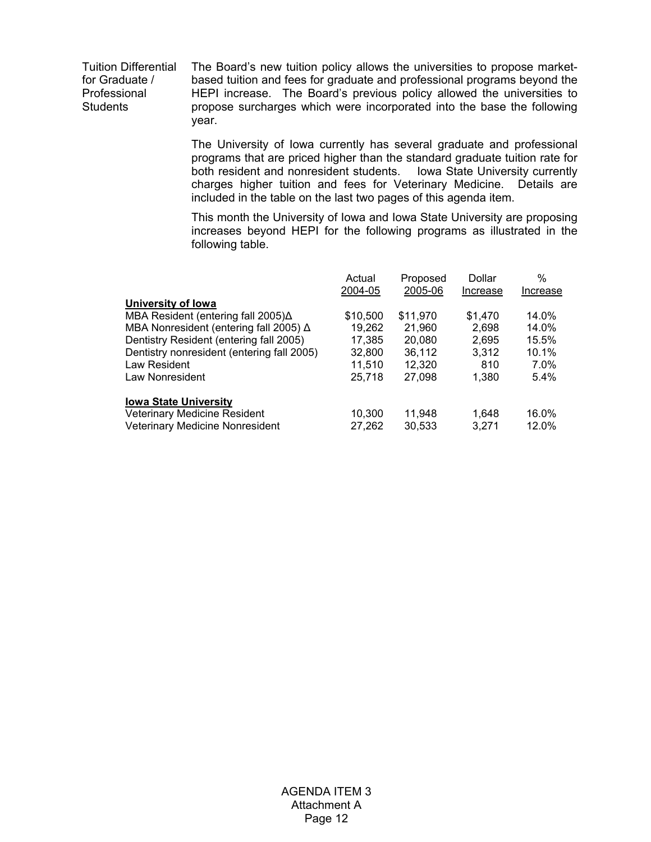Tuition Differential for Graduate / Professional **Students** 

The Board's new tuition policy allows the universities to propose marketbased tuition and fees for graduate and professional programs beyond the HEPI increase. The Board's previous policy allowed the universities to propose surcharges which were incorporated into the base the following year.

The University of Iowa currently has several graduate and professional programs that are priced higher than the standard graduate tuition rate for both resident and nonresident students. Iowa State University currently charges higher tuition and fees for Veterinary Medicine. Details are included in the table on the last two pages of this agenda item.

This month the University of Iowa and Iowa State University are proposing increases beyond HEPI for the following programs as illustrated in the following table.

|                                               | Actual   | Proposed | Dollar   | $\%$     |
|-----------------------------------------------|----------|----------|----------|----------|
|                                               | 2004-05  | 2005-06  | Increase | Increase |
| University of lowa                            |          |          |          |          |
| MBA Resident (entering fall 2005) $\Delta$    | \$10,500 | \$11,970 | \$1.470  | 14.0%    |
| MBA Nonresident (entering fall 2005) $\Delta$ | 19,262   | 21,960   | 2,698    | 14.0%    |
| Dentistry Resident (entering fall 2005)       | 17,385   | 20,080   | 2.695    | 15.5%    |
| Dentistry nonresident (entering fall 2005)    | 32,800   | 36,112   | 3.312    | 10.1%    |
| Law Resident                                  | 11.510   | 12,320   | 810      | $7.0\%$  |
| Law Nonresident                               | 25.718   | 27.098   | 1,380    | 5.4%     |
| <b>Iowa State University</b>                  |          |          |          |          |
| <b>Veterinary Medicine Resident</b>           | 10,300   | 11,948   | 1.648    | 16.0%    |
| <b>Veterinary Medicine Nonresident</b>        | 27.262   | 30,533   | 3.271    | 12.0%    |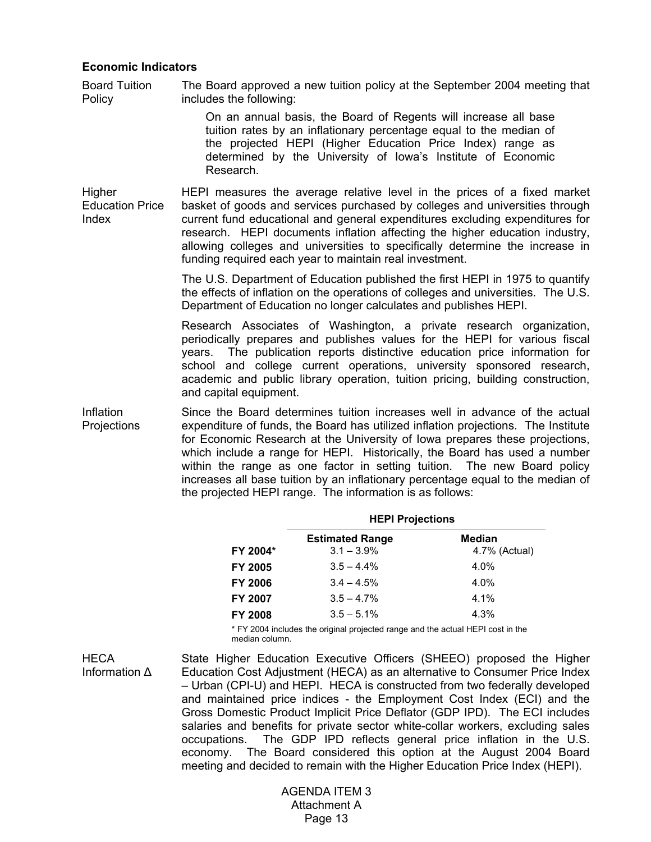#### **Economic Indicators**

Board Tuition Policy The Board approved a new tuition policy at the September 2004 meeting that includes the following:

> On an annual basis, the Board of Regents will increase all base tuition rates by an inflationary percentage equal to the median of the projected HEPI (Higher Education Price Index) range as determined by the University of Iowa's Institute of Economic Research.

Higher Education Price Index HEPI measures the average relative level in the prices of a fixed market basket of goods and services purchased by colleges and universities through current fund educational and general expenditures excluding expenditures for research. HEPI documents inflation affecting the higher education industry, allowing colleges and universities to specifically determine the increase in funding required each year to maintain real investment.

> The U.S. Department of Education published the first HEPI in 1975 to quantify the effects of inflation on the operations of colleges and universities. The U.S. Department of Education no longer calculates and publishes HEPI.

> Research Associates of Washington, a private research organization, periodically prepares and publishes values for the HEPI for various fiscal years. The publication reports distinctive education price information for school and college current operations, university sponsored research, academic and public library operation, tuition pricing, building construction, and capital equipment.

Inflation **Projections** Since the Board determines tuition increases well in advance of the actual expenditure of funds, the Board has utilized inflation projections. The Institute for Economic Research at the University of Iowa prepares these projections, which include a range for HEPI. Historically, the Board has used a number within the range as one factor in setting tuition. The new Board policy increases all base tuition by an inflationary percentage equal to the median of the projected HEPI range. The information is as follows:

|                | <b>HEPI Projections</b> |               |  |  |  |
|----------------|-------------------------|---------------|--|--|--|
|                | <b>Estimated Range</b>  | <b>Median</b> |  |  |  |
| FY 2004*       | $3.1 - 3.9\%$           | 4.7% (Actual) |  |  |  |
| <b>FY 2005</b> | $3.5 - 4.4\%$           | 4.0%          |  |  |  |
| <b>FY 2006</b> | $3.4 - 4.5%$            | $4.0\%$       |  |  |  |
| FY 2007        | $3.5 - 4.7\%$           | 4.1%          |  |  |  |
| <b>FY 2008</b> | $3.5 - 5.1\%$           | 4.3%          |  |  |  |

\* FY 2004 includes the original projected range and the actual HEPI cost in the median column.

**HFCA** Information ∆ State Higher Education Executive Officers (SHEEO) proposed the Higher Education Cost Adjustment (HECA) as an alternative to Consumer Price Index – Urban (CPI-U) and HEPI. HECA is constructed from two federally developed and maintained price indices - the Employment Cost Index (ECI) and the Gross Domestic Product Implicit Price Deflator (GDP IPD). The ECI includes salaries and benefits for private sector white-collar workers, excluding sales occupations. The GDP IPD reflects general price inflation in the U.S. economy. The Board considered this option at the August 2004 Board meeting and decided to remain with the Higher Education Price Index (HEPI).

#### AGENDA ITEM 3 Attachment A Page 13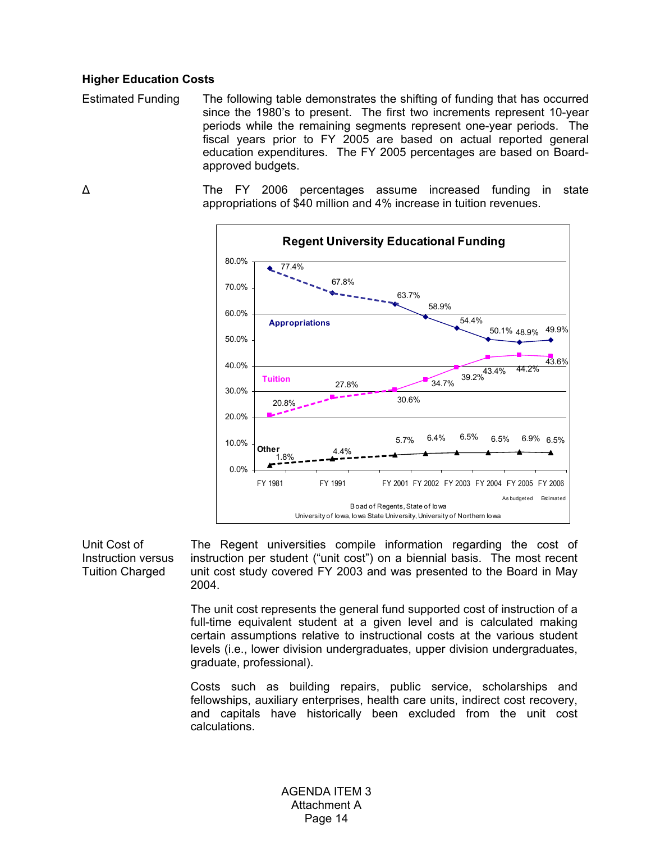# **Higher Education Costs**

Estimated Funding The following table demonstrates the shifting of funding that has occurred since the 1980's to present. The first two increments represent 10-year periods while the remaining segments represent one-year periods. The fiscal years prior to FY 2005 are based on actual reported general education expenditures. The FY 2005 percentages are based on Boardapproved budgets.

∆ The FY 2006 percentages assume increased funding in state appropriations of \$40 million and 4% increase in tuition revenues.



Unit Cost of Instruction versus Tuition Charged

The Regent universities compile information regarding the cost of instruction per student ("unit cost") on a biennial basis. The most recent unit cost study covered FY 2003 and was presented to the Board in May 2004.

The unit cost represents the general fund supported cost of instruction of a full-time equivalent student at a given level and is calculated making certain assumptions relative to instructional costs at the various student levels (i.e., lower division undergraduates, upper division undergraduates, graduate, professional).

Costs such as building repairs, public service, scholarships and fellowships, auxiliary enterprises, health care units, indirect cost recovery, and capitals have historically been excluded from the unit cost calculations.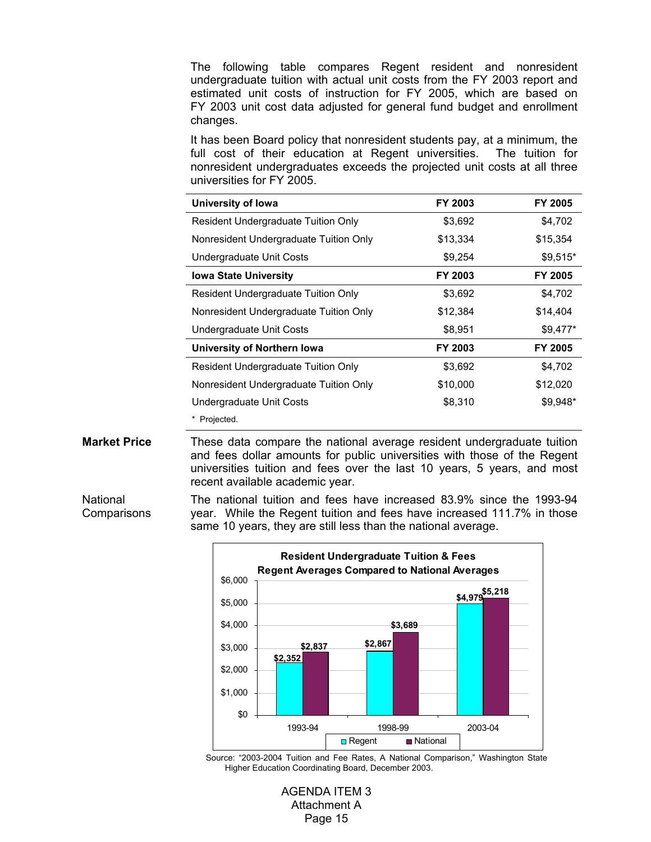The following table compares Regent resident and nonresident undergraduate tuition with actual unit costs from the FY 2003 report and estimated unit costs of instruction for FY 2005, which are based on FY 2003 unit cost data adjusted for general fund budget and enrollment changes.

It has been Board policy that nonresident students pay, at a minimum, the full cost of their education at Regent universities. The tuition for nonresident undergraduates exceeds the projected unit costs at all three universities for FY 2005.

| University of Iowa                         | FY 2003  | <b>FY 2005</b> |
|--------------------------------------------|----------|----------------|
| <b>Resident Undergraduate Tuition Only</b> | \$3,692  | \$4,702        |
| Nonresident Undergraduate Tuition Only     | \$13,334 | \$15,354       |
| Undergraduate Unit Costs                   | \$9,254  | $$9,515$ *     |
| <b>Iowa State University</b>               | FY 2003  | <b>FY 2005</b> |
| Resident Undergraduate Tuition Only        | \$3,692  | \$4,702        |
| Nonresident Undergraduate Tuition Only     | \$12,384 | \$14,404       |
| Undergraduate Unit Costs                   | \$8,951  | $$9,477*$      |
| University of Northern Iowa                | FY 2003  | <b>FY 2005</b> |
| Resident Undergraduate Tuition Only        | \$3,692  | \$4,702        |
| Nonresident Undergraduate Tuition Only     | \$10,000 | \$12,020       |
| Undergraduate Unit Costs                   | \$8,310  | $$9,948$ *     |
| * Projected.                               |          |                |

**Market Price** These data compare the national average resident undergraduate tuition and fees dollar amounts for public universities with those of the Regent universities tuition and fees over the last 10 years, 5 years, and most recent available academic year.

National **Comparisons** 

The national tuition and fees have increased 83.9% since the 1993-94 year. While the Regent tuition and fees have increased 111.7% in those same 10 years, they are still less than the national average.



Source: "2003-2004 Tuition and Fee Rates, A National Comparison," Washington State Higher Education Coordinating Board, December 2003.

> AGENDA ITEM 3 Attachment A Page 15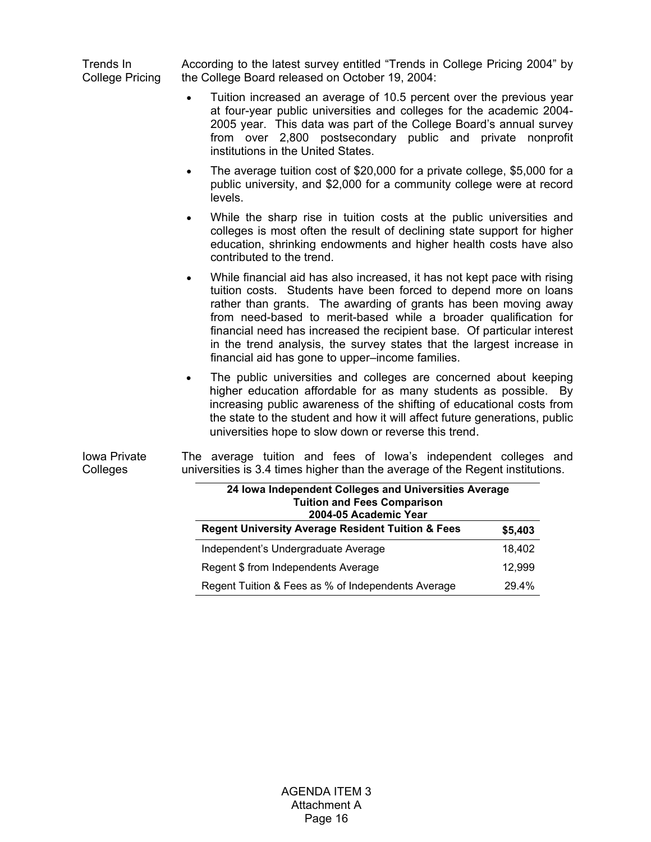Trends In College Pricing According to the latest survey entitled "Trends in College Pricing 2004" by the College Board released on October 19, 2004:

- Tuition increased an average of 10.5 percent over the previous year at four-year public universities and colleges for the academic 2004- 2005 year. This data was part of the College Board's annual survey from over 2,800 postsecondary public and private nonprofit institutions in the United States.
- The average tuition cost of \$20,000 for a private college, \$5,000 for a public university, and \$2,000 for a community college were at record levels.
- While the sharp rise in tuition costs at the public universities and colleges is most often the result of declining state support for higher education, shrinking endowments and higher health costs have also contributed to the trend.
- While financial aid has also increased, it has not kept pace with rising tuition costs. Students have been forced to depend more on loans rather than grants. The awarding of grants has been moving away from need-based to merit-based while a broader qualification for financial need has increased the recipient base. Of particular interest in the trend analysis, the survey states that the largest increase in financial aid has gone to upper–income families.
- The public universities and colleges are concerned about keeping higher education affordable for as many students as possible. By increasing public awareness of the shifting of educational costs from the state to the student and how it will affect future generations, public universities hope to slow down or reverse this trend.

Iowa Private **Colleges** The average tuition and fees of Iowa's independent colleges and universities is 3.4 times higher than the average of the Regent institutions.

| 24 Iowa Independent Colleges and Universities Average<br><b>Tuition and Fees Comparison</b><br>2004-05 Academic Year |         |  |  |  |  |
|----------------------------------------------------------------------------------------------------------------------|---------|--|--|--|--|
| <b>Regent University Average Resident Tuition &amp; Fees</b>                                                         | \$5,403 |  |  |  |  |
| Independent's Undergraduate Average                                                                                  | 18.402  |  |  |  |  |
| Regent \$ from Independents Average                                                                                  | 12,999  |  |  |  |  |
| Regent Tuition & Fees as % of Independents Average                                                                   | 29.4%   |  |  |  |  |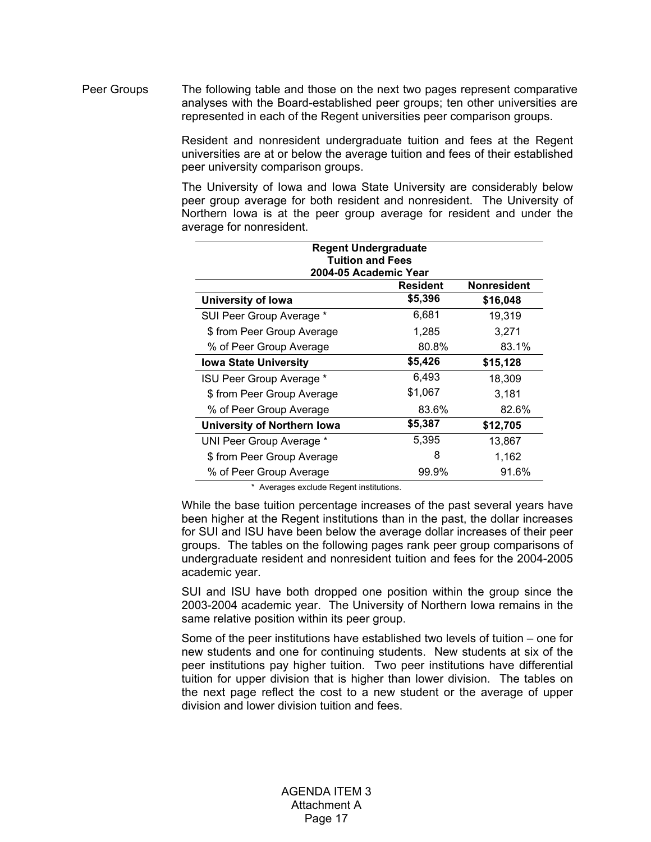Peer Groups The following table and those on the next two pages represent comparative analyses with the Board-established peer groups; ten other universities are represented in each of the Regent universities peer comparison groups.

> Resident and nonresident undergraduate tuition and fees at the Regent universities are at or below the average tuition and fees of their established peer university comparison groups.

> The University of Iowa and Iowa State University are considerably below peer group average for both resident and nonresident. The University of Northern Iowa is at the peer group average for resident and under the average for nonresident.

| <b>Regent Undergraduate</b>  |                 |             |  |  |  |  |  |
|------------------------------|-----------------|-------------|--|--|--|--|--|
| <b>Tuition and Fees</b>      |                 |             |  |  |  |  |  |
| 2004-05 Academic Year        |                 |             |  |  |  |  |  |
|                              | <b>Resident</b> | Nonresident |  |  |  |  |  |
| University of Iowa           | \$5,396         | \$16,048    |  |  |  |  |  |
| SUI Peer Group Average *     | 6,681           | 19,319      |  |  |  |  |  |
| \$ from Peer Group Average   | 1,285           | 3,271       |  |  |  |  |  |
| % of Peer Group Average      | 80.8%           | 83.1%       |  |  |  |  |  |
| <b>Iowa State University</b> | \$5,426         | \$15,128    |  |  |  |  |  |
| ISU Peer Group Average *     | 6,493           | 18,309      |  |  |  |  |  |
| \$ from Peer Group Average   | \$1,067         | 3,181       |  |  |  |  |  |
| % of Peer Group Average      | 83.6%           | 82.6%       |  |  |  |  |  |
| University of Northern Iowa  | \$5,387         | \$12,705    |  |  |  |  |  |
| UNI Peer Group Average *     | 5,395           | 13,867      |  |  |  |  |  |
| \$ from Peer Group Average   | 8               | 1,162       |  |  |  |  |  |
| % of Peer Group Average      | 99.9%           | 91.6%       |  |  |  |  |  |

\* Averages exclude Regent institutions.

 While the base tuition percentage increases of the past several years have been higher at the Regent institutions than in the past, the dollar increases for SUI and ISU have been below the average dollar increases of their peer groups. The tables on the following pages rank peer group comparisons of undergraduate resident and nonresident tuition and fees for the 2004-2005 academic year.

SUI and ISU have both dropped one position within the group since the 2003-2004 academic year. The University of Northern Iowa remains in the same relative position within its peer group.

Some of the peer institutions have established two levels of tuition – one for new students and one for continuing students. New students at six of the peer institutions pay higher tuition. Two peer institutions have differential tuition for upper division that is higher than lower division. The tables on the next page reflect the cost to a new student or the average of upper division and lower division tuition and fees.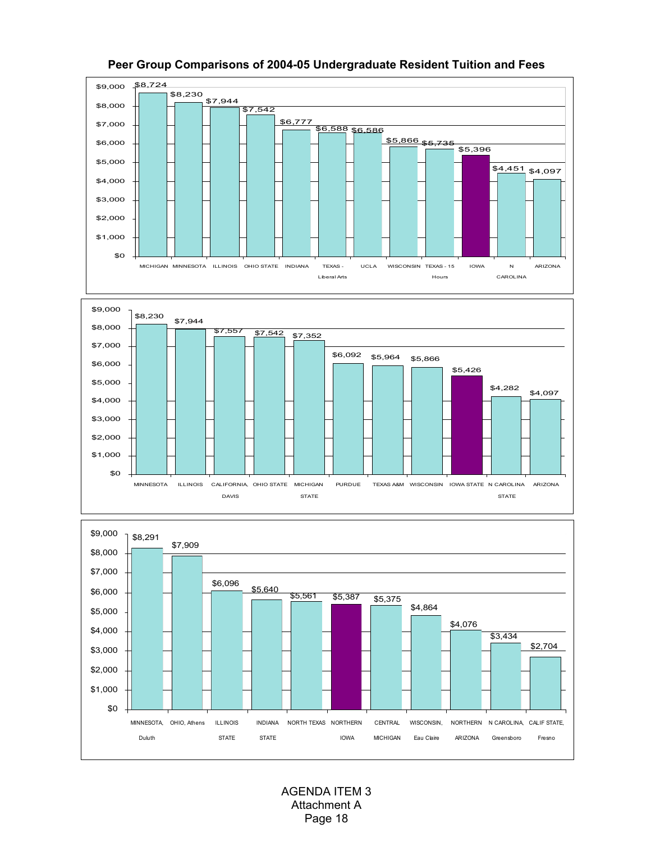

### **Peer Group Comparisons of 2004-05 Undergraduate Resident Tuition and Fees**

AGENDA ITEM 3 Attachment A Page 18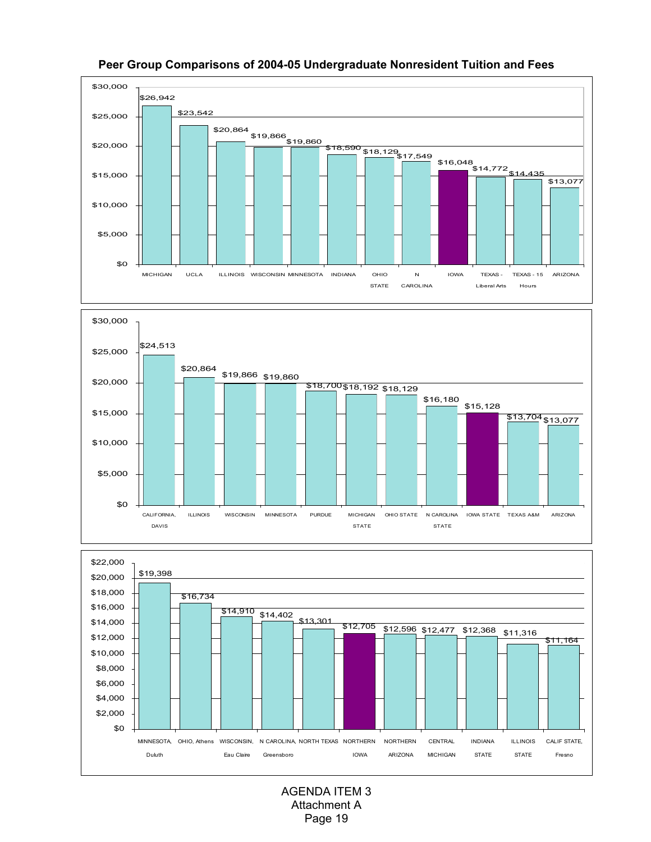# **Peer Group Comparisons of 2004-05 Undergraduate Nonresident Tuition and Fees**







AGENDA ITEM 3 Attachment A Page 19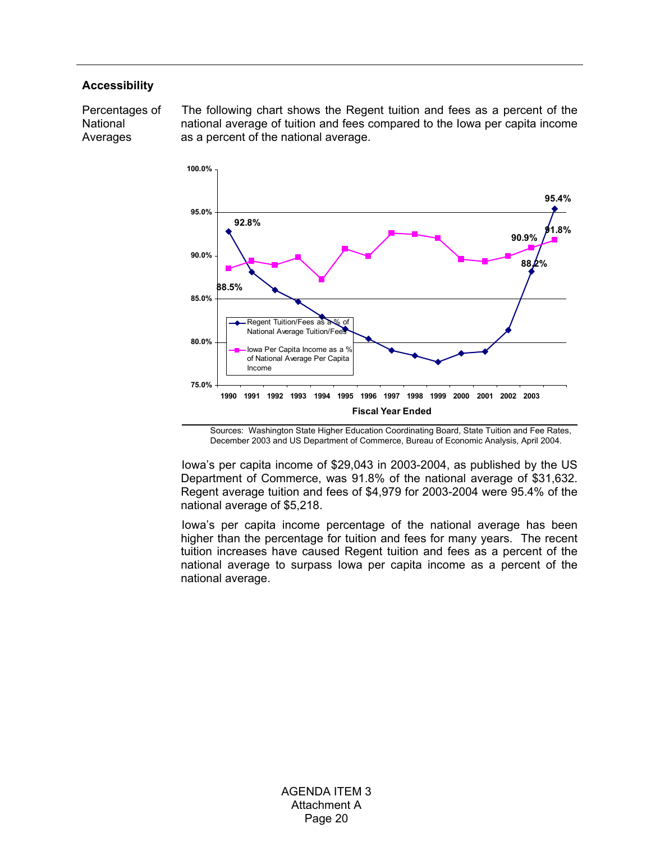### **Accessibility**

Percentages of National Averages

The following chart shows the Regent tuition and fees as a percent of the national average of tuition and fees compared to the Iowa per capita income as a percent of the national average.



Sources: Washington State Higher Education Coordinating Board, State Tuition and Fee Rates, December 2003 and US Department of Commerce, Bureau of Economic Analysis, April 2004.

 Iowa's per capita income of \$29,043 in 2003-2004, as published by the US Department of Commerce, was 91.8% of the national average of \$31,632. Regent average tuition and fees of \$4,979 for 2003-2004 were 95.4% of the national average of \$5,218.

Iowa's per capita income percentage of the national average has been higher than the percentage for tuition and fees for many years. The recent tuition increases have caused Regent tuition and fees as a percent of the national average to surpass Iowa per capita income as a percent of the national average.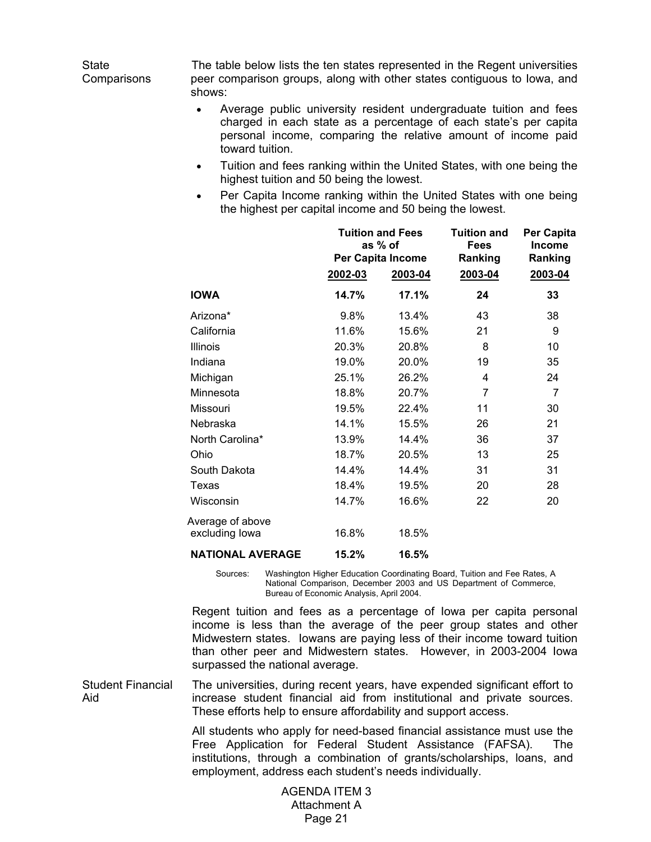State **Comparisons**  The table below lists the ten states represented in the Regent universities peer comparison groups, along with other states contiguous to Iowa, and shows:

- Average public university resident undergraduate tuition and fees charged in each state as a percentage of each state's per capita personal income, comparing the relative amount of income paid toward tuition.
- Tuition and fees ranking within the United States, with one being the highest tuition and 50 being the lowest.
- Per Capita Income ranking within the United States with one being the highest per capital income and 50 being the lowest.

|                                    | <b>Tuition and Fees</b><br>as % of<br>Per Capita Income |         | <b>Tuition and</b><br>Fees<br>Ranking | Per Capita<br><b>Income</b><br>Ranking |
|------------------------------------|---------------------------------------------------------|---------|---------------------------------------|----------------------------------------|
|                                    | 2002-03                                                 | 2003-04 | 2003-04                               | 2003-04                                |
| <b>IOWA</b>                        | 14.7%                                                   | 17.1%   | 24                                    | 33                                     |
| Arizona*                           | 9.8%                                                    | 13.4%   | 43                                    | 38                                     |
| California                         | 11.6%                                                   | 15.6%   | 21                                    | 9                                      |
| <b>Illinois</b>                    | 20.3%                                                   | 20.8%   | 8                                     | 10                                     |
| Indiana                            | 19.0%                                                   | 20.0%   | 19                                    | 35                                     |
| Michigan                           | 25.1%                                                   | 26.2%   | 4                                     | 24                                     |
| Minnesota                          | 18.8%                                                   | 20.7%   | 7                                     | 7                                      |
| Missouri                           | 19.5%                                                   | 22.4%   | 11                                    | 30                                     |
| Nebraska                           | 14.1%                                                   | 15.5%   | 26                                    | 21                                     |
| North Carolina*                    | 13.9%                                                   | 14.4%   | 36                                    | 37                                     |
| Ohio                               | 18.7%                                                   | 20.5%   | 13                                    | 25                                     |
| South Dakota                       | 14.4%                                                   | 14.4%   | 31                                    | 31                                     |
| Texas                              | 18.4%                                                   | 19.5%   | 20                                    | 28                                     |
| Wisconsin                          | 14.7%                                                   | 16.6%   | 22                                    | 20                                     |
| Average of above<br>excluding lowa | 16.8%                                                   | 18.5%   |                                       |                                        |
| <b>NATIONAL AVERAGE</b>            | 15.2%                                                   | 16.5%   |                                       |                                        |

Sources: Washington Higher Education Coordinating Board, Tuition and Fee Rates, A National Comparison, December 2003 and US Department of Commerce, Bureau of Economic Analysis, April 2004.

 Regent tuition and fees as a percentage of Iowa per capita personal income is less than the average of the peer group states and other Midwestern states. Iowans are paying less of their income toward tuition than other peer and Midwestern states. However, in 2003-2004 Iowa surpassed the national average.

Student Financial Aid The universities, during recent years, have expended significant effort to increase student financial aid from institutional and private sources. These efforts help to ensure affordability and support access.

> All students who apply for need-based financial assistance must use the Free Application for Federal Student Assistance (FAFSA). The institutions, through a combination of grants/scholarships, loans, and employment, address each student's needs individually.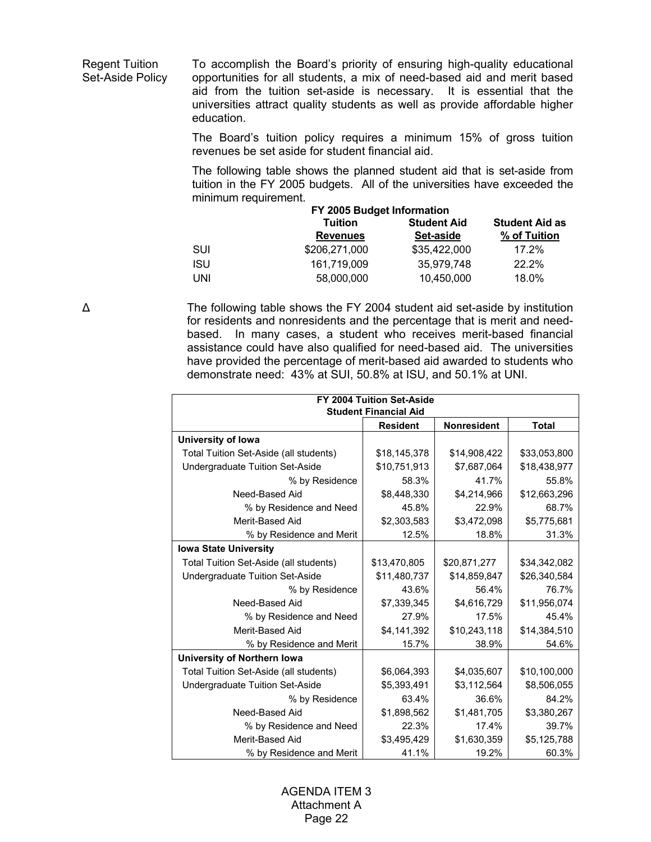Regent Tuition Set-Aside Policy To accomplish the Board's priority of ensuring high-quality educational opportunities for all students, a mix of need-based aid and merit based aid from the tuition set-aside is necessary. It is essential that the universities attract quality students as well as provide affordable higher education.

> The Board's tuition policy requires a minimum 15% of gross tuition revenues be set aside for student financial aid.

> The following table shows the planned student aid that is set-aside from tuition in the FY 2005 budgets. All of the universities have exceeded the minimum requirement.

| FY 2005 Budget Information |                            |                                 |                                       |  |  |
|----------------------------|----------------------------|---------------------------------|---------------------------------------|--|--|
|                            | Tuition<br><b>Revenues</b> | <b>Student Aid</b><br>Set-aside | <b>Student Aid as</b><br>% of Tuition |  |  |
|                            |                            |                                 |                                       |  |  |
| SUI                        | \$206,271,000              | \$35,422,000                    | 17.2%                                 |  |  |
| <b>ISU</b>                 | 161,719,009                | 35,979,748                      | 22.2%                                 |  |  |
| UNI                        | 58,000,000                 | 10,450,000                      | 18.0%                                 |  |  |

∆ The following table shows the FY 2004 student aid set-aside by institution for residents and nonresidents and the percentage that is merit and needbased. In many cases, a student who receives merit-based financial assistance could have also qualified for need-based aid. The universities have provided the percentage of merit-based aid awarded to students who demonstrate need: 43% at SUI, 50.8% at ISU, and 50.1% at UNI.

| FY 2004 Tuition Set-Aside<br><b>Student Financial Aid</b> |                 |                    |              |  |  |  |
|-----------------------------------------------------------|-----------------|--------------------|--------------|--|--|--|
|                                                           | <b>Resident</b> | <b>Nonresident</b> | <b>Total</b> |  |  |  |
| University of lowa                                        |                 |                    |              |  |  |  |
| Total Tuition Set-Aside (all students)                    | \$18,145,378    | \$14,908,422       | \$33,053,800 |  |  |  |
| Undergraduate Tuition Set-Aside                           | \$10,751,913    | \$7,687,064        | \$18,438,977 |  |  |  |
| % by Residence                                            | 58.3%           | 41.7%              | 55.8%        |  |  |  |
| Need-Based Aid                                            | \$8,448,330     | \$4,214,966        | \$12,663,296 |  |  |  |
| % by Residence and Need                                   | 45.8%           | 22.9%              | 68.7%        |  |  |  |
| Merit-Based Aid                                           | \$2,303,583     | \$3,472,098        | \$5,775,681  |  |  |  |
| % by Residence and Merit                                  | 12.5%           | 18.8%              | 31.3%        |  |  |  |
| <b>Iowa State University</b>                              |                 |                    |              |  |  |  |
| Total Tuition Set-Aside (all students)                    | \$13,470,805    | \$20,871,277       | \$34,342,082 |  |  |  |
| Undergraduate Tuition Set-Aside                           | \$11,480,737    | \$14,859,847       | \$26,340,584 |  |  |  |
| % by Residence                                            | 43.6%           | 56.4%              | 76.7%        |  |  |  |
| Need-Based Aid                                            | \$7,339,345     | \$4,616,729        | \$11,956,074 |  |  |  |
| % by Residence and Need                                   | 27.9%           | 17.5%              | 45.4%        |  |  |  |
| Merit-Based Aid                                           | \$4,141,392     | \$10,243,118       | \$14,384,510 |  |  |  |
| % by Residence and Merit                                  | 15.7%           | 38.9%              | 54.6%        |  |  |  |
| University of Northern Iowa                               |                 |                    |              |  |  |  |
| Total Tuition Set-Aside (all students)                    | \$6,064,393     | \$4,035,607        | \$10,100,000 |  |  |  |
| Undergraduate Tuition Set-Aside                           | \$5,393,491     | \$3,112,564        | \$8,506,055  |  |  |  |
| % by Residence                                            | 63.4%           | 36.6%              | 84.2%        |  |  |  |
| Need-Based Aid                                            | \$1,898,562     | \$1,481,705        | \$3,380,267  |  |  |  |
| % by Residence and Need                                   | 22.3%           | 17.4%              | 39.7%        |  |  |  |
| Merit-Based Aid                                           | \$3,495,429     | \$1,630,359        | \$5,125,788  |  |  |  |
| % by Residence and Merit                                  | 41.1%           | 19.2%              | 60.3%        |  |  |  |

AGENDA ITEM 3 Attachment A Page 22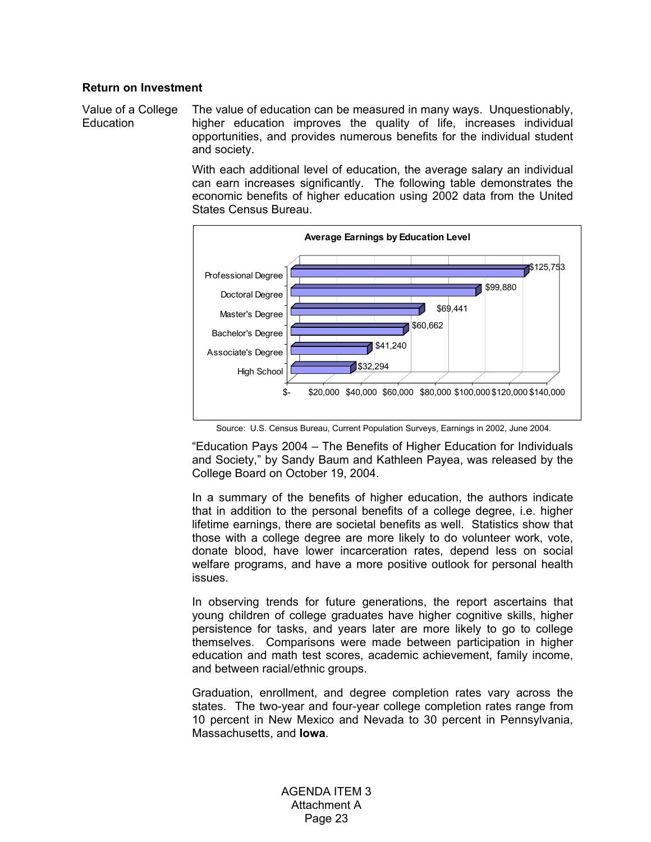#### **Return on Investment**

Value of a College Education The value of education can be measured in many ways. Unquestionably, higher education improves the quality of life, increases individual opportunities, and provides numerous benefits for the individual student and society.

> With each additional level of education, the average salary an individual can earn increases significantly. The following table demonstrates the economic benefits of higher education using 2002 data from the United States Census Bureau.



Source: U.S. Census Bureau, Current Population Surveys, Earnings in 2002, June 2004.

 "Education Pays 2004 – The Benefits of Higher Education for Individuals and Society," by Sandy Baum and Kathleen Payea, was released by the College Board on October 19, 2004.

In a summary of the benefits of higher education, the authors indicate that in addition to the personal benefits of a college degree, i.e. higher lifetime earnings, there are societal benefits as well. Statistics show that those with a college degree are more likely to do volunteer work, vote, donate blood, have lower incarceration rates, depend less on social welfare programs, and have a more positive outlook for personal health issues.

In observing trends for future generations, the report ascertains that young children of college graduates have higher cognitive skills, higher persistence for tasks, and years later are more likely to go to college themselves. Comparisons were made between participation in higher education and math test scores, academic achievement, family income, and between racial/ethnic groups.

Graduation, enrollment, and degree completion rates vary across the states. The two-year and four-year college completion rates range from 10 percent in New Mexico and Nevada to 30 percent in Pennsylvania, Massachusetts, and **Iowa**.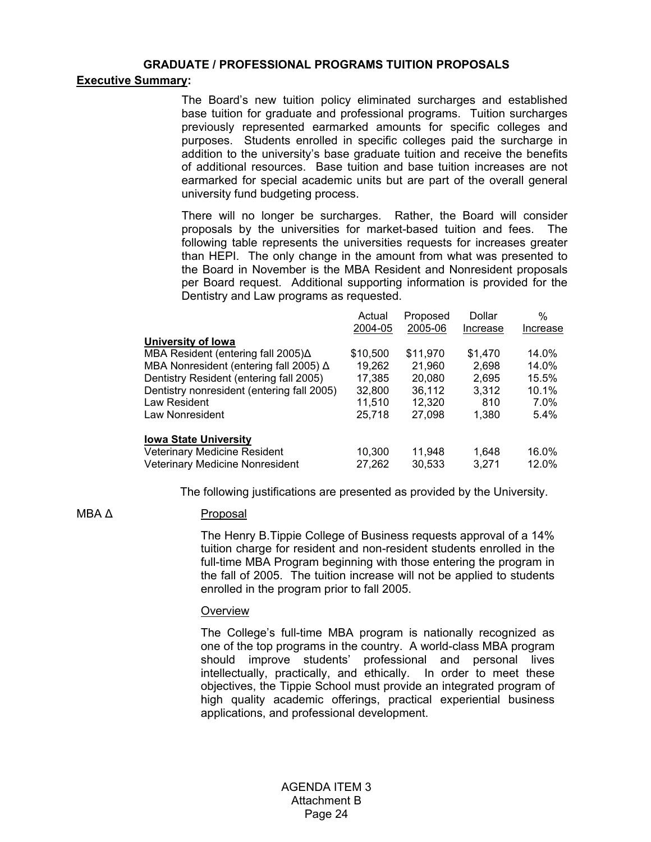#### **GRADUATE / PROFESSIONAL PROGRAMS TUITION PROPOSALS**

#### **Executive Summary:**

 The Board's new tuition policy eliminated surcharges and established base tuition for graduate and professional programs. Tuition surcharges previously represented earmarked amounts for specific colleges and purposes. Students enrolled in specific colleges paid the surcharge in addition to the university's base graduate tuition and receive the benefits of additional resources. Base tuition and base tuition increases are not earmarked for special academic units but are part of the overall general university fund budgeting process.

There will no longer be surcharges. Rather, the Board will consider proposals by the universities for market-based tuition and fees. The following table represents the universities requests for increases greater than HEPI. The only change in the amount from what was presented to the Board in November is the MBA Resident and Nonresident proposals per Board request. Additional supporting information is provided for the Dentistry and Law programs as requested.

|                                               | Actual   | Proposed | Dollar   | $\%$     |
|-----------------------------------------------|----------|----------|----------|----------|
|                                               | 2004-05  | 2005-06  | Increase | Increase |
| University of lowa                            |          |          |          |          |
| MBA Resident (entering fall 2005) $\Delta$    | \$10,500 | \$11,970 | \$1,470  | 14.0%    |
| MBA Nonresident (entering fall 2005) $\Delta$ | 19,262   | 21,960   | 2,698    | 14.0%    |
| Dentistry Resident (entering fall 2005)       | 17,385   | 20,080   | 2,695    | 15.5%    |
| Dentistry nonresident (entering fall 2005)    | 32,800   | 36.112   | 3.312    | 10.1%    |
| Law Resident                                  | 11.510   | 12.320   | 810      | 7.0%     |
| Law Nonresident                               | 25,718   | 27.098   | 1.380    | $5.4\%$  |
| <b>Iowa State University</b>                  |          |          |          |          |
| <b>Veterinary Medicine Resident</b>           | 10,300   | 11,948   | 1.648    | 16.0%    |
| Veterinary Medicine Nonresident               | 27,262   | 30,533   | 3.271    | 12.0%    |
|                                               |          |          |          |          |

The following justifications are presented as provided by the University.

#### MBA ∆ Proposal

The Henry B.Tippie College of Business requests approval of a 14% tuition charge for resident and non-resident students enrolled in the full-time MBA Program beginning with those entering the program in the fall of 2005. The tuition increase will not be applied to students enrolled in the program prior to fall 2005.

#### **Overview**

The College's full-time MBA program is nationally recognized as one of the top programs in the country. A world-class MBA program should improve students' professional and personal lives intellectually, practically, and ethically. In order to meet these objectives, the Tippie School must provide an integrated program of high quality academic offerings, practical experiential business applications, and professional development.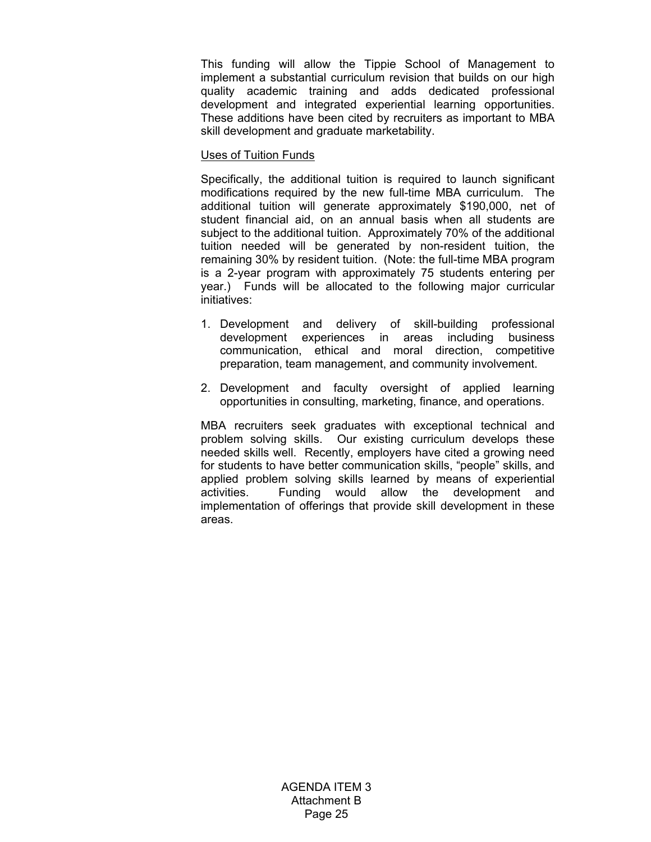This funding will allow the Tippie School of Management to implement a substantial curriculum revision that builds on our high quality academic training and adds dedicated professional development and integrated experiential learning opportunities. These additions have been cited by recruiters as important to MBA skill development and graduate marketability.

## Uses of Tuition Funds

Specifically, the additional tuition is required to launch significant modifications required by the new full-time MBA curriculum. The additional tuition will generate approximately \$190,000, net of student financial aid, on an annual basis when all students are subject to the additional tuition. Approximately 70% of the additional tuition needed will be generated by non-resident tuition, the remaining 30% by resident tuition. (Note: the full-time MBA program is a 2-year program with approximately 75 students entering per year.) Funds will be allocated to the following major curricular initiatives:

- 1. Development and delivery of skill-building professional development experiences in areas including business communication, ethical and moral direction, competitive preparation, team management, and community involvement.
- 2. Development and faculty oversight of applied learning opportunities in consulting, marketing, finance, and operations.

MBA recruiters seek graduates with exceptional technical and problem solving skills. Our existing curriculum develops these needed skills well. Recently, employers have cited a growing need for students to have better communication skills, "people" skills, and applied problem solving skills learned by means of experiential activities. Funding would allow the development and implementation of offerings that provide skill development in these areas.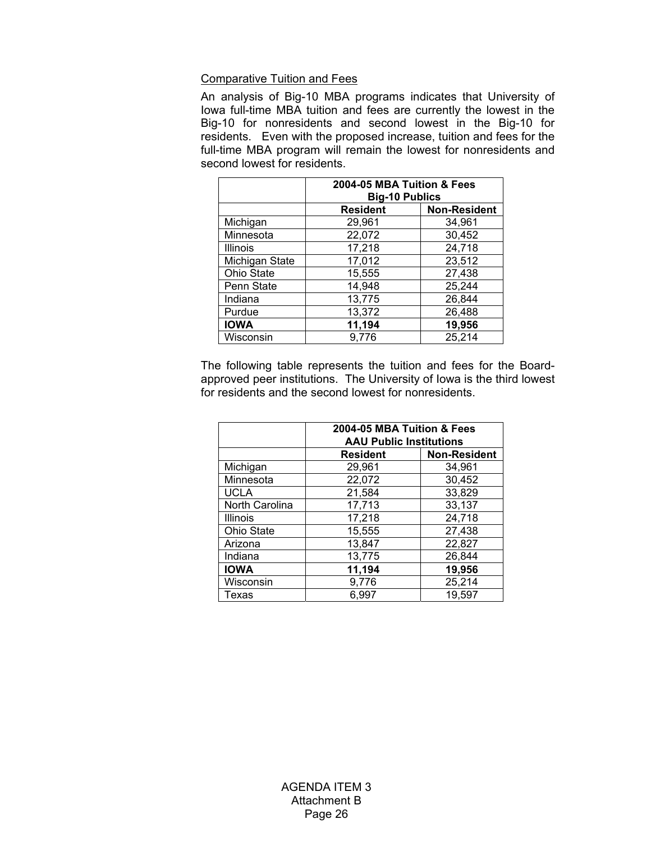# Comparative Tuition and Fees

An analysis of Big-10 MBA programs indicates that University of Iowa full-time MBA tuition and fees are currently the lowest in the Big-10 for nonresidents and second lowest in the Big-10 for residents. Even with the proposed increase, tuition and fees for the full-time MBA program will remain the lowest for nonresidents and second lowest for residents.

|                | 2004-05 MBA Tuition & Fees<br><b>Big-10 Publics</b> |        |  |  |  |  |
|----------------|-----------------------------------------------------|--------|--|--|--|--|
|                | <b>Non-Resident</b><br><b>Resident</b>              |        |  |  |  |  |
| Michigan       | 29,961                                              | 34,961 |  |  |  |  |
| Minnesota      | 22,072                                              | 30,452 |  |  |  |  |
| Illinois       | 17,218                                              | 24,718 |  |  |  |  |
| Michigan State | 17,012                                              | 23,512 |  |  |  |  |
| Ohio State     | 15,555                                              | 27,438 |  |  |  |  |
| Penn State     | 14,948                                              | 25,244 |  |  |  |  |
| Indiana        | 13,775                                              | 26,844 |  |  |  |  |
| Purdue         | 13,372                                              | 26,488 |  |  |  |  |
| <b>IOWA</b>    | 11,194                                              | 19,956 |  |  |  |  |
| Wisconsin      | 9,776                                               | 25,214 |  |  |  |  |

 The following table represents the tuition and fees for the Boardapproved peer institutions. The University of Iowa is the third lowest for residents and the second lowest for nonresidents.

|                | 2004-05 MBA Tuition & Fees<br><b>AAU Public Institutions</b> |                     |  |  |  |
|----------------|--------------------------------------------------------------|---------------------|--|--|--|
|                |                                                              |                     |  |  |  |
|                | <b>Resident</b>                                              | <b>Non-Resident</b> |  |  |  |
| Michigan       | 29,961                                                       | 34,961              |  |  |  |
| Minnesota      | 22,072                                                       | 30,452              |  |  |  |
| <b>UCLA</b>    | 21,584                                                       | 33,829              |  |  |  |
| North Carolina | 17,713                                                       | 33,137              |  |  |  |
| Illinois       | 17,218                                                       | 24,718              |  |  |  |
| Ohio State     | 15,555                                                       | 27,438              |  |  |  |
| Arizona        | 13,847                                                       | 22,827              |  |  |  |
| Indiana        | 13,775                                                       | 26,844              |  |  |  |
| <b>IOWA</b>    | 11,194                                                       | 19,956              |  |  |  |
| Wisconsin      | 9,776                                                        | 25,214              |  |  |  |
| Texas          | 6,997                                                        | 19,597              |  |  |  |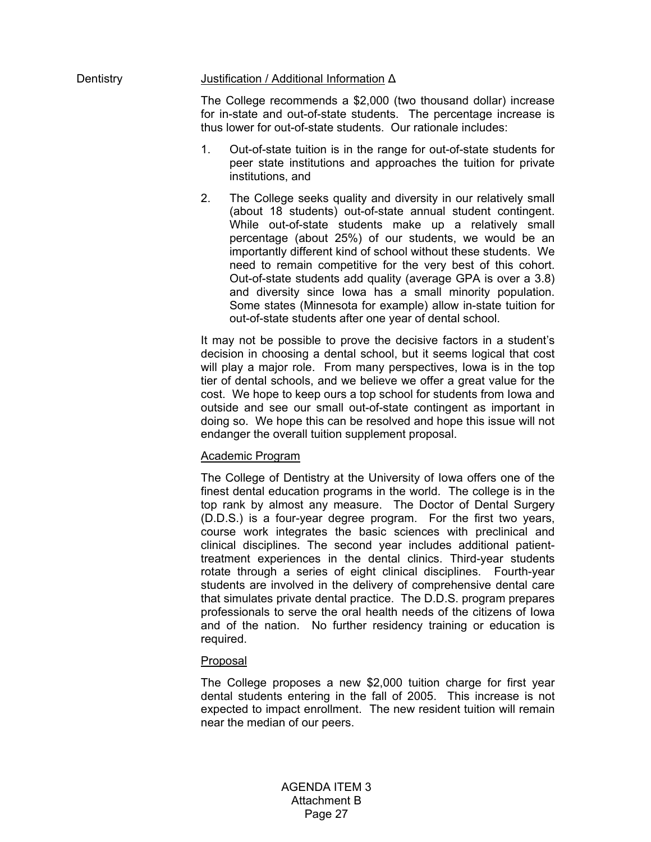#### Dentistry Justification / Additional Information ∆

The College recommends a \$2,000 (two thousand dollar) increase for in-state and out-of-state students. The percentage increase is thus lower for out-of-state students. Our rationale includes:

- 1. Out-of-state tuition is in the range for out-of-state students for peer state institutions and approaches the tuition for private institutions, and
- 2. The College seeks quality and diversity in our relatively small (about 18 students) out-of-state annual student contingent. While out-of-state students make up a relatively small percentage (about 25%) of our students, we would be an importantly different kind of school without these students. We need to remain competitive for the very best of this cohort. Out-of-state students add quality (average GPA is over a 3.8) and diversity since Iowa has a small minority population. Some states (Minnesota for example) allow in-state tuition for out-of-state students after one year of dental school.

It may not be possible to prove the decisive factors in a student's decision in choosing a dental school, but it seems logical that cost will play a major role. From many perspectives, Iowa is in the top tier of dental schools, and we believe we offer a great value for the cost. We hope to keep ours a top school for students from Iowa and outside and see our small out-of-state contingent as important in doing so. We hope this can be resolved and hope this issue will not endanger the overall tuition supplement proposal.

# Academic Program

The College of Dentistry at the University of Iowa offers one of the finest dental education programs in the world. The college is in the top rank by almost any measure. The Doctor of Dental Surgery (D.D.S.) is a four-year degree program. For the first two years, course work integrates the basic sciences with preclinical and clinical disciplines. The second year includes additional patienttreatment experiences in the dental clinics. Third-year students rotate through a series of eight clinical disciplines. Fourth-year students are involved in the delivery of comprehensive dental care that simulates private dental practice. The D.D.S. program prepares professionals to serve the oral health needs of the citizens of Iowa and of the nation. No further residency training or education is required.

# Proposal

The College proposes a new \$2,000 tuition charge for first year dental students entering in the fall of 2005. This increase is not expected to impact enrollment. The new resident tuition will remain near the median of our peers.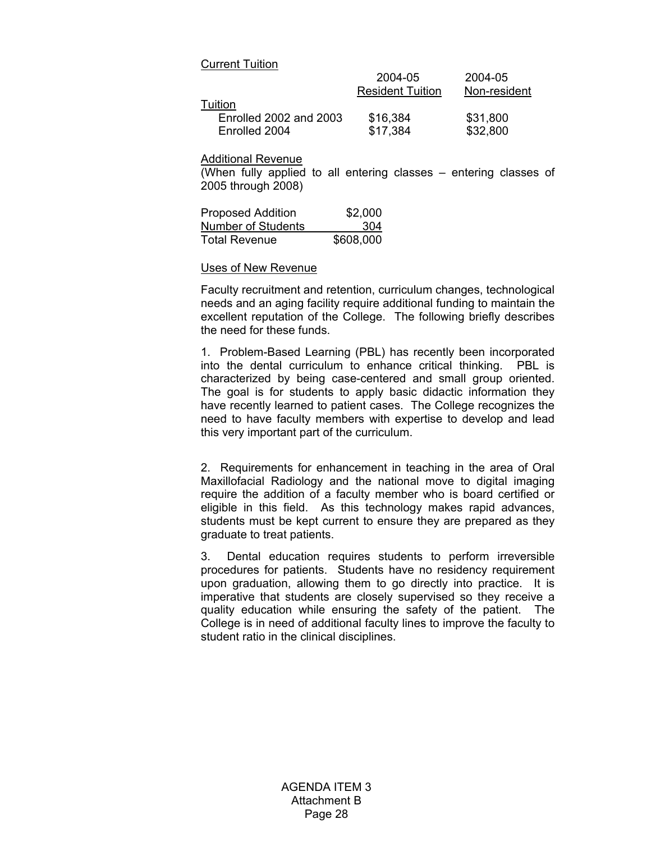| <b>Current Tuition</b> |                         |              |
|------------------------|-------------------------|--------------|
|                        | 2004-05                 | 2004-05      |
|                        | <b>Resident Tuition</b> | Non-resident |
| Tuition                |                         |              |
| Enrolled 2002 and 2003 | \$16,384                | \$31,800     |
| Enrolled 2004          | \$17,384                | \$32,800     |
|                        |                         |              |

Additional Revenue

(When fully applied to all entering classes – entering classes of 2005 through 2008)

| <b>Proposed Addition</b> | \$2,000   |
|--------------------------|-----------|
| Number of Students       | 304       |
| <b>Total Revenue</b>     | \$608,000 |

#### Uses of New Revenue

Faculty recruitment and retention, curriculum changes, technological needs and an aging facility require additional funding to maintain the excellent reputation of the College. The following briefly describes the need for these funds.

1. Problem-Based Learning (PBL) has recently been incorporated into the dental curriculum to enhance critical thinking. PBL is characterized by being case-centered and small group oriented. The goal is for students to apply basic didactic information they have recently learned to patient cases. The College recognizes the need to have faculty members with expertise to develop and lead this very important part of the curriculum.

 2. Requirements for enhancement in teaching in the area of Oral Maxillofacial Radiology and the national move to digital imaging require the addition of a faculty member who is board certified or eligible in this field. As this technology makes rapid advances, students must be kept current to ensure they are prepared as they graduate to treat patients.

3. Dental education requires students to perform irreversible procedures for patients. Students have no residency requirement upon graduation, allowing them to go directly into practice. It is imperative that students are closely supervised so they receive a quality education while ensuring the safety of the patient. The College is in need of additional faculty lines to improve the faculty to student ratio in the clinical disciplines.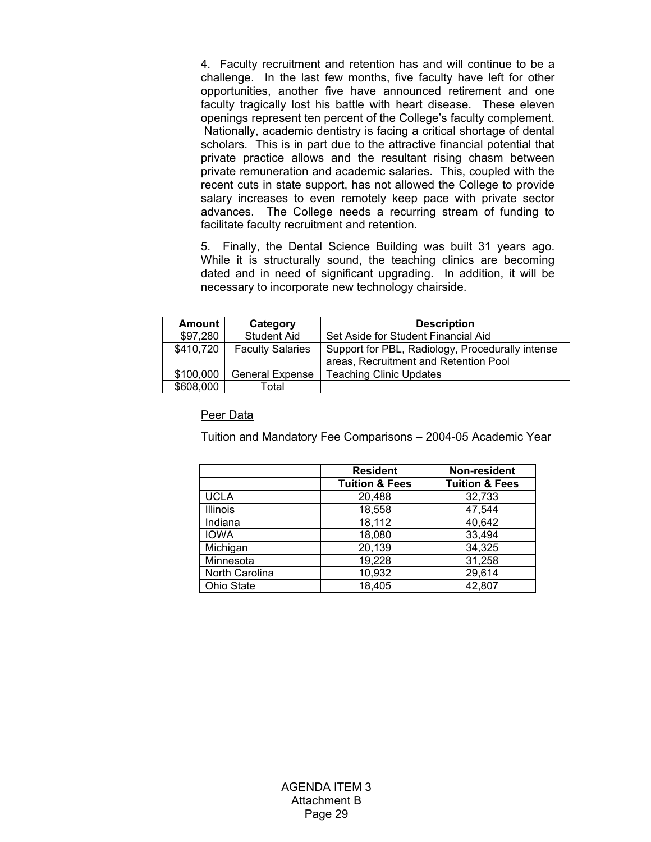4. Faculty recruitment and retention has and will continue to be a challenge. In the last few months, five faculty have left for other opportunities, another five have announced retirement and one faculty tragically lost his battle with heart disease. These eleven openings represent ten percent of the College's faculty complement. Nationally, academic dentistry is facing a critical shortage of dental scholars. This is in part due to the attractive financial potential that private practice allows and the resultant rising chasm between private remuneration and academic salaries. This, coupled with the recent cuts in state support, has not allowed the College to provide salary increases to even remotely keep pace with private sector advances. The College needs a recurring stream of funding to facilitate faculty recruitment and retention.

5. Finally, the Dental Science Building was built 31 years ago. While it is structurally sound, the teaching clinics are becoming dated and in need of significant upgrading. In addition, it will be necessary to incorporate new technology chairside.

| <b>Amount</b> | Category                | <b>Description</b>                                                                        |
|---------------|-------------------------|-------------------------------------------------------------------------------------------|
| \$97,280      | Student Aid             | Set Aside for Student Financial Aid                                                       |
| \$410,720     | <b>Faculty Salaries</b> | Support for PBL, Radiology, Procedurally intense<br>areas, Recruitment and Retention Pool |
| \$100,000     | <b>General Expense</b>  | <b>Teaching Clinic Updates</b>                                                            |
| \$608,000     | Total                   |                                                                                           |

## Peer Data

Tuition and Mandatory Fee Comparisons – 2004-05 Academic Year

|                 | <b>Resident</b>           | Non-resident              |
|-----------------|---------------------------|---------------------------|
|                 | <b>Tuition &amp; Fees</b> | <b>Tuition &amp; Fees</b> |
| <b>UCLA</b>     | 20,488                    | 32,733                    |
| <b>Illinois</b> | 18,558                    | 47,544                    |
| Indiana         | 18,112                    | 40,642                    |
| <b>IOWA</b>     | 18,080                    | 33,494                    |
| Michigan        | 20,139                    | 34,325                    |
| Minnesota       | 19,228                    | 31,258                    |
| North Carolina  | 10,932                    | 29,614                    |
| Ohio State      | 18,405                    | 42,807                    |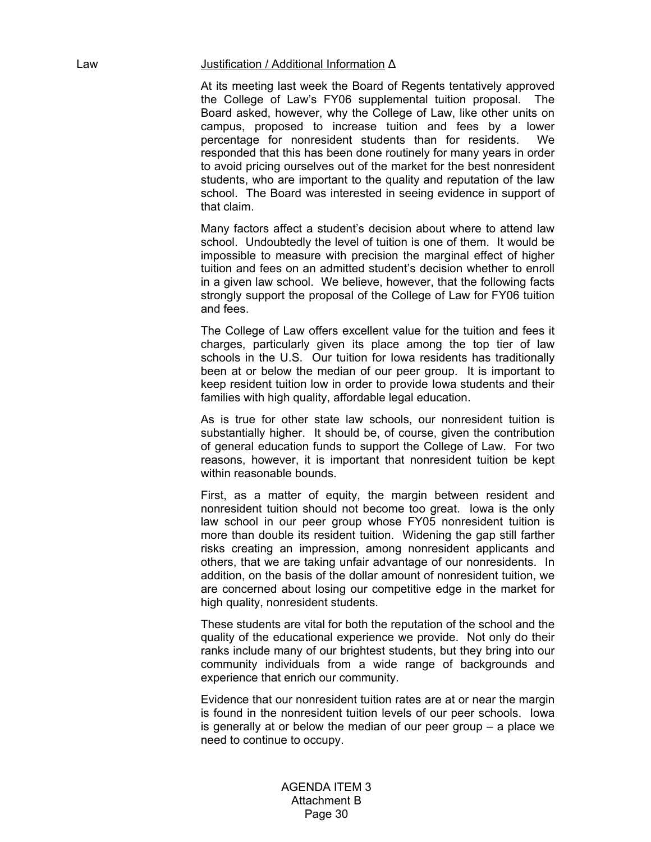#### Law Justification / Additional Information ∆

At its meeting last week the Board of Regents tentatively approved the College of Law's FY06 supplemental tuition proposal. The Board asked, however, why the College of Law, like other units on campus, proposed to increase tuition and fees by a lower percentage for nonresident students than for residents. We responded that this has been done routinely for many years in order to avoid pricing ourselves out of the market for the best nonresident students, who are important to the quality and reputation of the law school. The Board was interested in seeing evidence in support of that claim.

Many factors affect a student's decision about where to attend law school. Undoubtedly the level of tuition is one of them. It would be impossible to measure with precision the marginal effect of higher tuition and fees on an admitted student's decision whether to enroll in a given law school. We believe, however, that the following facts strongly support the proposal of the College of Law for FY06 tuition and fees.

The College of Law offers excellent value for the tuition and fees it charges, particularly given its place among the top tier of law schools in the U.S. Our tuition for Iowa residents has traditionally been at or below the median of our peer group. It is important to keep resident tuition low in order to provide Iowa students and their families with high quality, affordable legal education.

As is true for other state law schools, our nonresident tuition is substantially higher. It should be, of course, given the contribution of general education funds to support the College of Law. For two reasons, however, it is important that nonresident tuition be kept within reasonable bounds.

First, as a matter of equity, the margin between resident and nonresident tuition should not become too great. Iowa is the only law school in our peer group whose FY05 nonresident tuition is more than double its resident tuition. Widening the gap still farther risks creating an impression, among nonresident applicants and others, that we are taking unfair advantage of our nonresidents. In addition, on the basis of the dollar amount of nonresident tuition, we are concerned about losing our competitive edge in the market for high quality, nonresident students.

These students are vital for both the reputation of the school and the quality of the educational experience we provide. Not only do their ranks include many of our brightest students, but they bring into our community individuals from a wide range of backgrounds and experience that enrich our community.

Evidence that our nonresident tuition rates are at or near the margin is found in the nonresident tuition levels of our peer schools. Iowa is generally at or below the median of our peer group – a place we need to continue to occupy.

AGENDA ITEM 3 Attachment B Page 30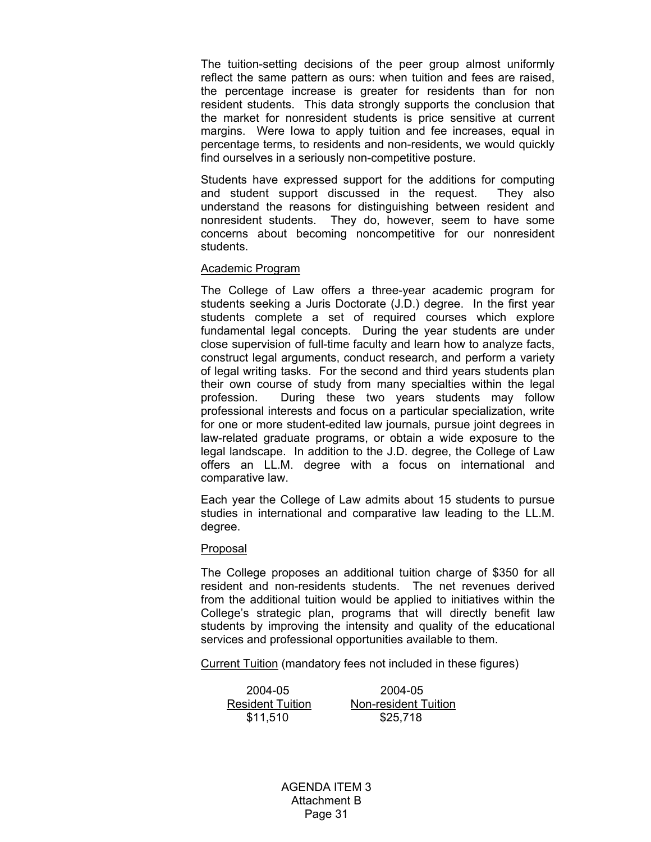The tuition-setting decisions of the peer group almost uniformly reflect the same pattern as ours: when tuition and fees are raised, the percentage increase is greater for residents than for non resident students. This data strongly supports the conclusion that the market for nonresident students is price sensitive at current margins. Were Iowa to apply tuition and fee increases, equal in percentage terms, to residents and non-residents, we would quickly find ourselves in a seriously non-competitive posture.

Students have expressed support for the additions for computing and student support discussed in the request. They also understand the reasons for distinguishing between resident and nonresident students. They do, however, seem to have some concerns about becoming noncompetitive for our nonresident students.

#### Academic Program

The College of Law offers a three-year academic program for students seeking a Juris Doctorate (J.D.) degree. In the first year students complete a set of required courses which explore fundamental legal concepts. During the year students are under close supervision of full-time faculty and learn how to analyze facts, construct legal arguments, conduct research, and perform a variety of legal writing tasks. For the second and third years students plan their own course of study from many specialties within the legal profession. During these two years students may follow professional interests and focus on a particular specialization, write for one or more student-edited law journals, pursue joint degrees in law-related graduate programs, or obtain a wide exposure to the legal landscape. In addition to the J.D. degree, the College of Law offers an LL.M. degree with a focus on international and comparative law.

Each year the College of Law admits about 15 students to pursue studies in international and comparative law leading to the LL.M. degree.

#### Proposal

The College proposes an additional tuition charge of \$350 for all resident and non-residents students. The net revenues derived from the additional tuition would be applied to initiatives within the College's strategic plan, programs that will directly benefit law students by improving the intensity and quality of the educational services and professional opportunities available to them.

Current Tuition (mandatory fees not included in these figures)

 2004-05 2004-05 Resident Tuition Non-resident Tuition \$11,510 \$25,718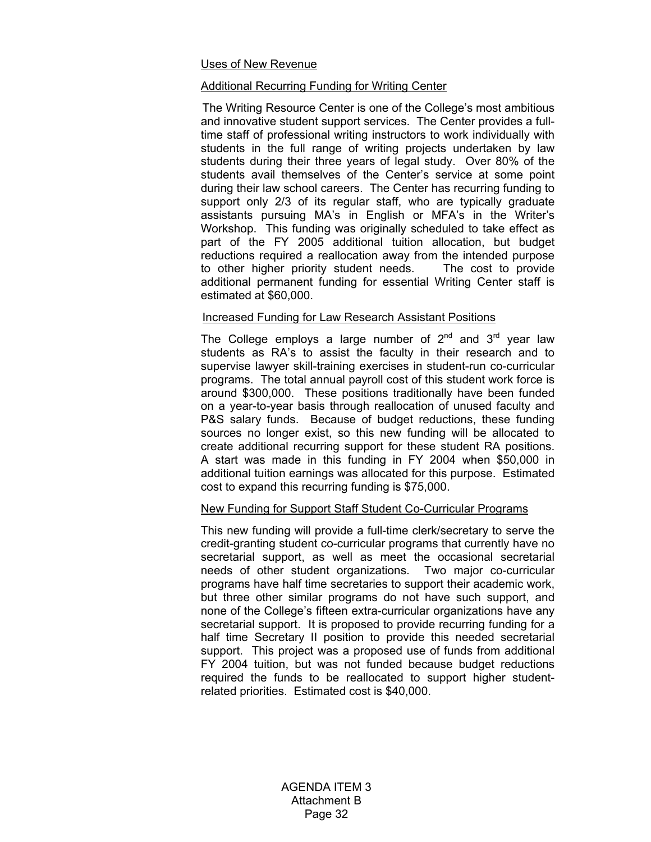#### Uses of New Revenue

### Additional Recurring Funding for Writing Center

The Writing Resource Center is one of the College's most ambitious and innovative student support services. The Center provides a fulltime staff of professional writing instructors to work individually with students in the full range of writing projects undertaken by law students during their three years of legal study. Over 80% of the students avail themselves of the Center's service at some point during their law school careers. The Center has recurring funding to support only 2/3 of its regular staff, who are typically graduate assistants pursuing MA's in English or MFA's in the Writer's Workshop. This funding was originally scheduled to take effect as part of the FY 2005 additional tuition allocation, but budget reductions required a reallocation away from the intended purpose to other higher priority student needs. The cost to provide additional permanent funding for essential Writing Center staff is estimated at \$60,000.

#### Increased Funding for Law Research Assistant Positions

The College employs a large number of  $2^{nd}$  and  $3^{rd}$  year law students as RA's to assist the faculty in their research and to supervise lawyer skill-training exercises in student-run co-curricular programs. The total annual payroll cost of this student work force is around \$300,000. These positions traditionally have been funded on a year-to-year basis through reallocation of unused faculty and P&S salary funds. Because of budget reductions, these funding sources no longer exist, so this new funding will be allocated to create additional recurring support for these student RA positions. A start was made in this funding in FY 2004 when \$50,000 in additional tuition earnings was allocated for this purpose. Estimated cost to expand this recurring funding is \$75,000.

#### New Funding for Support Staff Student Co-Curricular Programs

This new funding will provide a full-time clerk/secretary to serve the credit-granting student co-curricular programs that currently have no secretarial support, as well as meet the occasional secretarial needs of other student organizations. Two major co-curricular programs have half time secretaries to support their academic work, but three other similar programs do not have such support, and none of the College's fifteen extra-curricular organizations have any secretarial support. It is proposed to provide recurring funding for a half time Secretary II position to provide this needed secretarial support. This project was a proposed use of funds from additional FY 2004 tuition, but was not funded because budget reductions required the funds to be reallocated to support higher studentrelated priorities. Estimated cost is \$40,000.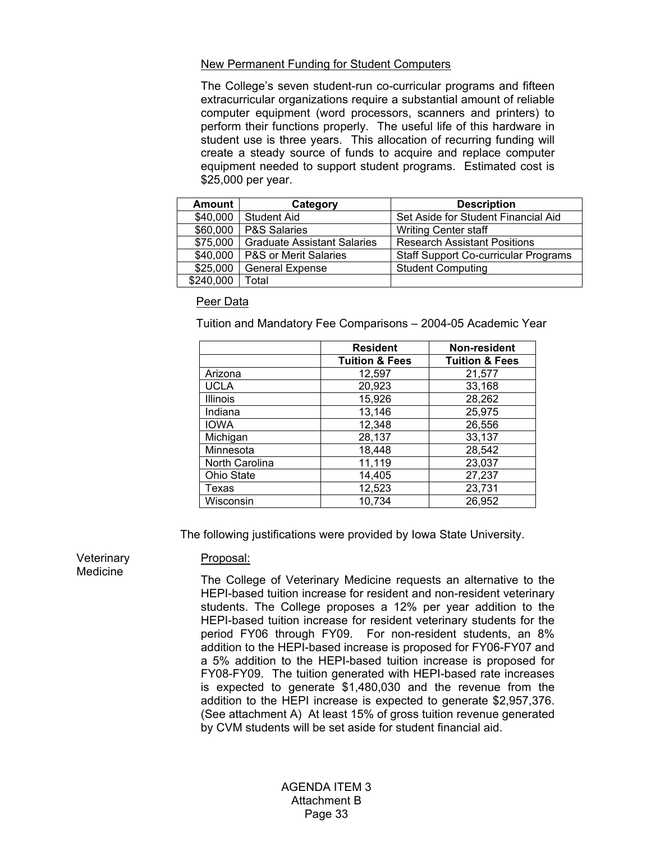#### New Permanent Funding for Student Computers

The College's seven student-run co-curricular programs and fifteen extracurricular organizations require a substantial amount of reliable computer equipment (word processors, scanners and printers) to perform their functions properly. The useful life of this hardware in student use is three years. This allocation of recurring funding will create a steady source of funds to acquire and replace computer equipment needed to support student programs. Estimated cost is \$25,000 per year.

| <b>Amount</b> | Category                           | <b>Description</b>                          |
|---------------|------------------------------------|---------------------------------------------|
| \$40,000      | <b>Student Aid</b>                 | Set Aside for Student Financial Aid         |
| \$60,000      | <b>P&amp;S Salaries</b>            | <b>Writing Center staff</b>                 |
| \$75,000      | <b>Graduate Assistant Salaries</b> | <b>Research Assistant Positions</b>         |
| \$40,000      | <b>P&amp;S or Merit Salaries</b>   | <b>Staff Support Co-curricular Programs</b> |
| \$25,000      | <b>General Expense</b>             | <b>Student Computing</b>                    |
| \$240,000     | Total                              |                                             |

#### Peer Data

Tuition and Mandatory Fee Comparisons – 2004-05 Academic Year

|                 | <b>Resident</b>           | Non-resident              |
|-----------------|---------------------------|---------------------------|
|                 | <b>Tuition &amp; Fees</b> | <b>Tuition &amp; Fees</b> |
| Arizona         | 12,597                    | 21,577                    |
| <b>UCLA</b>     | 20,923                    | 33,168                    |
| <b>Illinois</b> | 15,926                    | 28,262                    |
| Indiana         | 13,146                    | 25,975                    |
| <b>IOWA</b>     | 12,348                    | 26,556                    |
| Michigan        | 28,137                    | 33,137                    |
| Minnesota       | 18,448                    | 28,542                    |
| North Carolina  | 11,119                    | 23,037                    |
| Ohio State      | 14,405                    | 27,237                    |
| Texas           | 12,523                    | 23,731                    |
| Wisconsin       | 10,734                    | 26,952                    |

The following justifications were provided by Iowa State University.

**Veterinary** Medicine

#### Proposal:

The College of Veterinary Medicine requests an alternative to the HEPI-based tuition increase for resident and non-resident veterinary students. The College proposes a 12% per year addition to the HEPI-based tuition increase for resident veterinary students for the period FY06 through FY09. For non-resident students, an 8% addition to the HEPI-based increase is proposed for FY06-FY07 and a 5% addition to the HEPI-based tuition increase is proposed for FY08-FY09. The tuition generated with HEPI-based rate increases is expected to generate \$1,480,030 and the revenue from the addition to the HEPI increase is expected to generate \$2,957,376. (See attachment A) At least 15% of gross tuition revenue generated by CVM students will be set aside for student financial aid.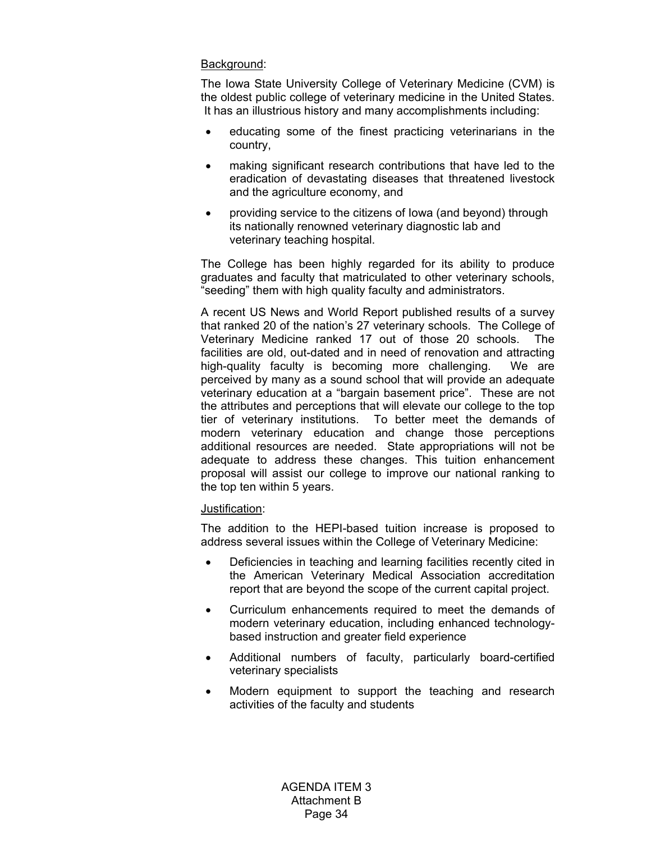# Background:

The Iowa State University College of Veterinary Medicine (CVM) is the oldest public college of veterinary medicine in the United States. It has an illustrious history and many accomplishments including:

- educating some of the finest practicing veterinarians in the country,
- making significant research contributions that have led to the eradication of devastating diseases that threatened livestock and the agriculture economy, and
- providing service to the citizens of Iowa (and beyond) through its nationally renowned veterinary diagnostic lab and veterinary teaching hospital.

 The College has been highly regarded for its ability to produce graduates and faculty that matriculated to other veterinary schools, "seeding" them with high quality faculty and administrators.

A recent US News and World Report published results of a survey that ranked 20 of the nation's 27 veterinary schools. The College of Veterinary Medicine ranked 17 out of those 20 schools. The facilities are old, out-dated and in need of renovation and attracting high-quality faculty is becoming more challenging. We are perceived by many as a sound school that will provide an adequate veterinary education at a "bargain basement price". These are not the attributes and perceptions that will elevate our college to the top tier of veterinary institutions. To better meet the demands of modern veterinary education and change those perceptions additional resources are needed. State appropriations will not be adequate to address these changes. This tuition enhancement proposal will assist our college to improve our national ranking to the top ten within 5 years.

# Justification:

The addition to the HEPI-based tuition increase is proposed to address several issues within the College of Veterinary Medicine:

- Deficiencies in teaching and learning facilities recently cited in the American Veterinary Medical Association accreditation report that are beyond the scope of the current capital project.
- Curriculum enhancements required to meet the demands of modern veterinary education, including enhanced technologybased instruction and greater field experience
- Additional numbers of faculty, particularly board-certified veterinary specialists
- Modern equipment to support the teaching and research activities of the faculty and students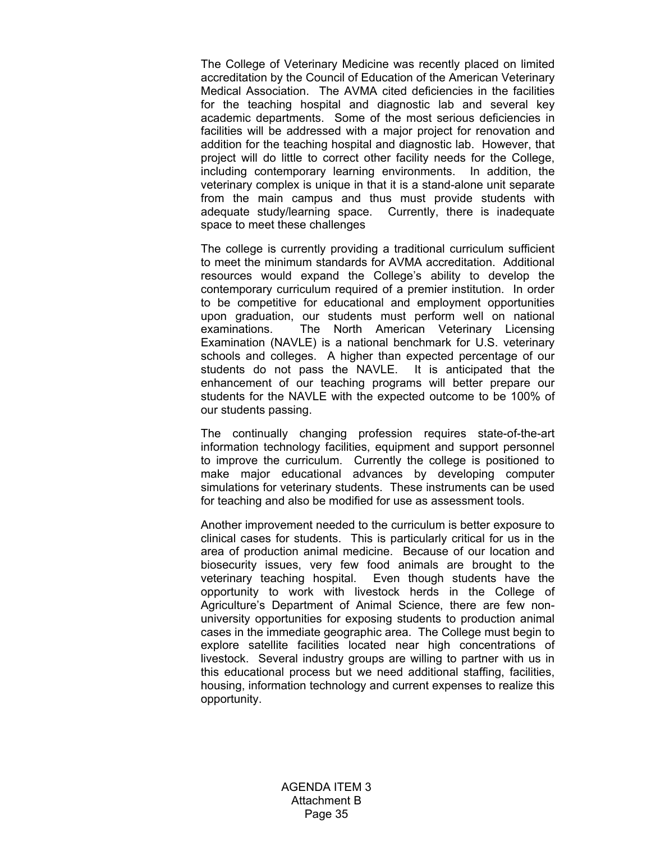The College of Veterinary Medicine was recently placed on limited accreditation by the Council of Education of the American Veterinary Medical Association. The AVMA cited deficiencies in the facilities for the teaching hospital and diagnostic lab and several key academic departments. Some of the most serious deficiencies in facilities will be addressed with a major project for renovation and addition for the teaching hospital and diagnostic lab. However, that project will do little to correct other facility needs for the College, including contemporary learning environments. In addition, the veterinary complex is unique in that it is a stand-alone unit separate from the main campus and thus must provide students with adequate study/learning space. Currently, there is inadequate space to meet these challenges

 The college is currently providing a traditional curriculum sufficient to meet the minimum standards for AVMA accreditation. Additional resources would expand the College's ability to develop the contemporary curriculum required of a premier institution. In order to be competitive for educational and employment opportunities upon graduation, our students must perform well on national examinations. The North American Veterinary Licensing Examination (NAVLE) is a national benchmark for U.S. veterinary schools and colleges. A higher than expected percentage of our students do not pass the NAVLE. It is anticipated that the enhancement of our teaching programs will better prepare our students for the NAVLE with the expected outcome to be 100% of our students passing.

The continually changing profession requires state-of-the-art information technology facilities, equipment and support personnel to improve the curriculum. Currently the college is positioned to make major educational advances by developing computer simulations for veterinary students. These instruments can be used for teaching and also be modified for use as assessment tools.

 Another improvement needed to the curriculum is better exposure to clinical cases for students. This is particularly critical for us in the area of production animal medicine. Because of our location and biosecurity issues, very few food animals are brought to the veterinary teaching hospital. Even though students have the opportunity to work with livestock herds in the College of Agriculture's Department of Animal Science, there are few nonuniversity opportunities for exposing students to production animal cases in the immediate geographic area. The College must begin to explore satellite facilities located near high concentrations of livestock. Several industry groups are willing to partner with us in this educational process but we need additional staffing, facilities, housing, information technology and current expenses to realize this opportunity.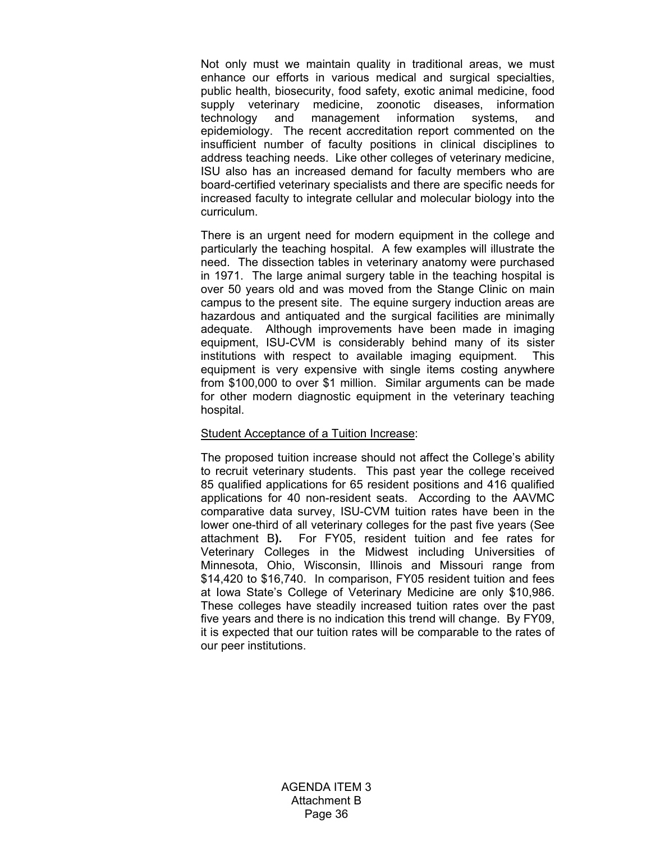Not only must we maintain quality in traditional areas, we must enhance our efforts in various medical and surgical specialties, public health, biosecurity, food safety, exotic animal medicine, food supply veterinary medicine, zoonotic diseases, information technology and management information systems, and epidemiology. The recent accreditation report commented on the insufficient number of faculty positions in clinical disciplines to address teaching needs. Like other colleges of veterinary medicine, ISU also has an increased demand for faculty members who are board-certified veterinary specialists and there are specific needs for increased faculty to integrate cellular and molecular biology into the curriculum.

 There is an urgent need for modern equipment in the college and particularly the teaching hospital. A few examples will illustrate the need. The dissection tables in veterinary anatomy were purchased in 1971. The large animal surgery table in the teaching hospital is over 50 years old and was moved from the Stange Clinic on main campus to the present site. The equine surgery induction areas are hazardous and antiquated and the surgical facilities are minimally adequate. Although improvements have been made in imaging equipment, ISU-CVM is considerably behind many of its sister institutions with respect to available imaging equipment. This equipment is very expensive with single items costing anywhere from \$100,000 to over \$1 million. Similar arguments can be made for other modern diagnostic equipment in the veterinary teaching hospital.

#### Student Acceptance of a Tuition Increase:

The proposed tuition increase should not affect the College's ability to recruit veterinary students. This past year the college received 85 qualified applications for 65 resident positions and 416 qualified applications for 40 non-resident seats. According to the AAVMC comparative data survey, ISU-CVM tuition rates have been in the lower one-third of all veterinary colleges for the past five years (See attachment B**).** For FY05, resident tuition and fee rates for Veterinary Colleges in the Midwest including Universities of Minnesota, Ohio, Wisconsin, Illinois and Missouri range from \$14,420 to \$16,740. In comparison, FY05 resident tuition and fees at Iowa State's College of Veterinary Medicine are only \$10,986. These colleges have steadily increased tuition rates over the past five years and there is no indication this trend will change. By FY09, it is expected that our tuition rates will be comparable to the rates of our peer institutions.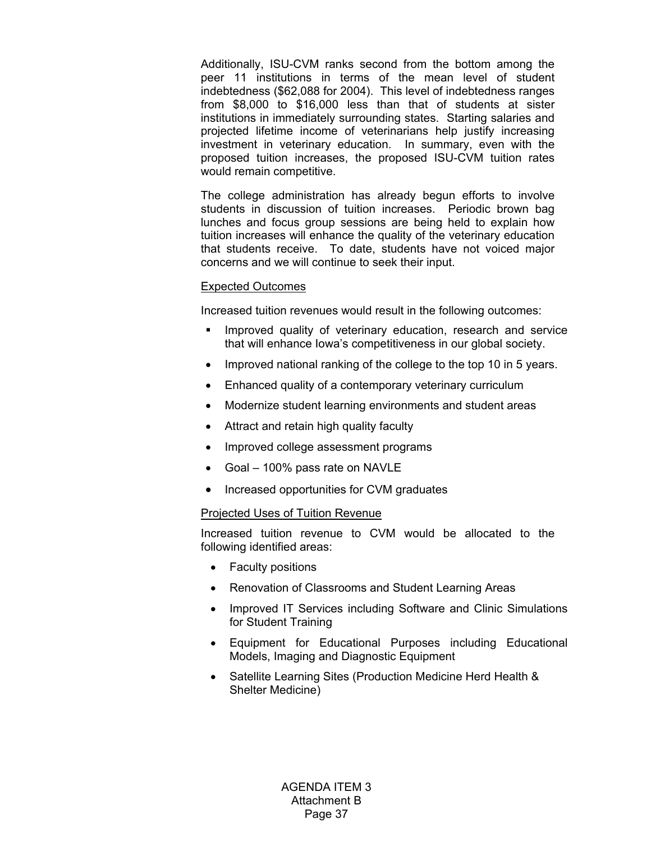Additionally, ISU-CVM ranks second from the bottom among the peer 11 institutions in terms of the mean level of student indebtedness (\$62,088 for 2004). This level of indebtedness ranges from \$8,000 to \$16,000 less than that of students at sister institutions in immediately surrounding states. Starting salaries and projected lifetime income of veterinarians help justify increasing investment in veterinary education. In summary, even with the proposed tuition increases, the proposed ISU-CVM tuition rates would remain competitive.

 The college administration has already begun efforts to involve students in discussion of tuition increases. Periodic brown bag lunches and focus group sessions are being held to explain how tuition increases will enhance the quality of the veterinary education that students receive. To date, students have not voiced major concerns and we will continue to seek their input.

## Expected Outcomes

Increased tuition revenues would result in the following outcomes:

- Improved quality of veterinary education, research and service that will enhance Iowa's competitiveness in our global society.
- Improved national ranking of the college to the top 10 in 5 years.
- Enhanced quality of a contemporary veterinary curriculum
- Modernize student learning environments and student areas
- Attract and retain high quality faculty
- Improved college assessment programs
- Goal 100% pass rate on NAVLE
- Increased opportunities for CVM graduates

# Projected Uses of Tuition Revenue

Increased tuition revenue to CVM would be allocated to the following identified areas:

- Faculty positions
- Renovation of Classrooms and Student Learning Areas
- Improved IT Services including Software and Clinic Simulations for Student Training
- Equipment for Educational Purposes including Educational Models, Imaging and Diagnostic Equipment
- Satellite Learning Sites (Production Medicine Herd Health & Shelter Medicine)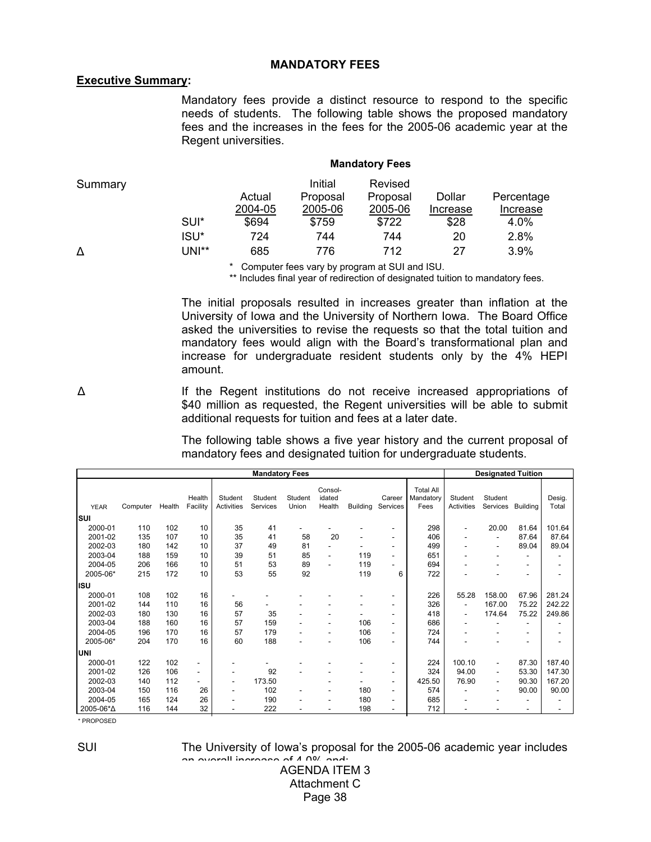### **MANDATORY FEES**

#### **Executive Summary:**

 Mandatory fees provide a distinct resource to respond to the specific needs of students. The following table shows the proposed mandatory fees and the increases in the fees for the 2005-06 academic year at the Regent universities.

| Summary | SUI <sup>*</sup><br>ISU* | Actual<br>2004-05<br>\$694<br>724 | Initial<br>Proposal<br>2005-06<br>\$759<br>744 | Revised<br>Proposal<br>2005-06<br>\$722<br>744 | Dollar<br>Increase<br>\$28<br>20 | Percentage<br>Increase<br>4.0%<br>2.8% |
|---------|--------------------------|-----------------------------------|------------------------------------------------|------------------------------------------------|----------------------------------|----------------------------------------|
| Δ       | UNI**                    | 685                               | 776                                            | 712                                            | 27                               | 3.9%                                   |

\* Computer fees vary by program at SUI and ISU.

\*\* Includes final year of redirection of designated tuition to mandatory fees.

 The initial proposals resulted in increases greater than inflation at the University of Iowa and the University of Northern Iowa. The Board Office asked the universities to revise the requests so that the total tuition and mandatory fees would align with the Board's transformational plan and increase for undergraduate resident students only by the 4% HEPI amount.

∆ If the Regent institutions do not receive increased appropriations of \$40 million as requested, the Regent universities will be able to submit additional requests for tuition and fees at a later date.

> The following table shows a five year history and the current proposal of mandatory fees and designated tuition for undergraduate students.

| <b>Mandatory Fees</b> |          |        |                              |                          |                     |                  | <b>Designated Tuition</b>   |                 |                    |                                       |                              |                              |       |                 |
|-----------------------|----------|--------|------------------------------|--------------------------|---------------------|------------------|-----------------------------|-----------------|--------------------|---------------------------------------|------------------------------|------------------------------|-------|-----------------|
| <b>YEAR</b>           | Computer | Health | Health<br>Facility           | Student<br>Activities    | Student<br>Services | Student<br>Union | Consol-<br>idated<br>Health | <b>Building</b> | Career<br>Services | <b>Total All</b><br>Mandatory<br>Fees | Student<br><b>Activities</b> | Student<br>Services Building |       | Desig.<br>Total |
| Isui                  |          |        |                              |                          |                     |                  |                             |                 |                    |                                       |                              |                              |       |                 |
| 2000-01               | 110      | 102    | 10                           | 35                       | 41                  |                  |                             |                 | ۰.                 | 298                                   | $\overline{\phantom{a}}$     | 20.00                        | 81.64 | 101.64          |
| 2001-02               | 135      | 107    | 10                           | 35                       | 41                  | 58               | 20                          |                 | ۰                  | 406                                   |                              | $\overline{\phantom{a}}$     | 87.64 | 87.64           |
| 2002-03               | 180      | 142    | 10                           | 37                       | 49                  | 81               |                             |                 | ٠                  | 499                                   |                              | $\overline{\phantom{a}}$     | 89.04 | 89.04           |
| 2003-04               | 188      | 159    | 10                           | 39                       | 51                  | 85               | $\overline{\phantom{a}}$    | 119             |                    | 651                                   |                              |                              |       |                 |
| 2004-05               | 206      | 166    | 10                           | 51                       | 53                  | 89               | ٠                           | 119             |                    | 694                                   |                              |                              |       |                 |
| 2005-06*              | 215      | 172    | 10                           | 53                       | 55                  | 92               |                             | 119             | 6                  | 722                                   |                              |                              |       |                 |
| <b>ISU</b>            |          |        |                              |                          |                     |                  |                             |                 |                    |                                       |                              |                              |       |                 |
| 2000-01               | 108      | 102    | 16                           |                          |                     |                  |                             |                 | ۰                  | 226                                   | 55.28                        | 158.00                       | 67.96 | 281.24          |
| 2001-02               | 144      | 110    | 16                           | 56                       |                     |                  |                             |                 | ۰                  | 326                                   | $\overline{\phantom{a}}$     | 167.00                       | 75.22 | 242.22          |
| 2002-03               | 180      | 130    | 16                           | 57                       | 35                  |                  |                             |                 | ۰                  | 418                                   | ٠                            | 174.64                       | 75.22 | 249.86          |
| 2003-04               | 188      | 160    | 16                           | 57                       | 159                 |                  |                             | 106             | ۰                  | 686                                   |                              |                              |       |                 |
| 2004-05               | 196      | 170    | 16                           | 57                       | 179                 |                  |                             | 106             | ۰                  | 724                                   |                              |                              |       |                 |
| 2005-06*              | 204      | 170    | 16                           | 60                       | 188                 |                  | ٠                           | 106             | ۰                  | 744                                   |                              |                              | ۰     |                 |
| luni                  |          |        |                              |                          |                     |                  |                             |                 |                    |                                       |                              |                              |       |                 |
| 2000-01               | 122      | 102    | $\qquad \qquad \blacksquare$ |                          |                     |                  |                             |                 | ۰.                 | 224                                   | 100.10                       | $\overline{\phantom{a}}$     | 87.30 | 187.40          |
| 2001-02               | 126      | 106    | ۰                            |                          | 92                  |                  |                             |                 | ٠                  | 324                                   | 94.00                        | $\overline{\phantom{a}}$     | 53.30 | 147.30          |
| 2002-03               | 140      | 112    | ۰                            | $\overline{\phantom{a}}$ | 173.50              |                  |                             |                 | ٠                  | 425.50                                | 76.90                        | $\overline{\phantom{a}}$     | 90.30 | 167.20          |
| 2003-04               | 150      | 116    | 26                           | ۰                        | 102                 |                  |                             | 180             | ۰                  | 574                                   |                              | $\overline{\phantom{a}}$     | 90.00 | 90.00           |
| 2004-05               | 165      | 124    | 26                           |                          | 190                 |                  |                             | 180             | ٠                  | 685                                   |                              |                              |       |                 |
| 2005-06*A             | 116      | 144    | 32                           |                          | 222                 |                  |                             | 198             | ٠                  | 712                                   |                              |                              |       |                 |

SUI The University of Iowa's proposal for the 2005-06 academic year includes an overall increase of 4 0% and:

# AGENDA ITEM 3 Attachment C Page 38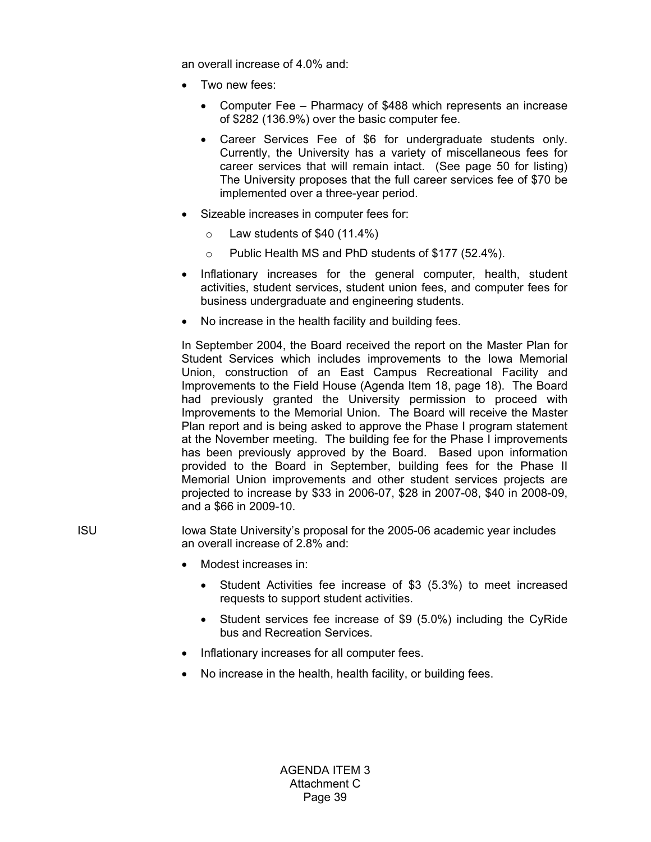an overall increase of 4.0% and:

- Two new fees:
	- Computer Fee Pharmacy of \$488 which represents an increase of \$282 (136.9%) over the basic computer fee.
	- Career Services Fee of \$6 for undergraduate students only. Currently, the University has a variety of miscellaneous fees for career services that will remain intact. (See page 50 for listing) The University proposes that the full career services fee of \$70 be implemented over a three-year period.
- Sizeable increases in computer fees for:
	- $\circ$  Law students of \$40 (11.4%)
	- o Public Health MS and PhD students of \$177 (52.4%).
- Inflationary increases for the general computer, health, student activities, student services, student union fees, and computer fees for business undergraduate and engineering students.
- No increase in the health facility and building fees.

In September 2004, the Board received the report on the Master Plan for Student Services which includes improvements to the Iowa Memorial Union, construction of an East Campus Recreational Facility and Improvements to the Field House (Agenda Item 18, page 18). The Board had previously granted the University permission to proceed with Improvements to the Memorial Union. The Board will receive the Master Plan report and is being asked to approve the Phase I program statement at the November meeting. The building fee for the Phase I improvements has been previously approved by the Board. Based upon information provided to the Board in September, building fees for the Phase II Memorial Union improvements and other student services projects are projected to increase by \$33 in 2006-07, \$28 in 2007-08, \$40 in 2008-09, and a \$66 in 2009-10.

- ISU Iowa State University's proposal for the 2005-06 academic year includes an overall increase of 2.8% and:
	- Modest increases in:
		- Student Activities fee increase of \$3 (5.3%) to meet increased requests to support student activities.
		- Student services fee increase of \$9 (5.0%) including the CyRide bus and Recreation Services.
	- Inflationary increases for all computer fees.
	- No increase in the health, health facility, or building fees.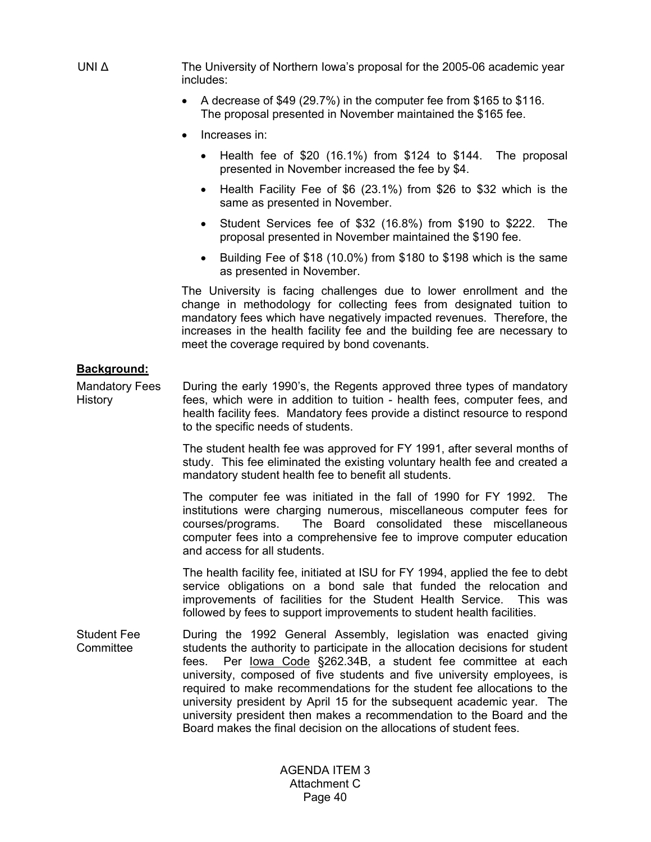- UNI ∆ The University of Northern Iowa's proposal for the 2005-06 academic year includes:
	- A decrease of \$49 (29.7%) in the computer fee from \$165 to \$116. The proposal presented in November maintained the \$165 fee.
	- Increases in:
		- Health fee of \$20 (16.1%) from \$124 to \$144. The proposal presented in November increased the fee by \$4.
		- Health Facility Fee of \$6 (23.1%) from \$26 to \$32 which is the same as presented in November.
		- Student Services fee of \$32 (16.8%) from \$190 to \$222. The proposal presented in November maintained the \$190 fee.
		- Building Fee of \$18 (10.0%) from \$180 to \$198 which is the same as presented in November.

 The University is facing challenges due to lower enrollment and the change in methodology for collecting fees from designated tuition to mandatory fees which have negatively impacted revenues. Therefore, the increases in the health facility fee and the building fee are necessary to meet the coverage required by bond covenants.

#### **Background:**

Mandatory Fees History During the early 1990's, the Regents approved three types of mandatory fees, which were in addition to tuition - health fees, computer fees, and health facility fees. Mandatory fees provide a distinct resource to respond to the specific needs of students.

> The student health fee was approved for FY 1991, after several months of study. This fee eliminated the existing voluntary health fee and created a mandatory student health fee to benefit all students.

> The computer fee was initiated in the fall of 1990 for FY 1992. The institutions were charging numerous, miscellaneous computer fees for courses/programs. The Board consolidated these miscellaneous computer fees into a comprehensive fee to improve computer education and access for all students.

> The health facility fee, initiated at ISU for FY 1994, applied the fee to debt service obligations on a bond sale that funded the relocation and improvements of facilities for the Student Health Service. This was followed by fees to support improvements to student health facilities.

Student Fee **Committee** During the 1992 General Assembly, legislation was enacted giving students the authority to participate in the allocation decisions for student fees. Per Iowa Code §262.34B, a student fee committee at each university, composed of five students and five university employees, is required to make recommendations for the student fee allocations to the university president by April 15 for the subsequent academic year. The university president then makes a recommendation to the Board and the Board makes the final decision on the allocations of student fees.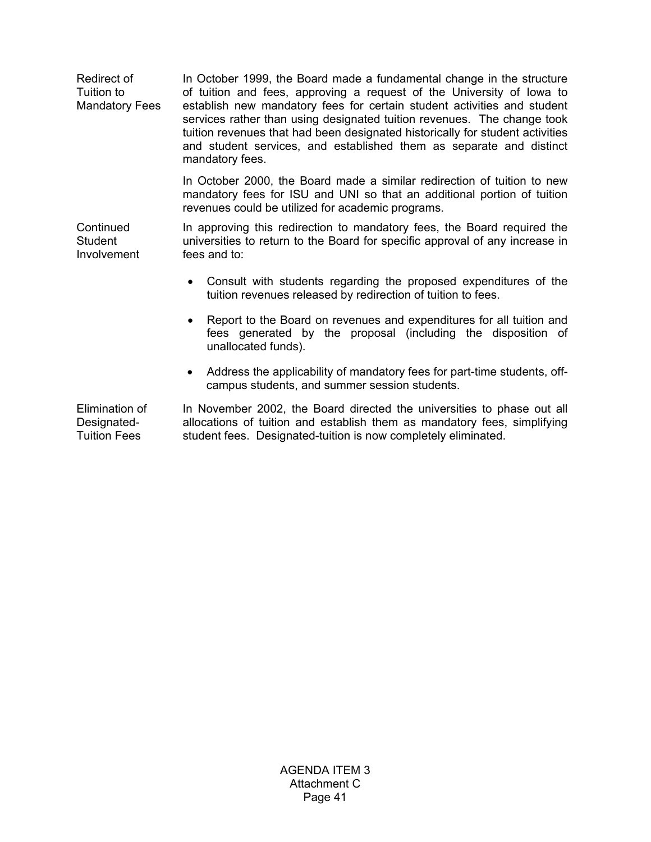Redirect of Tuition to Mandatory Fees In October 1999, the Board made a fundamental change in the structure of tuition and fees, approving a request of the University of Iowa to establish new mandatory fees for certain student activities and student services rather than using designated tuition revenues. The change took tuition revenues that had been designated historically for student activities and student services, and established them as separate and distinct mandatory fees. In October 2000, the Board made a similar redirection of tuition to new mandatory fees for ISU and UNI so that an additional portion of tuition

**Continued** Student Involvement In approving this redirection to mandatory fees, the Board required the universities to return to the Board for specific approval of any increase in fees and to:

revenues could be utilized for academic programs.

- Consult with students regarding the proposed expenditures of the tuition revenues released by redirection of tuition to fees.
- Report to the Board on revenues and expenditures for all tuition and fees generated by the proposal (including the disposition of unallocated funds).
- Address the applicability of mandatory fees for part-time students, offcampus students, and summer session students.

Elimination of Designated-Tuition Fees

In November 2002, the Board directed the universities to phase out all allocations of tuition and establish them as mandatory fees, simplifying student fees. Designated-tuition is now completely eliminated.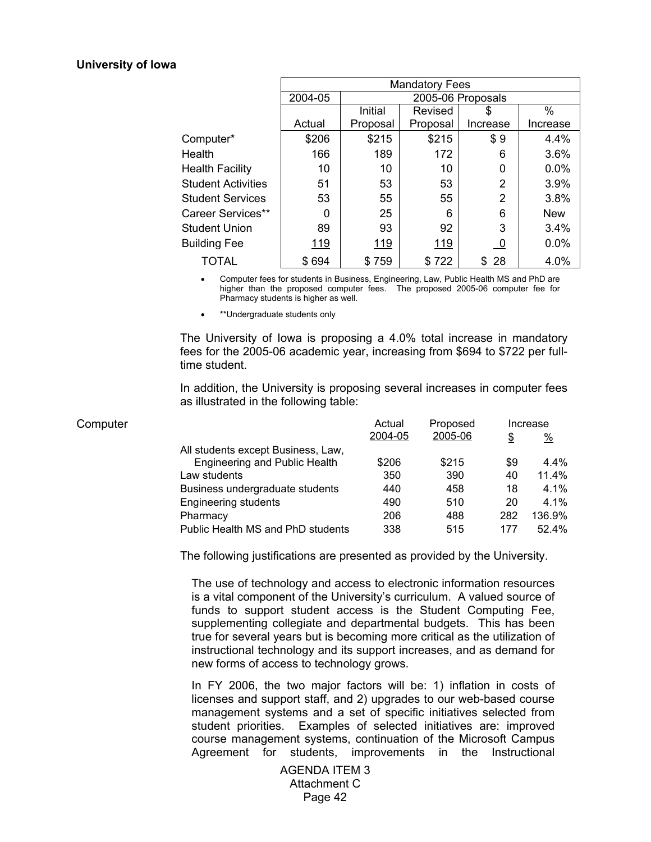## **University of Iowa**

|                         | <b>Mandatory Fees</b> |                   |            |           |            |  |  |  |
|-------------------------|-----------------------|-------------------|------------|-----------|------------|--|--|--|
|                         | 2004-05               | 2005-06 Proposals |            |           |            |  |  |  |
|                         |                       | Initial           | Revised    | \$        | $\%$       |  |  |  |
|                         | Actual                | Proposal          | Proposal   | Increase  | Increase   |  |  |  |
| Computer*               | \$206                 | \$215             | \$215      | \$9       | 4.4%       |  |  |  |
| Health                  | 166                   | 189               | 172        | 6         | 3.6%       |  |  |  |
| <b>Health Facility</b>  | 10                    | 10                | 10         | 0         | 0.0%       |  |  |  |
| Student Activities      | 51                    | 53                | 53         | 2         | 3.9%       |  |  |  |
| <b>Student Services</b> | 53                    | 55                | 55         | 2         | 3.8%       |  |  |  |
| Career Services**       |                       | 25                | 6          | 6         | <b>New</b> |  |  |  |
| Student Union           | 89                    | 93                | 92         | 3         | 3.4%       |  |  |  |
| <b>Building Fee</b>     | <u> 119</u>           | <u> 119</u>       | <u>119</u> | <u>_0</u> | 0.0%       |  |  |  |
| TOTAL                   | \$694                 | \$759             | \$722      | -28<br>\$ | 4.0%       |  |  |  |

• Computer fees for students in Business, Engineering, Law, Public Health MS and PhD are higher than the proposed computer fees. The proposed 2005-06 computer fee for Pharmacy students is higher as well.

• \*\*Undergraduate students only

 The University of Iowa is proposing a 4.0% total increase in mandatory fees for the 2005-06 academic year, increasing from \$694 to \$722 per fulltime student.

In addition, the University is proposing several increases in computer fees as illustrated in the following table:

| Computer |                                      | Actual  | Proposed |     | Increase      |
|----------|--------------------------------------|---------|----------|-----|---------------|
|          |                                      | 2004-05 | 2005-06  | \$  | $\frac{0}{0}$ |
|          | All students except Business, Law,   |         |          |     |               |
|          | <b>Engineering and Public Health</b> | \$206   | \$215    | \$9 | $4.4\%$       |
|          | Law students                         | 350     | 390      | 40  | 11.4%         |
|          | Business undergraduate students      | 440     | 458      | 18  | 4.1%          |
|          | <b>Engineering students</b>          | 490     | 510      | 20  | 4.1%          |
|          | Pharmacy                             | 206     | 488      | 282 | 136.9%        |
|          | Public Health MS and PhD students    | 338     | 515      | 177 | 52.4%         |

The following justifications are presented as provided by the University.

The use of technology and access to electronic information resources is a vital component of the University's curriculum. A valued source of funds to support student access is the Student Computing Fee, supplementing collegiate and departmental budgets. This has been true for several years but is becoming more critical as the utilization of instructional technology and its support increases, and as demand for new forms of access to technology grows.

In FY 2006, the two major factors will be: 1) inflation in costs of licenses and support staff, and 2) upgrades to our web-based course management systems and a set of specific initiatives selected from student priorities. Examples of selected initiatives are: improved course management systems, continuation of the Microsoft Campus Agreement for students, improvements in the Instructional

> AGENDA ITEM 3 Attachment C Page 42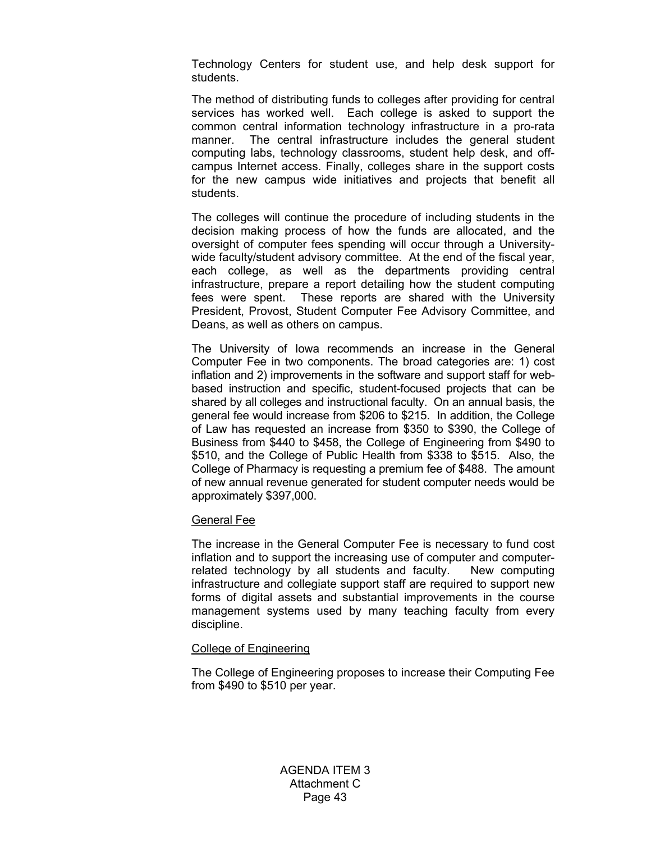Technology Centers for student use, and help desk support for students.

The method of distributing funds to colleges after providing for central services has worked well. Each college is asked to support the common central information technology infrastructure in a pro-rata manner. The central infrastructure includes the general student computing labs, technology classrooms, student help desk, and offcampus Internet access. Finally, colleges share in the support costs for the new campus wide initiatives and projects that benefit all students.

The colleges will continue the procedure of including students in the decision making process of how the funds are allocated, and the oversight of computer fees spending will occur through a Universitywide faculty/student advisory committee. At the end of the fiscal year, each college, as well as the departments providing central infrastructure, prepare a report detailing how the student computing fees were spent. These reports are shared with the University President, Provost, Student Computer Fee Advisory Committee, and Deans, as well as others on campus.

 The University of Iowa recommends an increase in the General Computer Fee in two components. The broad categories are: 1) cost inflation and 2) improvements in the software and support staff for webbased instruction and specific, student-focused projects that can be shared by all colleges and instructional faculty. On an annual basis, the general fee would increase from \$206 to \$215. In addition, the College of Law has requested an increase from \$350 to \$390, the College of Business from \$440 to \$458, the College of Engineering from \$490 to \$510, and the College of Public Health from \$338 to \$515. Also, the College of Pharmacy is requesting a premium fee of \$488. The amount of new annual revenue generated for student computer needs would be approximately \$397,000.

#### General Fee

The increase in the General Computer Fee is necessary to fund cost inflation and to support the increasing use of computer and computerrelated technology by all students and faculty. New computing infrastructure and collegiate support staff are required to support new forms of digital assets and substantial improvements in the course management systems used by many teaching faculty from every discipline.

#### College of Engineering

The College of Engineering proposes to increase their Computing Fee from \$490 to \$510 per year.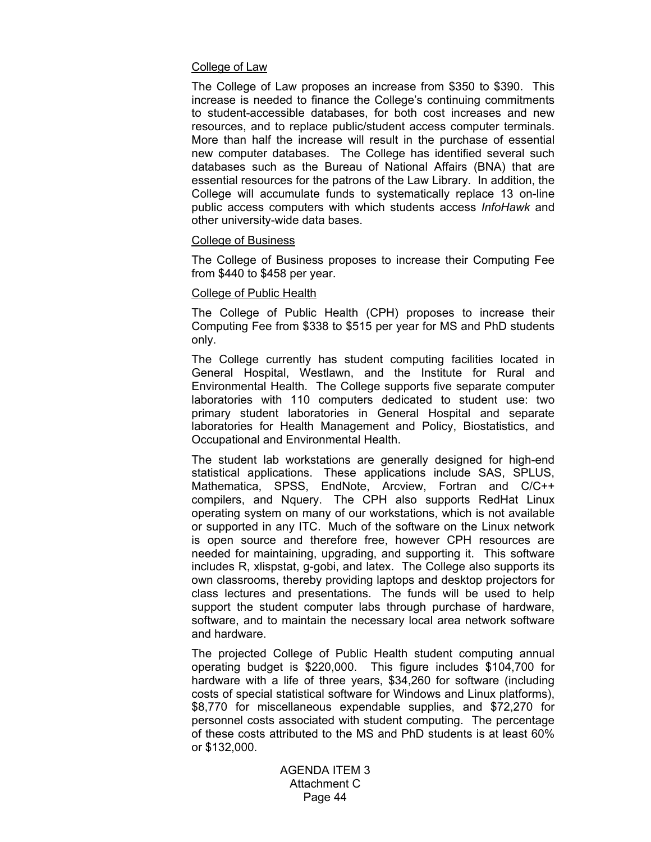### College of Law

The College of Law proposes an increase from \$350 to \$390. This increase is needed to finance the College's continuing commitments to student-accessible databases, for both cost increases and new resources, and to replace public/student access computer terminals. More than half the increase will result in the purchase of essential new computer databases. The College has identified several such databases such as the Bureau of National Affairs (BNA) that are essential resources for the patrons of the Law Library. In addition, the College will accumulate funds to systematically replace 13 on-line public access computers with which students access *InfoHawk* and other university-wide data bases.

#### College of Business

The College of Business proposes to increase their Computing Fee from \$440 to \$458 per year.

#### College of Public Health

The College of Public Health (CPH) proposes to increase their Computing Fee from \$338 to \$515 per year for MS and PhD students only.

The College currently has student computing facilities located in General Hospital, Westlawn, and the Institute for Rural and Environmental Health. The College supports five separate computer laboratories with 110 computers dedicated to student use: two primary student laboratories in General Hospital and separate laboratories for Health Management and Policy, Biostatistics, and Occupational and Environmental Health.

The student lab workstations are generally designed for high-end statistical applications. These applications include SAS, SPLUS, Mathematica, SPSS, EndNote, Arcview, Fortran and C/C++ compilers, and Nquery. The CPH also supports RedHat Linux operating system on many of our workstations, which is not available or supported in any ITC. Much of the software on the Linux network is open source and therefore free, however CPH resources are needed for maintaining, upgrading, and supporting it. This software includes R, xlispstat, g-gobi, and latex. The College also supports its own classrooms, thereby providing laptops and desktop projectors for class lectures and presentations. The funds will be used to help support the student computer labs through purchase of hardware, software, and to maintain the necessary local area network software and hardware.

The projected College of Public Health student computing annual operating budget is \$220,000. This figure includes \$104,700 for hardware with a life of three years, \$34,260 for software (including costs of special statistical software for Windows and Linux platforms), \$8,770 for miscellaneous expendable supplies, and \$72,270 for personnel costs associated with student computing. The percentage of these costs attributed to the MS and PhD students is at least 60% or \$132,000.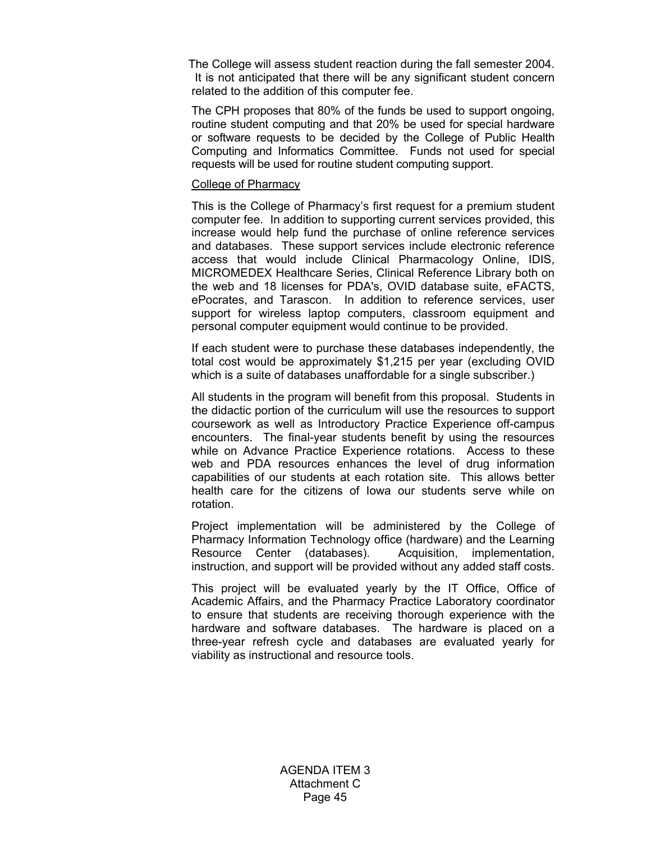The College will assess student reaction during the fall semester 2004. It is not anticipated that there will be any significant student concern related to the addition of this computer fee.

The CPH proposes that 80% of the funds be used to support ongoing, routine student computing and that 20% be used for special hardware or software requests to be decided by the College of Public Health Computing and Informatics Committee. Funds not used for special requests will be used for routine student computing support.

#### College of Pharmacy

This is the College of Pharmacy's first request for a premium student computer fee. In addition to supporting current services provided, this increase would help fund the purchase of online reference services and databases. These support services include electronic reference access that would include Clinical Pharmacology Online, IDIS, MICROMEDEX Healthcare Series, Clinical Reference Library both on the web and 18 licenses for PDA's, OVID database suite, eFACTS, ePocrates, and Tarascon. In addition to reference services, user support for wireless laptop computers, classroom equipment and personal computer equipment would continue to be provided.

If each student were to purchase these databases independently, the total cost would be approximately \$1,215 per year (excluding OVID which is a suite of databases unaffordable for a single subscriber.)

All students in the program will benefit from this proposal. Students in the didactic portion of the curriculum will use the resources to support coursework as well as Introductory Practice Experience off-campus encounters. The final-year students benefit by using the resources while on Advance Practice Experience rotations. Access to these web and PDA resources enhances the level of drug information capabilities of our students at each rotation site. This allows better health care for the citizens of Iowa our students serve while on rotation.

Project implementation will be administered by the College of Pharmacy Information Technology office (hardware) and the Learning Resource Center (databases). Acquisition, implementation, instruction, and support will be provided without any added staff costs.

This project will be evaluated yearly by the IT Office, Office of Academic Affairs, and the Pharmacy Practice Laboratory coordinator to ensure that students are receiving thorough experience with the hardware and software databases. The hardware is placed on a three-year refresh cycle and databases are evaluated yearly for viability as instructional and resource tools.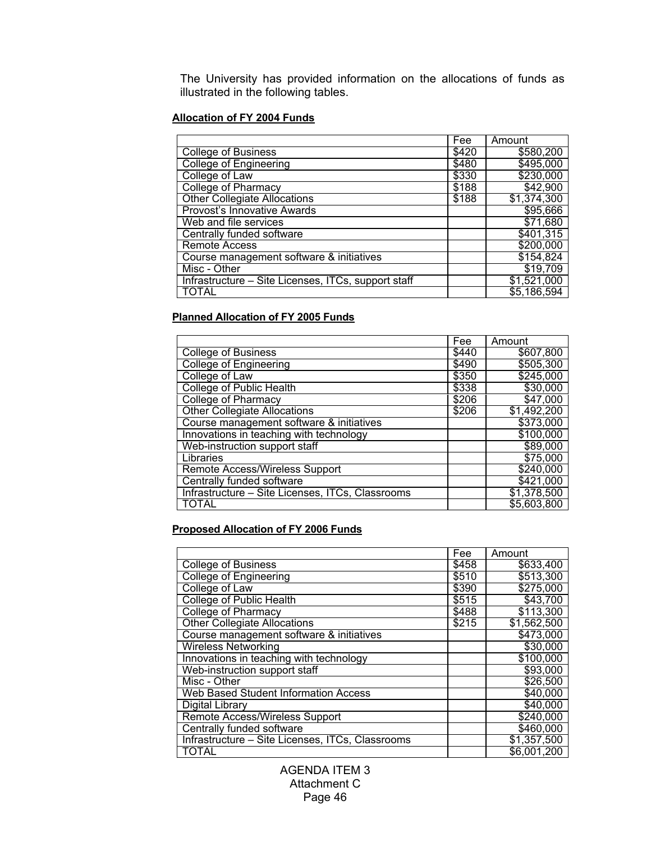The University has provided information on the allocations of funds as illustrated in the following tables.

## **Allocation of FY 2004 Funds**

|                                                     | Fee   | Amount      |
|-----------------------------------------------------|-------|-------------|
| <b>College of Business</b>                          | \$420 | \$580,200   |
| <b>College of Engineering</b>                       | \$480 | \$495,000   |
| College of Law                                      | \$330 | \$230,000   |
| <b>College of Pharmacy</b>                          | \$188 | \$42,900    |
| <b>Other Collegiate Allocations</b>                 | \$188 | \$1,374,300 |
| Provost's Innovative Awards                         |       | \$95,666    |
| Web and file services                               |       | \$71,680    |
| Centrally funded software                           |       | \$401,315   |
| <b>Remote Access</b>                                |       | \$200,000   |
| Course management software & initiatives            |       | \$154,824   |
| Misc - Other                                        |       | \$19,709    |
| Infrastructure – Site Licenses, ITCs, support staff |       | \$1,521,000 |
|                                                     |       | \$5,186,594 |

# **Planned Allocation of FY 2005 Funds**

|                                                  | Fee   | Amount           |
|--------------------------------------------------|-------|------------------|
| <b>College of Business</b>                       | \$440 | \$607,800        |
| <b>College of Engineering</b>                    | \$490 | \$505,300        |
| College of Law                                   | \$350 | \$245,000        |
| <b>College of Public Health</b>                  | \$338 | \$30,000         |
| <b>College of Pharmacy</b>                       | \$206 | \$47,000         |
| <b>Other Collegiate Allocations</b>              | \$206 | \$1,492,200      |
| Course management software & initiatives         |       | \$373,000        |
| Innovations in teaching with technology          |       | \$100,000        |
| Web-instruction support staff                    |       | \$89,000         |
| Libraries                                        |       | \$75,000         |
| Remote Access/Wireless Support                   |       | $\sqrt{240,000}$ |
| Centrally funded software                        |       | \$421,000        |
| Infrastructure - Site Licenses, ITCs, Classrooms |       | \$1,378,500      |
| <b>TOTAL</b>                                     |       | \$5,603,800      |

# **Proposed Allocation of FY 2006 Funds**

|                                                  | Fee   | Amount      |
|--------------------------------------------------|-------|-------------|
| <b>College of Business</b>                       | \$458 | \$633,400   |
| <b>College of Engineering</b>                    | \$510 | \$513,300   |
| College of Law                                   | \$390 | \$275,000   |
| <b>College of Public Health</b>                  | \$515 | \$43,700    |
| <b>College of Pharmacy</b>                       | \$488 | \$113,300   |
| <b>Other Collegiate Allocations</b>              | \$215 | \$1,562,500 |
| Course management software & initiatives         |       | \$473,000   |
| <b>Wireless Networking</b>                       |       | \$30,000    |
| Innovations in teaching with technology          |       | \$100,000   |
| Web-instruction support staff                    |       | \$93,000    |
| Misc - Other                                     |       | \$26,500    |
| <b>Web Based Student Information Access</b>      |       | \$40,000    |
| Digital Library                                  |       | \$40,000    |
| Remote Access/Wireless Support                   |       | \$240,000   |
| Centrally funded software                        |       | \$460,000   |
| Infrastructure – Site Licenses, ITCs, Classrooms |       | \$1,357,500 |
| <b>TOTAL</b>                                     |       | \$6,001,200 |

# AGENDA ITEM 3 Attachment C Page 46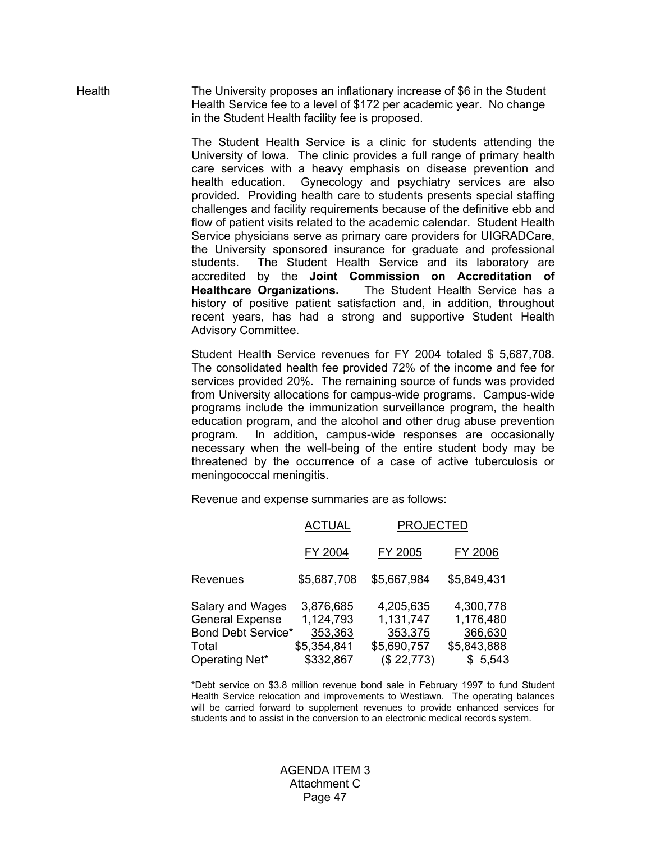Health The University proposes an inflationary increase of \$6 in the Student Health Service fee to a level of \$172 per academic year. No change in the Student Health facility fee is proposed.

> The Student Health Service is a clinic for students attending the University of Iowa. The clinic provides a full range of primary health care services with a heavy emphasis on disease prevention and health education. Gynecology and psychiatry services are also provided. Providing health care to students presents special staffing challenges and facility requirements because of the definitive ebb and flow of patient visits related to the academic calendar. Student Health Service physicians serve as primary care providers for UIGRADCare, the University sponsored insurance for graduate and professional students. The Student Health Service and its laboratory are accredited by the **Joint Commission on Accreditation of Healthcare Organizations.** The Student Health Service has a history of positive patient satisfaction and, in addition, throughout recent years, has had a strong and supportive Student Health Advisory Committee.

> Student Health Service revenues for FY 2004 totaled \$ 5,687,708. The consolidated health fee provided 72% of the income and fee for services provided 20%. The remaining source of funds was provided from University allocations for campus-wide programs. Campus-wide programs include the immunization surveillance program, the health education program, and the alcohol and other drug abuse prevention program. In addition, campus-wide responses are occasionally necessary when the well-being of the entire student body may be threatened by the occurrence of a case of active tuberculosis or meningococcal meningitis.

Revenue and expense summaries are as follows:

|                                                                  | <b>ACTUAL</b>                     | <b>PROJECTED</b>                  |                                   |  |
|------------------------------------------------------------------|-----------------------------------|-----------------------------------|-----------------------------------|--|
|                                                                  | FY 2004                           | FY 2005                           | FY 2006                           |  |
| Revenues                                                         | \$5,687,708                       | \$5,667,984                       | \$5,849,431                       |  |
| Salary and Wages<br><b>General Expense</b><br>Bond Debt Service* | 3,876,685<br>1,124,793<br>353,363 | 4,205,635<br>1,131,747<br>353,375 | 4,300,778<br>1,176,480<br>366,630 |  |
| Total<br>Operating Net*                                          | \$5,354,841<br>\$332,867          | \$5,690,757<br>(\$22,773)         | \$5,843,888<br>\$5,543            |  |

\*Debt service on \$3.8 million revenue bond sale in February 1997 to fund Student Health Service relocation and improvements to Westlawn. The operating balances will be carried forward to supplement revenues to provide enhanced services for students and to assist in the conversion to an electronic medical records system.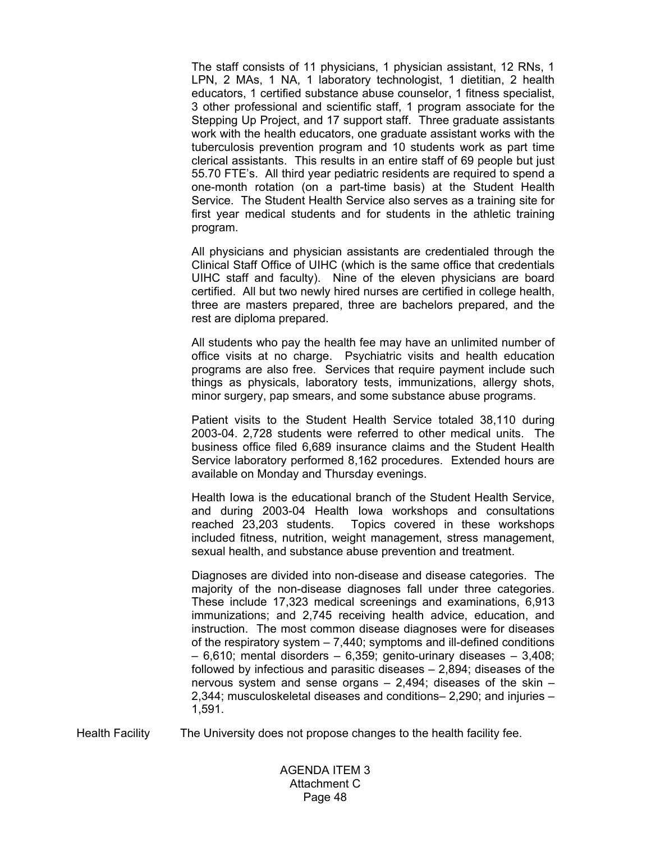The staff consists of 11 physicians, 1 physician assistant, 12 RNs, 1 LPN, 2 MAs, 1 NA, 1 laboratory technologist, 1 dietitian, 2 health educators, 1 certified substance abuse counselor, 1 fitness specialist, 3 other professional and scientific staff, 1 program associate for the Stepping Up Project, and 17 support staff. Three graduate assistants work with the health educators, one graduate assistant works with the tuberculosis prevention program and 10 students work as part time clerical assistants. This results in an entire staff of 69 people but just 55.70 FTE's. All third year pediatric residents are required to spend a one-month rotation (on a part-time basis) at the Student Health Service. The Student Health Service also serves as a training site for first year medical students and for students in the athletic training program.

 All physicians and physician assistants are credentialed through the Clinical Staff Office of UIHC (which is the same office that credentials UIHC staff and faculty). Nine of the eleven physicians are board certified. All but two newly hired nurses are certified in college health, three are masters prepared, three are bachelors prepared, and the rest are diploma prepared.

 All students who pay the health fee may have an unlimited number of office visits at no charge. Psychiatric visits and health education programs are also free. Services that require payment include such things as physicals, laboratory tests, immunizations, allergy shots, minor surgery, pap smears, and some substance abuse programs.

 Patient visits to the Student Health Service totaled 38,110 during 2003-04. 2,728 students were referred to other medical units. The business office filed 6,689 insurance claims and the Student Health Service laboratory performed 8,162 procedures. Extended hours are available on Monday and Thursday evenings.

 Health Iowa is the educational branch of the Student Health Service, and during 2003-04 Health Iowa workshops and consultations reached 23,203 students. Topics covered in these workshops included fitness, nutrition, weight management, stress management, sexual health, and substance abuse prevention and treatment.

 Diagnoses are divided into non-disease and disease categories. The majority of the non-disease diagnoses fall under three categories. These include 17,323 medical screenings and examinations, 6,913 immunizations; and 2,745 receiving health advice, education, and instruction. The most common disease diagnoses were for diseases of the respiratory system  $-7,440$ ; symptoms and ill-defined conditions  $-6.610$ ; mental disorders  $-6.359$ ; genito-urinary diseases  $-3.408$ ; followed by infectious and parasitic diseases – 2,894; diseases of the nervous system and sense organs – 2,494; diseases of the skin – 2,344; musculoskeletal diseases and conditions– 2,290; and injuries – 1,591.

Health Facility The University does not propose changes to the health facility fee.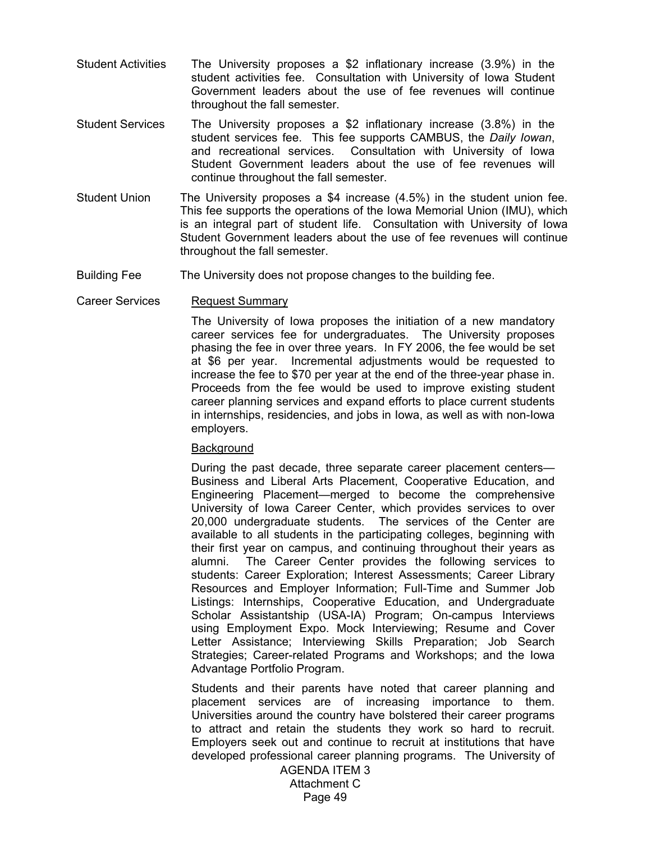- Student Activities The University proposes a \$2 inflationary increase (3.9%) in the student activities fee. Consultation with University of Iowa Student Government leaders about the use of fee revenues will continue throughout the fall semester.
- Student Services The University proposes a \$2 inflationary increase (3.8%) in the student services fee. This fee supports CAMBUS, the *Daily Iowan*, and recreational services. Consultation with University of Iowa Student Government leaders about the use of fee revenues will continue throughout the fall semester.
- Student Union The University proposes a \$4 increase (4.5%) in the student union fee. This fee supports the operations of the Iowa Memorial Union (IMU), which is an integral part of student life. Consultation with University of Iowa Student Government leaders about the use of fee revenues will continue throughout the fall semester.
- Building Fee The University does not propose changes to the building fee.
- Career Services Request Summary

The University of Iowa proposes the initiation of a new mandatory career services fee for undergraduates. The University proposes phasing the fee in over three years. In FY 2006, the fee would be set at \$6 per year. Incremental adjustments would be requested to increase the fee to \$70 per year at the end of the three-year phase in. Proceeds from the fee would be used to improve existing student career planning services and expand efforts to place current students in internships, residencies, and jobs in Iowa, as well as with non-Iowa employers.

#### Background

During the past decade, three separate career placement centers— Business and Liberal Arts Placement, Cooperative Education, and Engineering Placement—merged to become the comprehensive University of Iowa Career Center, which provides services to over 20,000 undergraduate students. The services of the Center are available to all students in the participating colleges, beginning with their first year on campus, and continuing throughout their years as alumni. The Career Center provides the following services to students: Career Exploration; Interest Assessments; Career Library Resources and Employer Information; Full-Time and Summer Job Listings: Internships, Cooperative Education, and Undergraduate Scholar Assistantship (USA-IA) Program; On-campus Interviews using Employment Expo. Mock Interviewing; Resume and Cover Letter Assistance; Interviewing Skills Preparation; Job Search Strategies; Career-related Programs and Workshops; and the Iowa Advantage Portfolio Program.

AGENDA ITEM 3 Students and their parents have noted that career planning and placement services are of increasing importance to them. Universities around the country have bolstered their career programs to attract and retain the students they work so hard to recruit. Employers seek out and continue to recruit at institutions that have developed professional career planning programs. The University of

Attachment C Page 49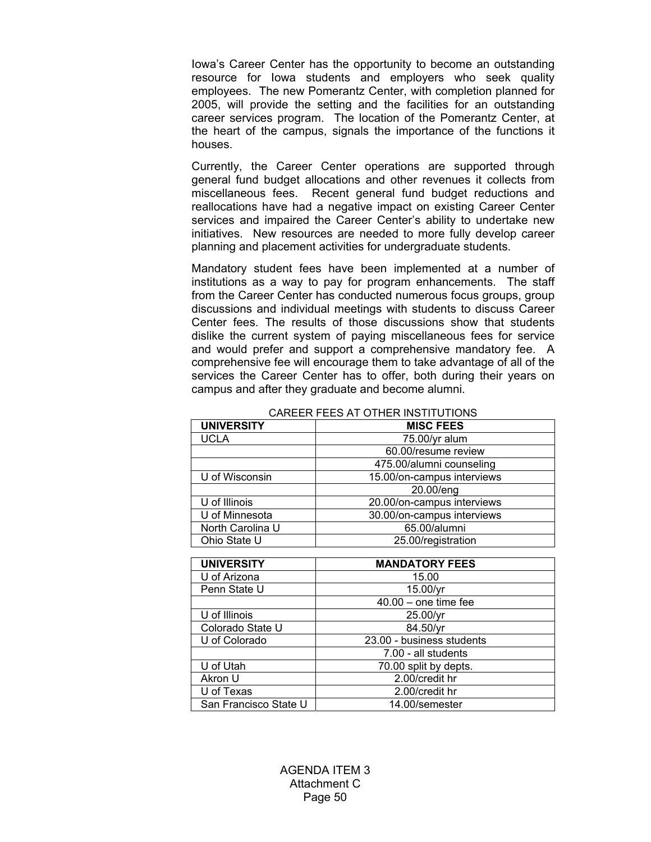Iowa's Career Center has the opportunity to become an outstanding resource for Iowa students and employers who seek quality employees. The new Pomerantz Center, with completion planned for 2005, will provide the setting and the facilities for an outstanding career services program. The location of the Pomerantz Center, at the heart of the campus, signals the importance of the functions it houses.

 Currently, the Career Center operations are supported through general fund budget allocations and other revenues it collects from miscellaneous fees. Recent general fund budget reductions and reallocations have had a negative impact on existing Career Center services and impaired the Career Center's ability to undertake new initiatives. New resources are needed to more fully develop career planning and placement activities for undergraduate students.

Mandatory student fees have been implemented at a number of institutions as a way to pay for program enhancements. The staff from the Career Center has conducted numerous focus groups, group discussions and individual meetings with students to discuss Career Center fees. The results of those discussions show that students dislike the current system of paying miscellaneous fees for service and would prefer and support a comprehensive mandatory fee. A comprehensive fee will encourage them to take advantage of all of the services the Career Center has to offer, both during their years on campus and after they graduate and become alumni.

| <b>UNIVERSITY</b>     | <b>MISC FEES</b>           |
|-----------------------|----------------------------|
| <b>UCLA</b>           | 75.00/yr alum              |
|                       | 60.00/resume review        |
|                       | 475.00/alumni counseling   |
| U of Wisconsin        | 15.00/on-campus interviews |
|                       | 20.00/eng                  |
| U of Illinois         | 20.00/on-campus interviews |
| U of Minnesota        | 30.00/on-campus interviews |
| North Carolina U      | 65.00/alumni               |
| Ohio State U          | 25.00/registration         |
|                       |                            |
| <b>UNIVERSITY</b>     | <b>MANDATORY FEES</b>      |
| U of Arizona          | 15.00                      |
| Penn State U          | 15.00/yr                   |
|                       | $40.00 -$ one time fee     |
| U of Illinois         | 25.00/yr                   |
| Colorado State U      | 84.50/yr                   |
| U of Colorado         | 23.00 - business students  |
|                       | 7.00 - all students        |
| U of Utah             | 70.00 split by depts.      |
| Akron U               | 2.00/credit hr             |
| U of Texas            | 2.00/credit hr             |
| San Francisco State U | 14.00/semester             |

CAREER FEES AT OTHER INSTITUTIONS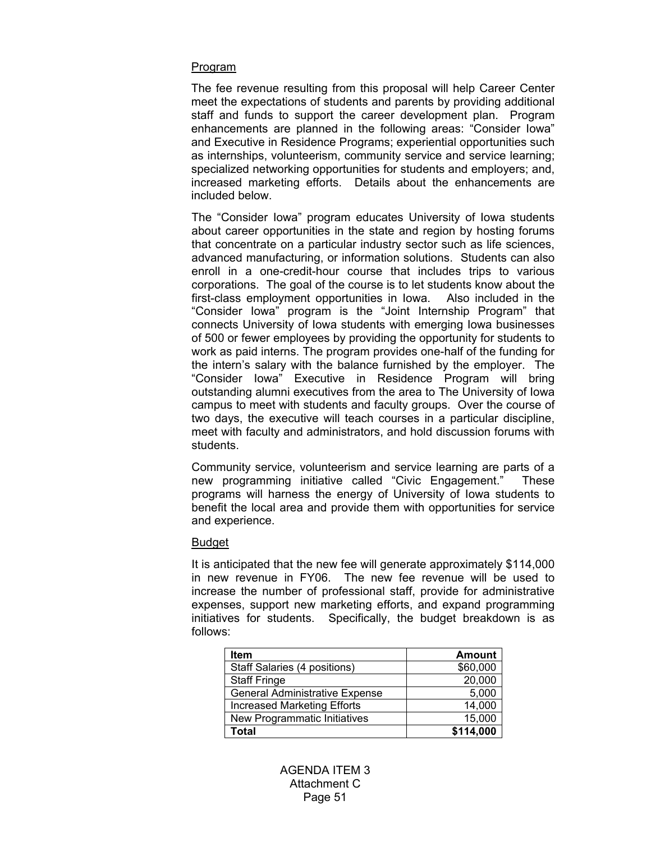#### Program

The fee revenue resulting from this proposal will help Career Center meet the expectations of students and parents by providing additional staff and funds to support the career development plan. Program enhancements are planned in the following areas: "Consider Iowa" and Executive in Residence Programs; experiential opportunities such as internships, volunteerism, community service and service learning; specialized networking opportunities for students and employers; and, increased marketing efforts. Details about the enhancements are included below.

The "Consider Iowa" program educates University of Iowa students about career opportunities in the state and region by hosting forums that concentrate on a particular industry sector such as life sciences, advanced manufacturing, or information solutions. Students can also enroll in a one-credit-hour course that includes trips to various corporations. The goal of the course is to let students know about the first-class employment opportunities in Iowa. Also included in the "Consider Iowa" program is the "Joint Internship Program" that connects University of Iowa students with emerging Iowa businesses of 500 or fewer employees by providing the opportunity for students to work as paid interns. The program provides one-half of the funding for the intern's salary with the balance furnished by the employer. The "Consider Iowa" Executive in Residence Program will bring outstanding alumni executives from the area to The University of Iowa campus to meet with students and faculty groups. Over the course of two days, the executive will teach courses in a particular discipline, meet with faculty and administrators, and hold discussion forums with students.

 Community service, volunteerism and service learning are parts of a new programming initiative called "Civic Engagement." These programs will harness the energy of University of Iowa students to benefit the local area and provide them with opportunities for service and experience.

#### Budget

It is anticipated that the new fee will generate approximately \$114,000 in new revenue in FY06. The new fee revenue will be used to increase the number of professional staff, provide for administrative expenses, support new marketing efforts, and expand programming initiatives for students. Specifically, the budget breakdown is as follows:

| <b>Item</b>                           | <b>Amount</b> |
|---------------------------------------|---------------|
| Staff Salaries (4 positions)          | \$60,000      |
| <b>Staff Fringe</b>                   | 20,000        |
| <b>General Administrative Expense</b> | 5,000         |
| <b>Increased Marketing Efforts</b>    | 14,000        |
| New Programmatic Initiatives          | 15,000        |
| Total                                 | \$114,000     |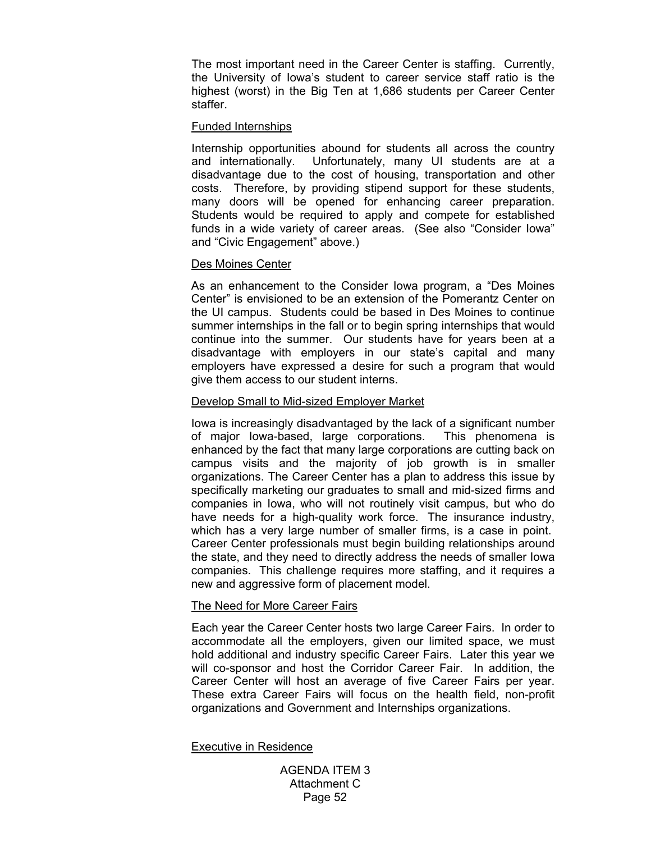The most important need in the Career Center is staffing. Currently, the University of Iowa's student to career service staff ratio is the highest (worst) in the Big Ten at 1,686 students per Career Center staffer.

#### Funded Internships

Internship opportunities abound for students all across the country and internationally. Unfortunately, many UI students are at a disadvantage due to the cost of housing, transportation and other costs. Therefore, by providing stipend support for these students, many doors will be opened for enhancing career preparation. Students would be required to apply and compete for established funds in a wide variety of career areas. (See also "Consider Iowa" and "Civic Engagement" above.)

#### Des Moines Center

As an enhancement to the Consider Iowa program, a "Des Moines Center" is envisioned to be an extension of the Pomerantz Center on the UI campus. Students could be based in Des Moines to continue summer internships in the fall or to begin spring internships that would continue into the summer. Our students have for years been at a disadvantage with employers in our state's capital and many employers have expressed a desire for such a program that would give them access to our student interns.

#### Develop Small to Mid-sized Employer Market

Iowa is increasingly disadvantaged by the lack of a significant number of major Iowa-based, large corporations. This phenomena is enhanced by the fact that many large corporations are cutting back on campus visits and the majority of job growth is in smaller organizations. The Career Center has a plan to address this issue by specifically marketing our graduates to small and mid-sized firms and companies in Iowa, who will not routinely visit campus, but who do have needs for a high-quality work force. The insurance industry, which has a very large number of smaller firms, is a case in point. Career Center professionals must begin building relationships around the state, and they need to directly address the needs of smaller Iowa companies. This challenge requires more staffing, and it requires a new and aggressive form of placement model.

#### The Need for More Career Fairs

Each year the Career Center hosts two large Career Fairs. In order to accommodate all the employers, given our limited space, we must hold additional and industry specific Career Fairs. Later this year we will co-sponsor and host the Corridor Career Fair. In addition, the Career Center will host an average of five Career Fairs per year. These extra Career Fairs will focus on the health field, non-profit organizations and Government and Internships organizations.

#### Executive in Residence

AGENDA ITEM 3 Attachment C Page 52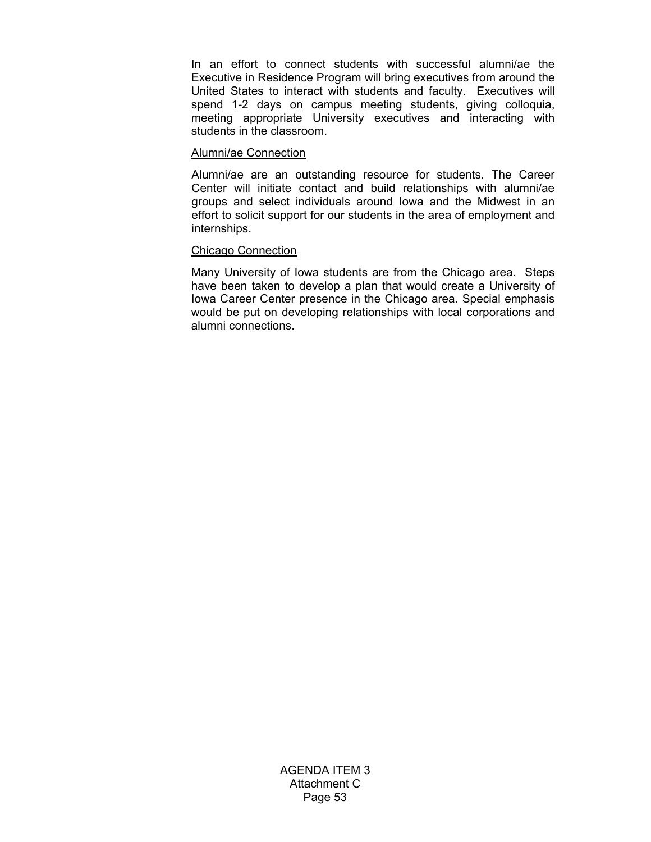In an effort to connect students with successful alumni/ae the Executive in Residence Program will bring executives from around the United States to interact with students and faculty. Executives will spend 1-2 days on campus meeting students, giving colloquia, meeting appropriate University executives and interacting with students in the classroom.

#### Alumni/ae Connection

Alumni/ae are an outstanding resource for students. The Career Center will initiate contact and build relationships with alumni/ae groups and select individuals around Iowa and the Midwest in an effort to solicit support for our students in the area of employment and internships.

#### Chicago Connection

Many University of Iowa students are from the Chicago area. Steps have been taken to develop a plan that would create a University of Iowa Career Center presence in the Chicago area. Special emphasis would be put on developing relationships with local corporations and alumni connections.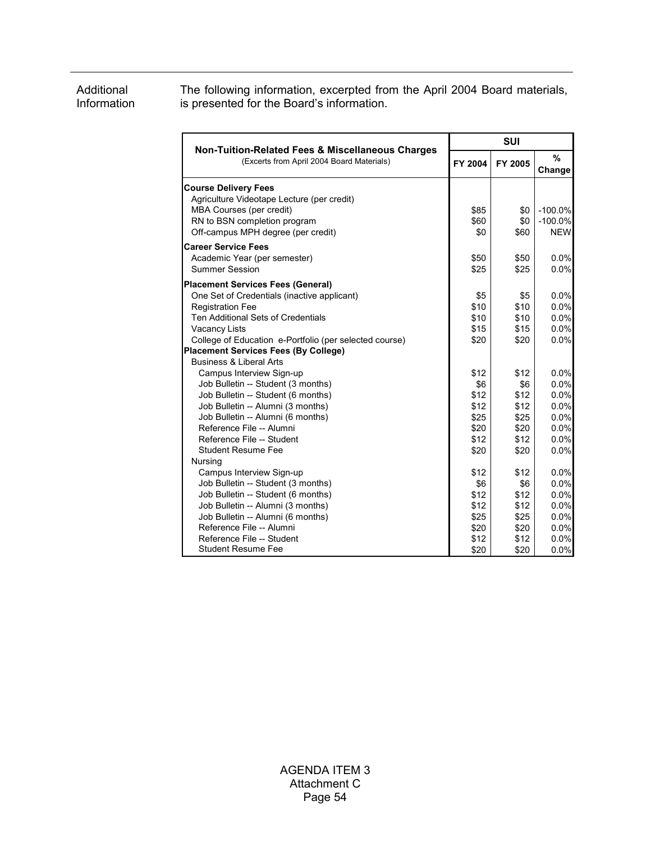Additional Information

The following information, excerpted from the April 2004 Board materials, is presented for the Board's information.

|                                                                                                          | SUI     |         |              |  |  |
|----------------------------------------------------------------------------------------------------------|---------|---------|--------------|--|--|
| <b>Non-Tuition-Related Fees &amp; Miscellaneous Charges</b><br>(Excerts from April 2004 Board Materials) | FY 2004 | FY 2005 | %<br>Change  |  |  |
| <b>Course Delivery Fees</b>                                                                              |         |         |              |  |  |
| Agriculture Videotape Lecture (per credit)                                                               |         |         |              |  |  |
| MBA Courses (per credit)                                                                                 | \$85    | \$0     | $-100.0%$    |  |  |
| RN to BSN completion program                                                                             | \$60    | \$0     | $-100.0%$    |  |  |
| Off-campus MPH degree (per credit)                                                                       | \$0     | \$60    | <b>NEW</b>   |  |  |
| <b>Career Service Fees</b>                                                                               |         |         |              |  |  |
| Academic Year (per semester)                                                                             | \$50    | \$50    | $0.0\%$      |  |  |
| <b>Summer Session</b>                                                                                    | \$25    | \$25    | 0.0%         |  |  |
| <b>Placement Services Fees (General)</b>                                                                 |         |         |              |  |  |
| One Set of Credentials (inactive applicant)                                                              | \$5     | \$5     | 0.0%         |  |  |
| <b>Registration Fee</b>                                                                                  | \$10    | \$10    | 0.0%         |  |  |
| Ten Additional Sets of Credentials                                                                       | \$10    | \$10    | 0.0%         |  |  |
| <b>Vacancy Lists</b>                                                                                     | \$15    | \$15    | 0.0%         |  |  |
| College of Education e-Portfolio (per selected course)                                                   | \$20    | \$20    | 0.0%         |  |  |
| <b>Placement Services Fees (By College)</b>                                                              |         |         |              |  |  |
| <b>Business &amp; Liberal Arts</b>                                                                       |         |         |              |  |  |
| Campus Interview Sign-up                                                                                 | \$12    | \$12    | 0.0%         |  |  |
| Job Bulletin -- Student (3 months)                                                                       | \$6     | \$6     | 0.0%         |  |  |
| Job Bulletin -- Student (6 months)                                                                       | \$12    | \$12    | 0.0%         |  |  |
| Job Bulletin -- Alumni (3 months)                                                                        | \$12    | \$12    | 0.0%         |  |  |
| Job Bulletin -- Alumni (6 months)                                                                        | \$25    | \$25    | 0.0%         |  |  |
| Reference File -- Alumni                                                                                 | \$20    | \$20    | 0.0%         |  |  |
| Reference File -- Student                                                                                | \$12    | \$12    | 0.0%         |  |  |
| <b>Student Resume Fee</b>                                                                                | \$20    | \$20    | 0.0%         |  |  |
| Nursing                                                                                                  |         |         |              |  |  |
| Campus Interview Sign-up                                                                                 | \$12    | \$12    | 0.0%         |  |  |
| Job Bulletin -- Student (3 months)                                                                       | \$6     | \$6     | 0.0%         |  |  |
| Job Bulletin -- Student (6 months)                                                                       | \$12    | \$12    | 0.0%         |  |  |
| Job Bulletin -- Alumni (3 months)                                                                        | \$12    | \$12    | 0.0%         |  |  |
| Job Bulletin -- Alumni (6 months)<br>Reference File -- Alumni                                            | \$25    | \$25    | 0.0%         |  |  |
| Reference File -- Student                                                                                | \$20    | \$20    | 0.0%<br>0.0% |  |  |
| <b>Student Resume Fee</b>                                                                                | \$12    | \$12    |              |  |  |
|                                                                                                          | \$20    | \$20    | 0.0%         |  |  |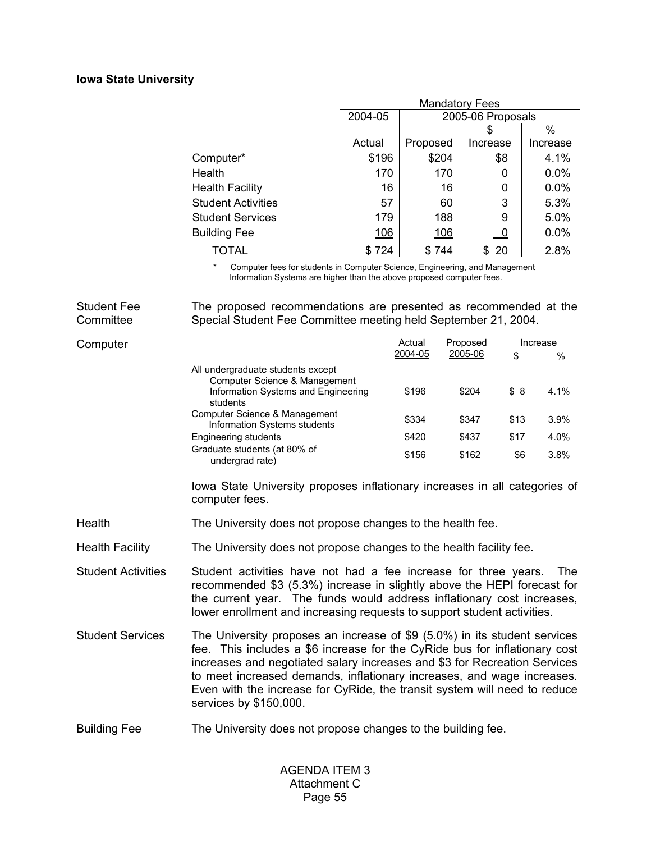## **Iowa State University**

|                           | <b>Mandatory Fees</b> |                   |                          |          |  |  |
|---------------------------|-----------------------|-------------------|--------------------------|----------|--|--|
|                           | 2004-05               | 2005-06 Proposals |                          |          |  |  |
|                           |                       |                   |                          |          |  |  |
|                           | Actual                | Proposed          | Increase                 | Increase |  |  |
| Computer*                 | \$196                 | \$204             | \$8                      | 4.1%     |  |  |
| Health                    | 170                   | 170               | 0                        | 0.0%     |  |  |
| <b>Health Facility</b>    | 16                    | 16                | 0                        | 0.0%     |  |  |
| <b>Student Activities</b> | 57                    | 60                | 3                        | 5.3%     |  |  |
| <b>Student Services</b>   | 179                   | 188               | 9                        | 5.0%     |  |  |
| <b>Building Fee</b>       | <u>106</u>            | <u>106</u>        | $\overline{\phantom{0}}$ | 0.0%     |  |  |
| <b>TOTAL</b>              | \$724                 | \$744             | -20<br>S                 | 2.8%     |  |  |

\* Computer fees for students in Computer Science, Engineering, and Management Information Systems are higher than the above proposed computer fees.

Student Fee **Committee** The proposed recommendations are presented as recommended at the Special Student Fee Committee meeting held September 21, 2004.

| Computer |                                                                                                                       | Actual  | Proposed | Increase |               |  |
|----------|-----------------------------------------------------------------------------------------------------------------------|---------|----------|----------|---------------|--|
|          |                                                                                                                       | 2004-05 | 2005-06  | \$       | $\frac{9}{6}$ |  |
|          | All undergraduate students except<br>Computer Science & Management<br>Information Systems and Engineering<br>students | \$196   | \$204    | \$8      | 4.1%          |  |
|          | Computer Science & Management<br>Information Systems students                                                         | \$334   | \$347    | \$13     | $3.9\%$       |  |
|          | Engineering students                                                                                                  | \$420   | \$437    | \$17     | 4.0%          |  |
|          | Graduate students (at 80% of<br>undergrad rate)                                                                       | \$156   | \$162    | \$6      | 3.8%          |  |

Iowa State University proposes inflationary increases in all categories of computer fees.

Health The University does not propose changes to the health fee.

Health Facility The University does not propose changes to the health facility fee.

- Student Activities Student activities have not had a fee increase for three years. The recommended \$3 (5.3%) increase in slightly above the HEPI forecast for the current year. The funds would address inflationary cost increases, lower enrollment and increasing requests to support student activities.
- Student Services The University proposes an increase of \$9 (5.0%) in its student services fee. This includes a \$6 increase for the CyRide bus for inflationary cost increases and negotiated salary increases and \$3 for Recreation Services to meet increased demands, inflationary increases, and wage increases. Even with the increase for CyRide, the transit system will need to reduce services by \$150,000.
- Building Fee The University does not propose changes to the building fee.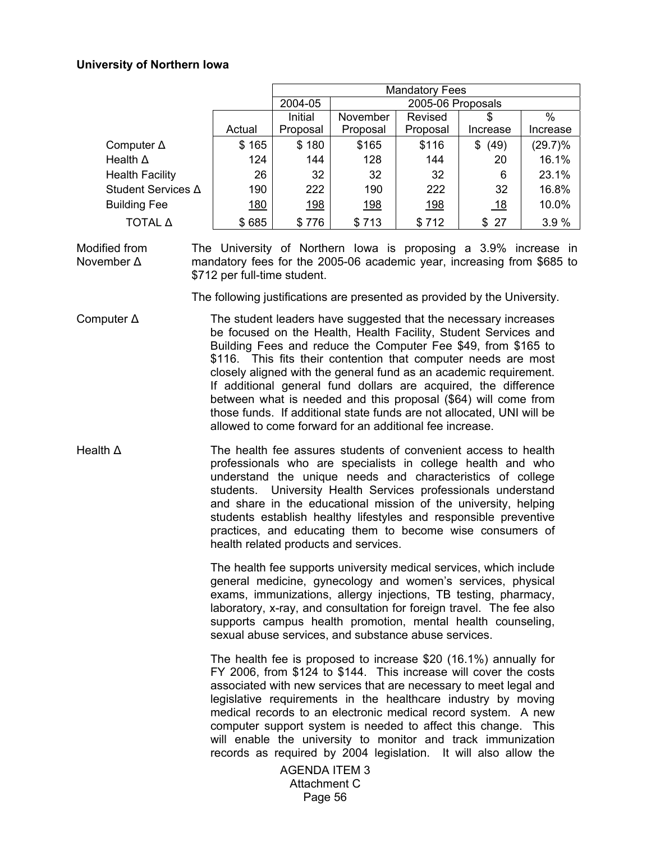## **University of Northern Iowa**

|                           |            | <b>Mandatory Fees</b> |            |                   |            |            |
|---------------------------|------------|-----------------------|------------|-------------------|------------|------------|
|                           |            | 2004-05               |            | 2005-06 Proposals |            |            |
|                           |            | Initial               | November   | Revised           | \$         | $\%$       |
|                           | Actual     | Proposal              | Proposal   | Proposal          | Increase   | Increase   |
| Computer $\Delta$         | \$165      | \$180                 | \$165      | \$116             | (49)<br>\$ | $(29.7)\%$ |
| Health $\Delta$           | 124        | 144                   | 128        | 144               | 20         | 16.1%      |
| <b>Health Facility</b>    | 26         | 32                    | 32         | 32                | 6          | 23.1%      |
| Student Services $\Delta$ | 190        | 222                   | 190        | 222               | 32         | 16.8%      |
| <b>Building Fee</b>       | <u>180</u> | <u>198</u>            | <u>198</u> | <u>198</u>        | <u>_18</u> | 10.0%      |
| ΤΟΤΑΙ Δ                   | \$685      | \$776                 | \$713      | \$712             | \$ 27      | 3.9 %      |

Modified from November ∆ The University of Northern Iowa is proposing a 3.9% increase in mandatory fees for the 2005-06 academic year, increasing from \$685 to \$712 per full-time student.

The following justifications are presented as provided by the University.

- Computer ∆ The student leaders have suggested that the necessary increases be focused on the Health, Health Facility, Student Services and Building Fees and reduce the Computer Fee \$49, from \$165 to \$116. This fits their contention that computer needs are most closely aligned with the general fund as an academic requirement. If additional general fund dollars are acquired, the difference between what is needed and this proposal (\$64) will come from those funds. If additional state funds are not allocated, UNI will be allowed to come forward for an additional fee increase.
- Health  $\Delta$  The health fee assures students of convenient access to health professionals who are specialists in college health and who understand the unique needs and characteristics of college students. University Health Services professionals understand and share in the educational mission of the university, helping students establish healthy lifestyles and responsible preventive practices, and educating them to become wise consumers of health related products and services.

The health fee supports university medical services, which include general medicine, gynecology and women's services, physical exams, immunizations, allergy injections, TB testing, pharmacy, laboratory, x-ray, and consultation for foreign travel. The fee also supports campus health promotion, mental health counseling, sexual abuse services, and substance abuse services.

 The health fee is proposed to increase \$20 (16.1%) annually for FY 2006, from \$124 to \$144. This increase will cover the costs associated with new services that are necessary to meet legal and legislative requirements in the healthcare industry by moving medical records to an electronic medical record system. A new computer support system is needed to affect this change. This will enable the university to monitor and track immunization records as required by 2004 legislation. It will also allow the

> AGENDA ITEM 3 Attachment C Page 56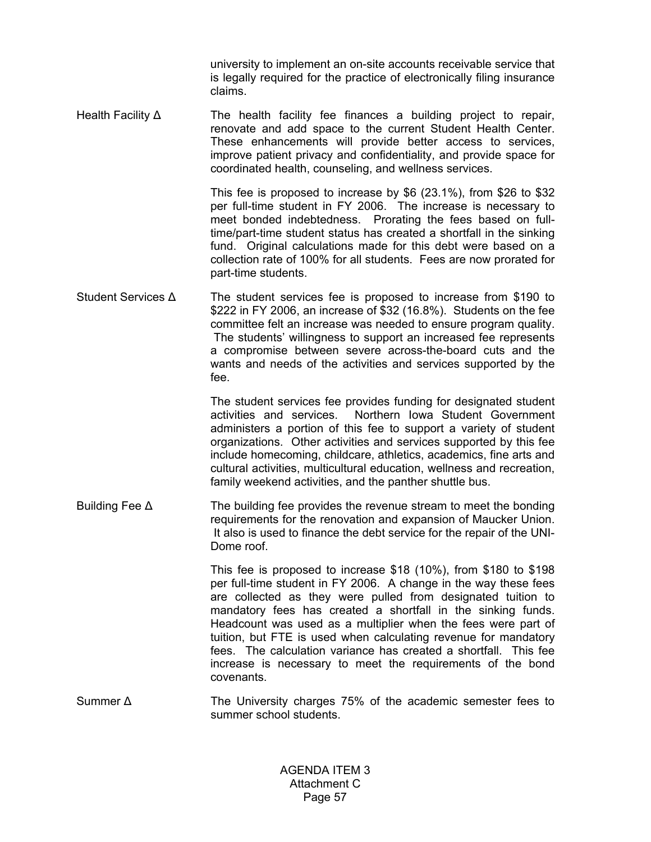university to implement an on-site accounts receivable service that is legally required for the practice of electronically filing insurance claims.

Health Facility ∆ The health facility fee finances a building project to repair, renovate and add space to the current Student Health Center. These enhancements will provide better access to services, improve patient privacy and confidentiality, and provide space for coordinated health, counseling, and wellness services.

> This fee is proposed to increase by \$6 (23.1%), from \$26 to \$32 per full-time student in FY 2006. The increase is necessary to meet bonded indebtedness. Prorating the fees based on fulltime/part-time student status has created a shortfall in the sinking fund. Original calculations made for this debt were based on a collection rate of 100% for all students. Fees are now prorated for part-time students.

Student Services ∆ The student services fee is proposed to increase from \$190 to \$222 in FY 2006, an increase of \$32 (16.8%). Students on the fee committee felt an increase was needed to ensure program quality. The students' willingness to support an increased fee represents a compromise between severe across-the-board cuts and the wants and needs of the activities and services supported by the fee.

> The student services fee provides funding for designated student activities and services. Northern Iowa Student Government administers a portion of this fee to support a variety of student organizations. Other activities and services supported by this fee include homecoming, childcare, athletics, academics, fine arts and cultural activities, multicultural education, wellness and recreation, family weekend activities, and the panther shuttle bus.

Building Fee ∆ The building fee provides the revenue stream to meet the bonding requirements for the renovation and expansion of Maucker Union. It also is used to finance the debt service for the repair of the UNI-Dome roof.

> This fee is proposed to increase \$18 (10%), from \$180 to \$198 per full-time student in FY 2006. A change in the way these fees are collected as they were pulled from designated tuition to mandatory fees has created a shortfall in the sinking funds. Headcount was used as a multiplier when the fees were part of tuition, but FTE is used when calculating revenue for mandatory fees. The calculation variance has created a shortfall. This fee increase is necessary to meet the requirements of the bond covenants.

Summer ∆ The University charges 75% of the academic semester fees to summer school students.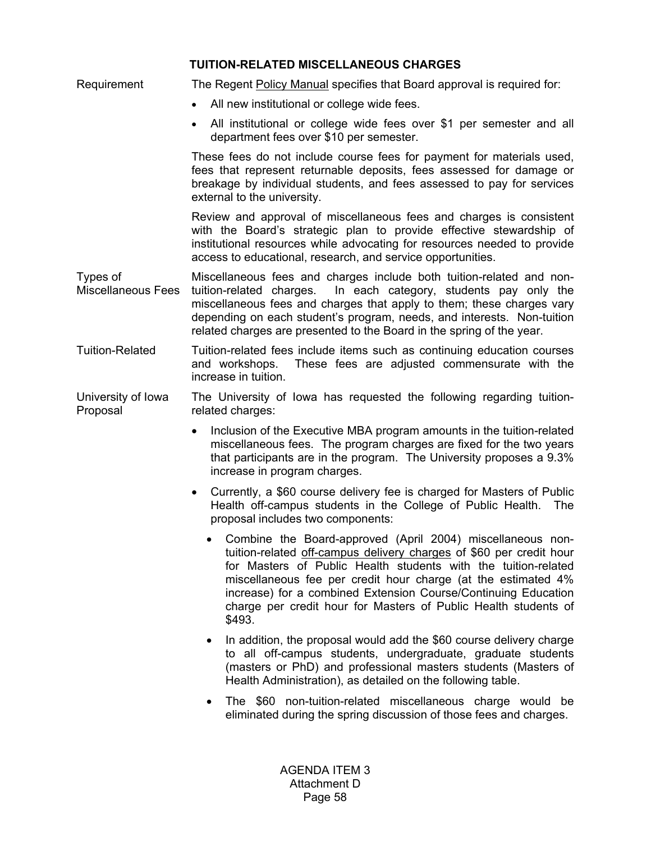# **TUITION-RELATED MISCELLANEOUS CHARGES**

Requirement The Regent Policy Manual specifies that Board approval is required for: • All new institutional or college wide fees. • All institutional or college wide fees over \$1 per semester and all department fees over \$10 per semester. These fees do not include course fees for payment for materials used, fees that represent returnable deposits, fees assessed for damage or breakage by individual students, and fees assessed to pay for services external to the university. Review and approval of miscellaneous fees and charges is consistent with the Board's strategic plan to provide effective stewardship of institutional resources while advocating for resources needed to provide access to educational, research, and service opportunities. Types of Miscellaneous Fees Miscellaneous fees and charges include both tuition-related and nontuition-related charges. In each category, students pay only the miscellaneous fees and charges that apply to them; these charges vary depending on each student's program, needs, and interests. Non-tuition related charges are presented to the Board in the spring of the year. Tuition-Related Tuition-related fees include items such as continuing education courses and workshops. These fees are adjusted commensurate with the increase in tuition. University of Iowa Proposal The University of Iowa has requested the following regarding tuitionrelated charges: • Inclusion of the Executive MBA program amounts in the tuition-related miscellaneous fees. The program charges are fixed for the two years that participants are in the program. The University proposes a 9.3% increase in program charges. • Currently, a \$60 course delivery fee is charged for Masters of Public Health off-campus students in the College of Public Health. The proposal includes two components: • Combine the Board-approved (April 2004) miscellaneous nontuition-related off-campus delivery charges of \$60 per credit hour for Masters of Public Health students with the tuition-related miscellaneous fee per credit hour charge (at the estimated 4% increase) for a combined Extension Course/Continuing Education charge per credit hour for Masters of Public Health students of \$493. In addition, the proposal would add the \$60 course delivery charge to all off-campus students, undergraduate, graduate students (masters or PhD) and professional masters students (Masters of Health Administration), as detailed on the following table. • The \$60 non-tuition-related miscellaneous charge would be eliminated during the spring discussion of those fees and charges.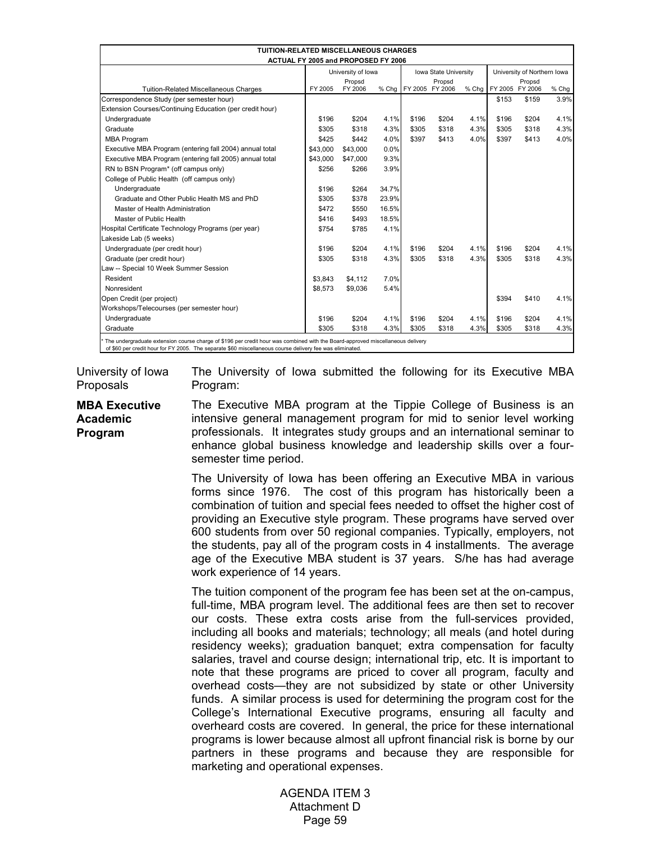| <b>TUITION-RELATED MISCELLANEOUS CHARGES</b><br>ACTUAL FY 2005 and PROPOSED FY 2006 |          |                    |       |                         |                       |       |       |                             |       |
|-------------------------------------------------------------------------------------|----------|--------------------|-------|-------------------------|-----------------------|-------|-------|-----------------------------|-------|
|                                                                                     |          |                    |       |                         |                       |       |       |                             |       |
|                                                                                     |          | University of Iowa |       |                         | Iowa State University |       |       | University of Northern Iowa |       |
| <b>Tuition-Related Miscellaneous Charges</b>                                        | FY 2005  | Propsd<br>FY 2006  |       | % Chg   FY 2005 FY 2006 | Propsd                | % Chg |       | Propsd<br>FY 2005 FY 2006   | % Chg |
| Correspondence Study (per semester hour)                                            |          |                    |       |                         |                       |       | \$153 | \$159                       | 3.9%  |
| Extension Courses/Continuing Education (per credit hour)                            |          |                    |       |                         |                       |       |       |                             |       |
| Undergraduate                                                                       | \$196    | \$204              | 4.1%  | \$196                   | \$204                 | 4.1%  | \$196 | \$204                       | 4.1%  |
| Graduate                                                                            | \$305    | \$318              | 4.3%  | \$305                   | \$318                 | 4.3%  | \$305 | \$318                       | 4.3%  |
| <b>MBA Program</b>                                                                  | \$425    | \$442              | 4.0%  | \$397                   | \$413                 | 4.0%  | \$397 | \$413                       | 4.0%  |
| Executive MBA Program (entering fall 2004) annual total                             | \$43,000 | \$43,000           | 0.0%  |                         |                       |       |       |                             |       |
| Executive MBA Program (entering fall 2005) annual total                             | \$43,000 | \$47,000           | 9.3%  |                         |                       |       |       |                             |       |
| RN to BSN Program* (off campus only)                                                | \$256    | \$266              | 3.9%  |                         |                       |       |       |                             |       |
| College of Public Health (off campus only)                                          |          |                    |       |                         |                       |       |       |                             |       |
| Undergraduate                                                                       | \$196    | \$264              | 34.7% |                         |                       |       |       |                             |       |
| Graduate and Other Public Health MS and PhD                                         | \$305    | \$378              | 23.9% |                         |                       |       |       |                             |       |
| Master of Health Administration                                                     | \$472    | \$550              | 16.5% |                         |                       |       |       |                             |       |
| Master of Public Health                                                             | \$416    | \$493              | 18.5% |                         |                       |       |       |                             |       |
| Hospital Certificate Technology Programs (per year)                                 | \$754    | \$785              | 4.1%  |                         |                       |       |       |                             |       |
| Lakeside Lab (5 weeks)                                                              |          |                    |       |                         |                       |       |       |                             |       |
| Undergraduate (per credit hour)                                                     | \$196    | \$204              | 4.1%  | \$196                   | \$204                 | 4.1%  | \$196 | \$204                       | 4.1%  |
| Graduate (per credit hour)                                                          | \$305    | \$318              | 4.3%  | \$305                   | \$318                 | 4.3%  | \$305 | \$318                       | 4.3%  |
| Law -- Special 10 Week Summer Session                                               |          |                    |       |                         |                       |       |       |                             |       |
| Resident                                                                            | \$3,843  | \$4,112            | 7.0%  |                         |                       |       |       |                             |       |
| Nonresident                                                                         | \$8.573  | \$9,036            | 5.4%  |                         |                       |       |       |                             |       |
| Open Credit (per project)                                                           |          |                    |       |                         |                       |       | \$394 | \$410                       | 4.1%  |
| Workshops/Telecourses (per semester hour)                                           |          |                    |       |                         |                       |       |       |                             |       |
| Undergraduate                                                                       | \$196    | \$204              | 4.1%  | \$196                   | \$204                 | 4.1%  | \$196 | \$204                       | 4.1%  |
| Graduate                                                                            | \$305    | \$318              | 4.3%  | \$305                   | \$318                 | 4.3%  | \$305 | \$318                       | 4.3%  |

\* The undergraduate extension course charge of \$196 per credit hour was combined with the Board-approved miscellaneous delivery of \$60 per credit hour for FY 2005. The separate \$60 miscellaneous course delivery fee was eliminated.

University of Iowa Proposals

The University of Iowa submitted the following for its Executive MBA Program:

**MBA Executive Academic Program** 

The Executive MBA program at the Tippie College of Business is an intensive general management program for mid to senior level working professionals. It integrates study groups and an international seminar to enhance global business knowledge and leadership skills over a foursemester time period.

The University of Iowa has been offering an Executive MBA in various forms since 1976. The cost of this program has historically been a combination of tuition and special fees needed to offset the higher cost of providing an Executive style program. These programs have served over 600 students from over 50 regional companies. Typically, employers, not the students, pay all of the program costs in 4 installments. The average age of the Executive MBA student is 37 years. S/he has had average work experience of 14 years.

The tuition component of the program fee has been set at the on-campus, full-time, MBA program level. The additional fees are then set to recover our costs. These extra costs arise from the full-services provided, including all books and materials; technology; all meals (and hotel during residency weeks); graduation banquet; extra compensation for faculty salaries, travel and course design; international trip, etc. It is important to note that these programs are priced to cover all program, faculty and overhead costs—they are not subsidized by state or other University funds. A similar process is used for determining the program cost for the College's International Executive programs, ensuring all faculty and overheard costs are covered. In general, the price for these international programs is lower because almost all upfront financial risk is borne by our partners in these programs and because they are responsible for marketing and operational expenses.

> AGENDA ITEM 3 Attachment D Page 59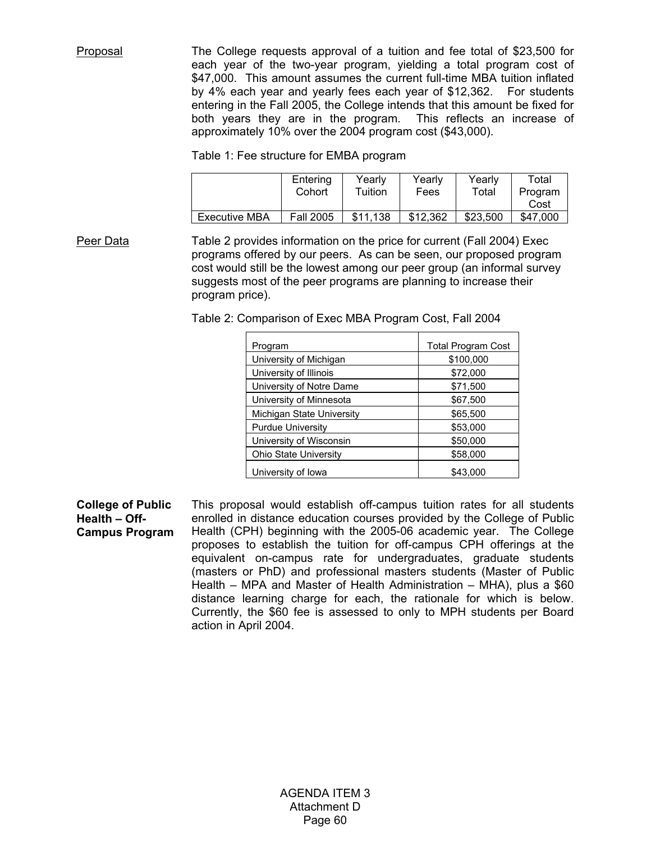Proposal The College requests approval of a tuition and fee total of \$23,500 for each year of the two-year program, yielding a total program cost of \$47,000. This amount assumes the current full-time MBA tuition inflated by 4% each year and yearly fees each year of \$12,362. For students entering in the Fall 2005, the College intends that this amount be fixed for both years they are in the program. This reflects an increase of approximately 10% over the 2004 program cost (\$43,000).

Table 1: Fee structure for EMBA program

|                      | Entering<br>Cohort | Yearlv<br>Tuition | Yearlv<br>Fees | Yearlv<br>Total | Total<br>Program<br>Cost |
|----------------------|--------------------|-------------------|----------------|-----------------|--------------------------|
| <b>Executive MBA</b> | <b>Fall 2005</b>   | \$11,138          | \$12.362       | \$23,500        | \$47,000                 |

Peer Data Table 2 provides information on the price for current (Fall 2004) Exec programs offered by our peers. As can be seen, our proposed program cost would still be the lowest among our peer group (an informal survey suggests most of the peer programs are planning to increase their program price).

Table 2: Comparison of Exec MBA Program Cost, Fall 2004

| Program                      | <b>Total Program Cost</b> |
|------------------------------|---------------------------|
|                              | \$100,000                 |
| University of Michigan       |                           |
| University of Illinois       | \$72,000                  |
| University of Notre Dame     | \$71,500                  |
| University of Minnesota      | \$67,500                  |
| Michigan State University    | \$65,500                  |
| <b>Purdue University</b>     | \$53,000                  |
| University of Wisconsin      | \$50,000                  |
| <b>Ohio State University</b> | \$58,000                  |
| University of Iowa           | \$43.000                  |

**College of Public Health – Off-Campus Program**

This proposal would establish off-campus tuition rates for all students enrolled in distance education courses provided by the College of Public Health (CPH) beginning with the 2005-06 academic year. The College proposes to establish the tuition for off-campus CPH offerings at the equivalent on-campus rate for undergraduates, graduate students (masters or PhD) and professional masters students (Master of Public Health – MPA and Master of Health Administration – MHA), plus a \$60 distance learning charge for each, the rationale for which is below. Currently, the \$60 fee is assessed to only to MPH students per Board action in April 2004.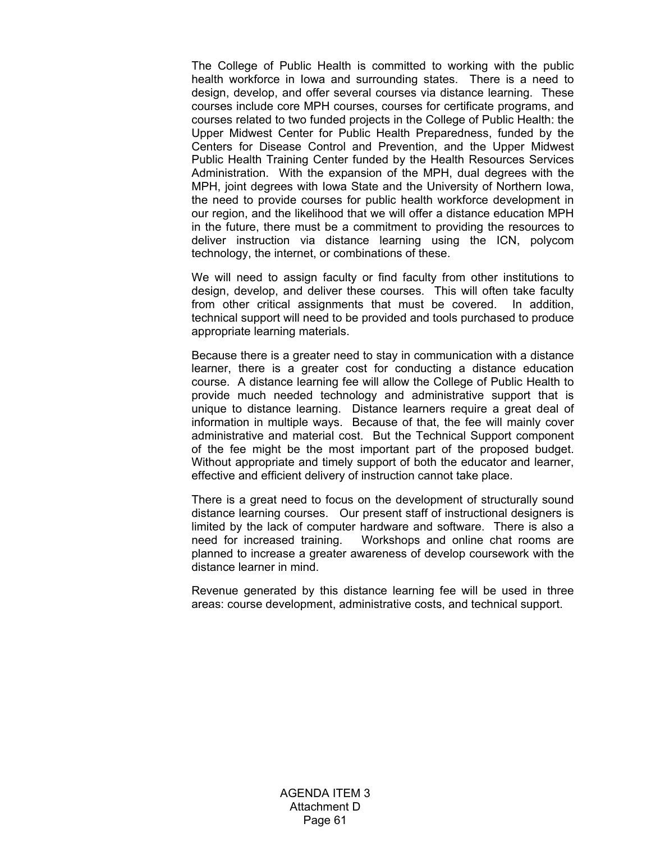The College of Public Health is committed to working with the public health workforce in Iowa and surrounding states. There is a need to design, develop, and offer several courses via distance learning. These courses include core MPH courses, courses for certificate programs, and courses related to two funded projects in the College of Public Health: the Upper Midwest Center for Public Health Preparedness, funded by the Centers for Disease Control and Prevention, and the Upper Midwest Public Health Training Center funded by the Health Resources Services Administration. With the expansion of the MPH, dual degrees with the MPH, joint degrees with Iowa State and the University of Northern Iowa, the need to provide courses for public health workforce development in our region, and the likelihood that we will offer a distance education MPH in the future, there must be a commitment to providing the resources to deliver instruction via distance learning using the ICN, polycom technology, the internet, or combinations of these.

We will need to assign faculty or find faculty from other institutions to design, develop, and deliver these courses. This will often take faculty from other critical assignments that must be covered. In addition, technical support will need to be provided and tools purchased to produce appropriate learning materials.

Because there is a greater need to stay in communication with a distance learner, there is a greater cost for conducting a distance education course. A distance learning fee will allow the College of Public Health to provide much needed technology and administrative support that is unique to distance learning. Distance learners require a great deal of information in multiple ways. Because of that, the fee will mainly cover administrative and material cost. But the Technical Support component of the fee might be the most important part of the proposed budget. Without appropriate and timely support of both the educator and learner, effective and efficient delivery of instruction cannot take place.

There is a great need to focus on the development of structurally sound distance learning courses. Our present staff of instructional designers is limited by the lack of computer hardware and software. There is also a need for increased training. Workshops and online chat rooms are planned to increase a greater awareness of develop coursework with the distance learner in mind.

Revenue generated by this distance learning fee will be used in three areas: course development, administrative costs, and technical support.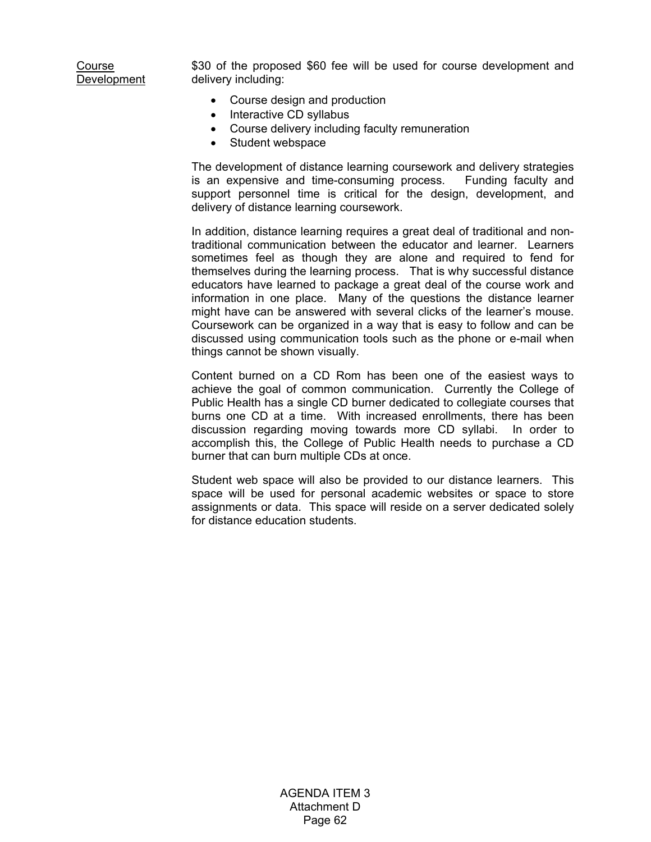Course Development \$30 of the proposed \$60 fee will be used for course development and delivery including:

- Course design and production
- Interactive CD syllabus
- Course delivery including faculty remuneration
- Student webspace

The development of distance learning coursework and delivery strategies is an expensive and time-consuming process. Funding faculty and support personnel time is critical for the design, development, and delivery of distance learning coursework.

In addition, distance learning requires a great deal of traditional and nontraditional communication between the educator and learner. Learners sometimes feel as though they are alone and required to fend for themselves during the learning process. That is why successful distance educators have learned to package a great deal of the course work and information in one place. Many of the questions the distance learner might have can be answered with several clicks of the learner's mouse. Coursework can be organized in a way that is easy to follow and can be discussed using communication tools such as the phone or e-mail when things cannot be shown visually.

Content burned on a CD Rom has been one of the easiest ways to achieve the goal of common communication. Currently the College of Public Health has a single CD burner dedicated to collegiate courses that burns one CD at a time. With increased enrollments, there has been discussion regarding moving towards more CD syllabi. In order to accomplish this, the College of Public Health needs to purchase a CD burner that can burn multiple CDs at once.

Student web space will also be provided to our distance learners. This space will be used for personal academic websites or space to store assignments or data. This space will reside on a server dedicated solely for distance education students.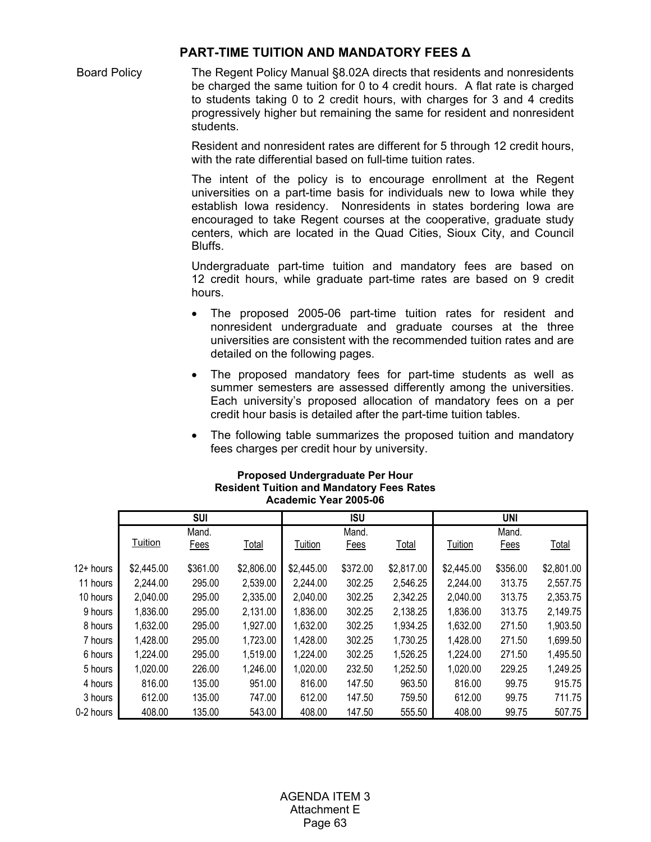# **PART-TIME TUITION AND MANDATORY FEES ∆**

Board Policy The Regent Policy Manual §8.02A directs that residents and nonresidents be charged the same tuition for 0 to 4 credit hours. A flat rate is charged to students taking 0 to 2 credit hours, with charges for 3 and 4 credits progressively higher but remaining the same for resident and nonresident students.

> Resident and nonresident rates are different for 5 through 12 credit hours, with the rate differential based on full-time tuition rates.

> The intent of the policy is to encourage enrollment at the Regent universities on a part-time basis for individuals new to Iowa while they establish Iowa residency. Nonresidents in states bordering Iowa are encouraged to take Regent courses at the cooperative, graduate study centers, which are located in the Quad Cities, Sioux City, and Council Bluffs.

> Undergraduate part-time tuition and mandatory fees are based on 12 credit hours, while graduate part-time rates are based on 9 credit hours.

- The proposed 2005-06 part-time tuition rates for resident and nonresident undergraduate and graduate courses at the three universities are consistent with the recommended tuition rates and are detailed on the following pages.
- The proposed mandatory fees for part-time students as well as summer semesters are assessed differently among the universities. Each university's proposed allocation of mandatory fees on a per credit hour basis is detailed after the part-time tuition tables.
- The following table summarizes the proposed tuition and mandatory fees charges per credit hour by university.

|           |                | <b>SUI</b> |              |            | <b>ISU</b>  |              | UNI        |             |              |  |
|-----------|----------------|------------|--------------|------------|-------------|--------------|------------|-------------|--------------|--|
|           |                | Mand.      |              |            | Mand.       |              |            | Mand.       |              |  |
|           | <b>Tuition</b> | Fees       | <b>Total</b> | Tuition    | <b>Fees</b> | <b>Total</b> | Tuition    | <b>Fees</b> | <b>Total</b> |  |
| 12+ hours | \$2,445.00     | \$361.00   | \$2,806.00   | \$2,445.00 | \$372.00    | \$2,817.00   | \$2,445.00 | \$356.00    | \$2,801.00   |  |
| 11 hours  | 2,244.00       | 295.00     | 2,539.00     | 2,244.00   | 302.25      | 2,546.25     | 2,244.00   | 313.75      | 2,557.75     |  |
| 10 hours  | 2,040.00       | 295.00     | 2,335.00     | 2,040.00   | 302.25      | 2,342.25     | 2,040.00   | 313.75      | 2,353.75     |  |
| 9 hours   | 1,836.00       | 295.00     | 2,131.00     | 1,836.00   | 302.25      | 2,138.25     | 1,836.00   | 313.75      | 2,149.75     |  |
| 8 hours   | 1,632.00       | 295.00     | 1,927.00     | 1,632.00   | 302.25      | 1,934.25     | 1,632.00   | 271.50      | 1,903.50     |  |
| 7 hours   | 1,428.00       | 295.00     | 1,723.00     | 1,428.00   | 302.25      | 1,730.25     | 1,428.00   | 271.50      | 1,699.50     |  |
| 6 hours   | 1,224.00       | 295.00     | 1,519.00     | 1,224.00   | 302.25      | 1,526.25     | 1,224.00   | 271.50      | 1,495.50     |  |
| 5 hours   | 1,020.00       | 226.00     | 1,246.00     | 1,020.00   | 232.50      | 1,252.50     | 1,020.00   | 229.25      | 1,249.25     |  |
| 4 hours   | 816.00         | 135.00     | 951.00       | 816.00     | 147.50      | 963.50       | 816.00     | 99.75       | 915.75       |  |
| 3 hours   | 612.00         | 135.00     | 747.00       | 612.00     | 147.50      | 759.50       | 612.00     | 99.75       | 711.75       |  |
| 0-2 hours | 408.00         | 135.00     | 543.00       | 408.00     | 147.50      | 555.50       | 408.00     | 99.75       | 507.75       |  |

#### **Proposed Undergraduate Per Hour Resident Tuition and Mandatory Fees Rates Academic Year 2005-06**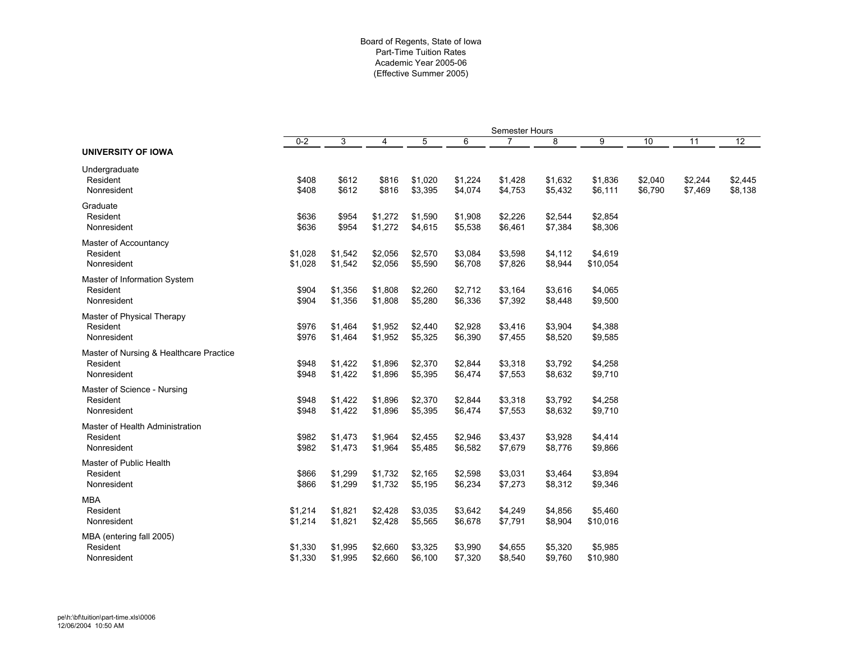#### Board of Regents, State of Iowa Part-Time Tuition Rates Academic Year 2005-06 (Effective Summer 2005)

|                                         |         |         |                |         |         | Semester Hours |         |          |         |         |         |
|-----------------------------------------|---------|---------|----------------|---------|---------|----------------|---------|----------|---------|---------|---------|
|                                         | $0 - 2$ | 3       | $\overline{4}$ | 5       | 6       | 7              | 8       | 9        | 10      | 11      | 12      |
| <b>UNIVERSITY OF IOWA</b>               |         |         |                |         |         |                |         |          |         |         |         |
| Undergraduate                           |         |         |                |         |         |                |         |          |         |         |         |
| Resident                                | \$408   | \$612   | \$816          | \$1,020 | \$1,224 | \$1,428        | \$1,632 | \$1,836  | \$2,040 | \$2,244 | \$2,445 |
| Nonresident                             | \$408   | \$612   | \$816          | \$3,395 | \$4,074 | \$4,753        | \$5,432 | \$6,111  | \$6,790 | \$7,469 | \$8,138 |
| Graduate                                |         |         |                |         |         |                |         |          |         |         |         |
| Resident                                | \$636   | \$954   | \$1,272        | \$1,590 | \$1,908 | \$2,226        | \$2,544 | \$2,854  |         |         |         |
| Nonresident                             | \$636   | \$954   | \$1,272        | \$4,615 | \$5,538 | \$6,461        | \$7,384 | \$8,306  |         |         |         |
| Master of Accountancy                   |         |         |                |         |         |                |         |          |         |         |         |
| Resident                                | \$1,028 | \$1,542 | \$2,056        | \$2,570 | \$3,084 | \$3,598        | \$4,112 | \$4,619  |         |         |         |
| Nonresident                             | \$1,028 | \$1,542 | \$2,056        | \$5,590 | \$6,708 | \$7,826        | \$8,944 | \$10,054 |         |         |         |
| Master of Information System            |         |         |                |         |         |                |         |          |         |         |         |
| Resident                                | \$904   | \$1,356 | \$1,808        | \$2,260 | \$2,712 | \$3,164        | \$3,616 | \$4,065  |         |         |         |
| Nonresident                             | \$904   | \$1,356 | \$1,808        | \$5,280 | \$6,336 | \$7,392        | \$8,448 | \$9,500  |         |         |         |
| Master of Physical Therapy              |         |         |                |         |         |                |         |          |         |         |         |
| Resident                                | \$976   | \$1,464 | \$1,952        | \$2,440 | \$2,928 | \$3,416        | \$3,904 | \$4,388  |         |         |         |
| Nonresident                             | \$976   | \$1,464 | \$1,952        | \$5,325 | \$6,390 | \$7,455        | \$8,520 | \$9,585  |         |         |         |
| Master of Nursing & Healthcare Practice |         |         |                |         |         |                |         |          |         |         |         |
| Resident                                | \$948   | \$1,422 | \$1,896        | \$2,370 | \$2,844 | \$3,318        | \$3,792 | \$4,258  |         |         |         |
| Nonresident                             | \$948   | \$1,422 | \$1,896        | \$5,395 | \$6,474 | \$7,553        | \$8,632 | \$9,710  |         |         |         |
| Master of Science - Nursing             |         |         |                |         |         |                |         |          |         |         |         |
| Resident                                | \$948   | \$1,422 | \$1,896        | \$2,370 | \$2,844 | \$3,318        | \$3,792 | \$4,258  |         |         |         |
| Nonresident                             | \$948   | \$1,422 | \$1,896        | \$5,395 | \$6,474 | \$7,553        | \$8,632 | \$9,710  |         |         |         |
| Master of Health Administration         |         |         |                |         |         |                |         |          |         |         |         |
| Resident                                | \$982   | \$1,473 | \$1,964        | \$2,455 | \$2,946 | \$3,437        | \$3,928 | \$4,414  |         |         |         |
| Nonresident                             | \$982   | \$1,473 | \$1,964        | \$5,485 | \$6,582 | \$7,679        | \$8,776 | \$9,866  |         |         |         |
| Master of Public Health                 |         |         |                |         |         |                |         |          |         |         |         |
| Resident                                | \$866   | \$1,299 | \$1,732        | \$2,165 | \$2,598 | \$3,031        | \$3,464 | \$3,894  |         |         |         |
| Nonresident                             | \$866   | \$1,299 | \$1,732        | \$5,195 | \$6,234 | \$7,273        | \$8,312 | \$9,346  |         |         |         |
| <b>MBA</b>                              |         |         |                |         |         |                |         |          |         |         |         |
| Resident                                | \$1,214 | \$1,821 | \$2,428        | \$3,035 | \$3,642 | \$4,249        | \$4,856 | \$5,460  |         |         |         |
| Nonresident                             | \$1,214 | \$1,821 | \$2,428        | \$5,565 | \$6,678 | \$7,791        | \$8,904 | \$10,016 |         |         |         |
| MBA (entering fall 2005)                |         |         |                |         |         |                |         |          |         |         |         |
| Resident                                | \$1,330 | \$1,995 | \$2,660        | \$3,325 | \$3,990 | \$4,655        | \$5,320 | \$5,985  |         |         |         |
| Nonresident                             | \$1,330 | \$1,995 | \$2,660        | \$6,100 | \$7,320 | \$8,540        | \$9,760 | \$10,980 |         |         |         |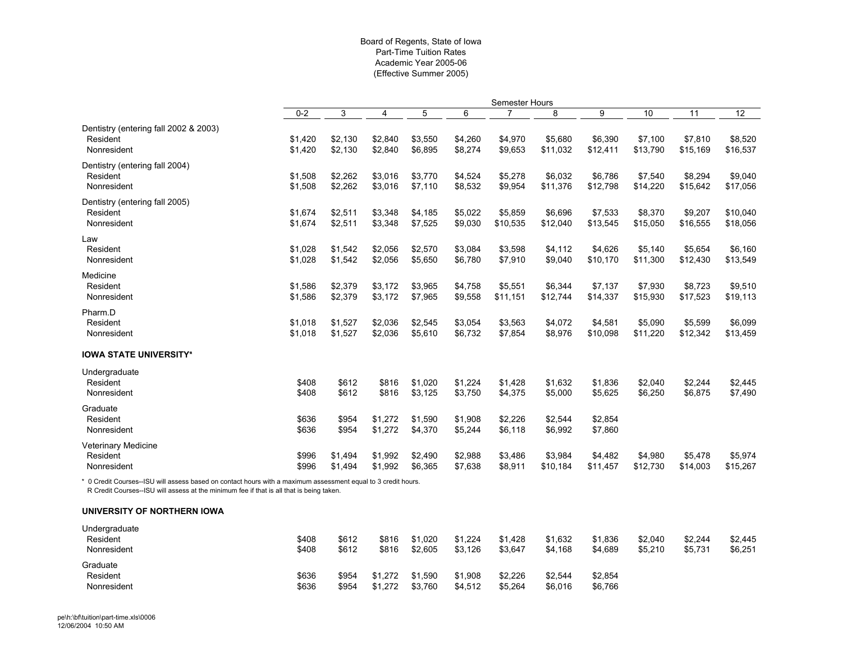#### Board of Regents, State of Iowa Part-Time Tuition Rates Academic Year 2005-06 (Effective Summer 2005)

|                                       |         |         |                |         |         | Semester Hours |          |          |          |          |          |
|---------------------------------------|---------|---------|----------------|---------|---------|----------------|----------|----------|----------|----------|----------|
|                                       | $0 - 2$ | 3       | $\overline{4}$ | 5       | 6       | 7              | 8        | 9        | 10       | 11       | 12       |
| Dentistry (entering fall 2002 & 2003) |         |         |                |         |         |                |          |          |          |          |          |
| Resident                              | \$1,420 | \$2,130 | \$2,840        | \$3,550 | \$4,260 | \$4,970        | \$5,680  | \$6,390  | \$7,100  | \$7,810  | \$8,520  |
| Nonresident                           | \$1,420 | \$2,130 | \$2,840        | \$6,895 | \$8,274 | \$9,653        | \$11,032 | \$12,411 | \$13,790 | \$15,169 | \$16,537 |
| Dentistry (entering fall 2004)        |         |         |                |         |         |                |          |          |          |          |          |
| Resident                              | \$1,508 | \$2,262 | \$3,016        | \$3,770 | \$4,524 | \$5,278        | \$6,032  | \$6,786  | \$7,540  | \$8,294  | \$9,040  |
| Nonresident                           | \$1,508 | \$2,262 | \$3,016        | \$7,110 | \$8,532 | \$9,954        | \$11,376 | \$12,798 | \$14,220 | \$15,642 | \$17,056 |
| Dentistry (entering fall 2005)        |         |         |                |         |         |                |          |          |          |          |          |
| Resident                              | \$1,674 | \$2,511 | \$3,348        | \$4,185 | \$5,022 | \$5,859        | \$6,696  | \$7,533  | \$8,370  | \$9,207  | \$10,040 |
| Nonresident                           | \$1.674 | \$2,511 | \$3,348        | \$7,525 | \$9,030 | \$10,535       | \$12,040 | \$13,545 | \$15,050 | \$16,555 | \$18,056 |
| Law                                   |         |         |                |         |         |                |          |          |          |          |          |
| Resident                              | \$1,028 | \$1,542 | \$2,056        | \$2,570 | \$3,084 | \$3,598        | \$4,112  | \$4,626  | \$5,140  | \$5,654  | \$6,160  |
| Nonresident                           | \$1,028 | \$1,542 | \$2,056        | \$5,650 | \$6,780 | \$7,910        | \$9,040  | \$10,170 | \$11,300 | \$12,430 | \$13,549 |
| Medicine                              |         |         |                |         |         |                |          |          |          |          |          |
| Resident                              | \$1,586 | \$2,379 | \$3,172        | \$3,965 | \$4,758 | \$5,551        | \$6,344  | \$7,137  | \$7,930  | \$8,723  | \$9,510  |
| Nonresident                           | \$1,586 | \$2,379 | \$3,172        | \$7,965 | \$9,558 | \$11,151       | \$12,744 | \$14,337 | \$15,930 | \$17,523 | \$19,113 |
| Pharm.D                               |         |         |                |         |         |                |          |          |          |          |          |
| Resident                              | \$1,018 | \$1,527 | \$2,036        | \$2,545 | \$3,054 | \$3,563        | \$4,072  | \$4,581  | \$5,090  | \$5,599  | \$6,099  |
| Nonresident                           | \$1,018 | \$1,527 | \$2,036        | \$5,610 | \$6,732 | \$7,854        | \$8,976  | \$10,098 | \$11,220 | \$12,342 | \$13,459 |
| <b>IOWA STATE UNIVERSITY*</b>         |         |         |                |         |         |                |          |          |          |          |          |
| Undergraduate                         |         |         |                |         |         |                |          |          |          |          |          |
| Resident                              | \$408   | \$612   | \$816          | \$1,020 | \$1,224 | \$1,428        | \$1,632  | \$1,836  | \$2,040  | \$2,244  | \$2,445  |
| Nonresident                           | \$408   | \$612   | \$816          | \$3,125 | \$3,750 | \$4,375        | \$5,000  | \$5,625  | \$6,250  | \$6,875  | \$7,490  |
| Graduate                              |         |         |                |         |         |                |          |          |          |          |          |
| Resident                              | \$636   | \$954   | \$1,272        | \$1,590 | \$1,908 | \$2,226        | \$2,544  | \$2,854  |          |          |          |
| Nonresident                           | \$636   | \$954   | \$1,272        | \$4,370 | \$5,244 | \$6,118        | \$6,992  | \$7,860  |          |          |          |
| Veterinary Medicine                   |         |         |                |         |         |                |          |          |          |          |          |
| Resident                              | \$996   | \$1,494 | \$1,992        | \$2,490 | \$2,988 | \$3,486        | \$3,984  | \$4,482  | \$4,980  | \$5,478  | \$5,974  |
| Nonresident                           | \$996   | \$1,494 | \$1,992        | \$6,365 | \$7,638 | \$8,911        | \$10,184 | \$11,457 | \$12,730 | \$14,003 | \$15,267 |
|                                       |         |         |                |         |         |                |          |          |          |          |          |

\* 0 Credit Courses--ISU will assess based on contact hours with a maximum assessment equal to 3 credit hours. R Credit Courses--ISU will assess at the minimum fee if that is all that is being taken.

#### **UNIVERSITY OF NORTHERN IOWA**

|                      | \$612 |         |         |         |         |         |         |         |         |         |
|----------------------|-------|---------|---------|---------|---------|---------|---------|---------|---------|---------|
| \$408<br>Resident    |       | \$816   | \$1.020 | \$1.224 | \$1.428 | \$1.632 | \$1.836 | \$2.040 | \$2.244 | \$2,445 |
| \$408<br>Nonresident | \$612 | \$816   | \$2.605 | \$3,126 | \$3,647 | \$4.168 | \$4.689 | \$5,210 | \$5,731 | \$6,251 |
| Graduate             |       |         |         |         |         |         |         |         |         |         |
| \$636<br>Resident    | \$954 | \$1.272 | \$1.590 | \$1.908 | \$2.226 | \$2.544 | \$2.854 |         |         |         |
| \$636<br>Nonresident | \$954 | \$1.272 | \$3.760 | \$4,512 | \$5.264 | \$6.016 | \$6.766 |         |         |         |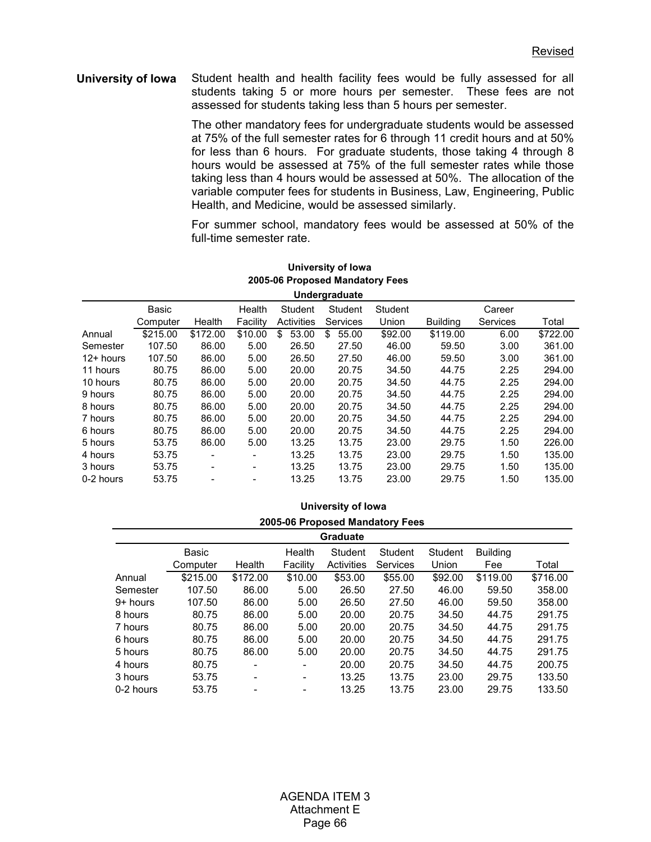#### **University of Iowa** Student health and health facility fees would be fully assessed for all students taking 5 or more hours per semester. These fees are not assessed for students taking less than 5 hours per semester.

 The other mandatory fees for undergraduate students would be assessed at 75% of the full semester rates for 6 through 11 credit hours and at 50% for less than 6 hours. For graduate students, those taking 4 through 8 hours would be assessed at 75% of the full semester rates while those taking less than 4 hours would be assessed at 50%. The allocation of the variable computer fees for students in Business, Law, Engineering, Public Health, and Medicine, would be assessed similarly.

For summer school, mandatory fees would be assessed at 50% of the full-time semester rate.

|             | <b>undergraduate</b> |          |                          |             |                 |         |                 |          |          |  |  |
|-------------|----------------------|----------|--------------------------|-------------|-----------------|---------|-----------------|----------|----------|--|--|
|             | Basic                |          | Health                   | Student     | Student         | Student |                 | Career   |          |  |  |
|             | Computer             | Health   | Facility                 | Activities  | <b>Services</b> | Union   | <b>Building</b> | Services | Total    |  |  |
| Annual      | \$215.00             | \$172.00 | \$10.00                  | 53.00<br>\$ | 55.00<br>\$     | \$92.00 | \$119.00        | 6.00     | \$722.00 |  |  |
| Semester    | 107.50               | 86.00    | 5.00                     | 26.50       | 27.50           | 46.00   | 59.50           | 3.00     | 361.00   |  |  |
| $12+$ hours | 107.50               | 86.00    | 5.00                     | 26.50       | 27.50           | 46.00   | 59.50           | 3.00     | 361.00   |  |  |
| 11 hours    | 80.75                | 86.00    | 5.00                     | 20.00       | 20.75           | 34.50   | 44.75           | 2.25     | 294.00   |  |  |
| 10 hours    | 80.75                | 86.00    | 5.00                     | 20.00       | 20.75           | 34.50   | 44.75           | 2.25     | 294.00   |  |  |
| 9 hours     | 80.75                | 86.00    | 5.00                     | 20.00       | 20.75           | 34.50   | 44.75           | 2.25     | 294.00   |  |  |
| 8 hours     | 80.75                | 86.00    | 5.00                     | 20.00       | 20.75           | 34.50   | 44.75           | 2.25     | 294.00   |  |  |
| 7 hours     | 80.75                | 86.00    | 5.00                     | 20.00       | 20.75           | 34.50   | 44.75           | 2.25     | 294.00   |  |  |
| 6 hours     | 80.75                | 86.00    | 5.00                     | 20.00       | 20.75           | 34.50   | 44.75           | 2.25     | 294.00   |  |  |
| 5 hours     | 53.75                | 86.00    | 5.00                     | 13.25       | 13.75           | 23.00   | 29.75           | 1.50     | 226.00   |  |  |
| 4 hours     | 53.75                |          |                          | 13.25       | 13.75           | 23.00   | 29.75           | 1.50     | 135.00   |  |  |
| 3 hours     | 53.75                |          | $\blacksquare$           | 13.25       | 13.75           | 23.00   | 29.75           | 1.50     | 135.00   |  |  |
| 0-2 hours   | 53.75                |          | $\overline{\phantom{a}}$ | 13.25       | 13.75           | 23.00   | 29.75           | 1.50     | 135.00   |  |  |

#### **University of Iowa 2005-06 Proposed Mandatory Fees Undergraduate**

#### **University of Iowa**

#### **2005-06 Proposed Mandatory Fees**

|            | <b>Graduate</b> |                          |          |            |                 |         |                 |          |  |  |  |  |
|------------|-----------------|--------------------------|----------|------------|-----------------|---------|-----------------|----------|--|--|--|--|
|            | Basic           |                          | Health   | Student    | Student         | Student | <b>Building</b> |          |  |  |  |  |
|            | Computer        | Health                   | Facility | Activities | <b>Services</b> | Union   | Fee             | Total    |  |  |  |  |
| Annual     | \$215.00        | \$172.00                 | \$10.00  | \$53.00    | \$55.00         | \$92.00 | \$119.00        | \$716.00 |  |  |  |  |
| Semester   | 107.50          | 86.00                    | 5.00     | 26.50      | 27.50           | 46.00   | 59.50           | 358.00   |  |  |  |  |
| $9+$ hours | 107.50          | 86.00                    | 5.00     | 26.50      | 27.50           | 46.00   | 59.50           | 358.00   |  |  |  |  |
| 8 hours    | 80.75           | 86.00                    | 5.00     | 20.00      | 20.75           | 34.50   | 44.75           | 291.75   |  |  |  |  |
| 7 hours    | 80.75           | 86.00                    | 5.00     | 20.00      | 20.75           | 34.50   | 44.75           | 291.75   |  |  |  |  |
| 6 hours    | 80.75           | 86.00                    | 5.00     | 20.00      | 20.75           | 34.50   | 44.75           | 291.75   |  |  |  |  |
| 5 hours    | 80.75           | 86.00                    | 5.00     | 20.00      | 20.75           | 34.50   | 44.75           | 291.75   |  |  |  |  |
| 4 hours    | 80.75           |                          |          | 20.00      | 20.75           | 34.50   | 44.75           | 200.75   |  |  |  |  |
| 3 hours    | 53.75           | $\overline{\phantom{0}}$ | ٠        | 13.25      | 13.75           | 23.00   | 29.75           | 133.50   |  |  |  |  |
| 0-2 hours  | 53.75           |                          | -        | 13.25      | 13.75           | 23.00   | 29.75           | 133.50   |  |  |  |  |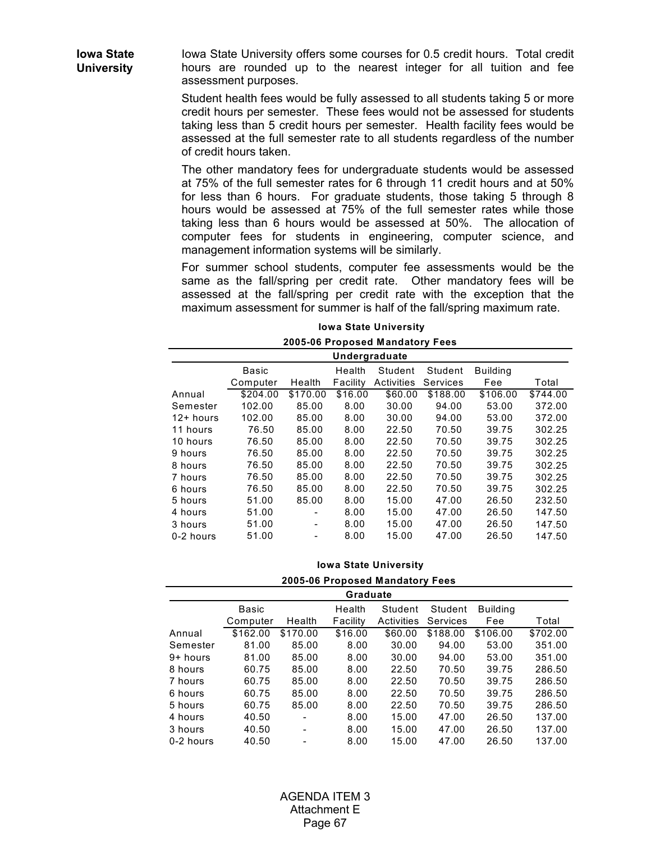**Iowa State University** Iowa State University offers some courses for 0.5 credit hours. Total credit hours are rounded up to the nearest integer for all tuition and fee assessment purposes.

> Student health fees would be fully assessed to all students taking 5 or more credit hours per semester. These fees would not be assessed for students taking less than 5 credit hours per semester. Health facility fees would be assessed at the full semester rate to all students regardless of the number of credit hours taken.

> The other mandatory fees for undergraduate students would be assessed at 75% of the full semester rates for 6 through 11 credit hours and at 50% for less than 6 hours. For graduate students, those taking 5 through 8 hours would be assessed at 75% of the full semester rates while those taking less than 6 hours would be assessed at 50%. The allocation of computer fees for students in engineering, computer science, and management information systems will be similarly.

> For summer school students, computer fee assessments would be the same as the fall/spring per credit rate. Other mandatory fees will be assessed at the fall/spring per credit rate with the exception that the maximum assessment for summer is half of the fall/spring maximum rate.

|               | 2005-06 Proposed Mandatory Fees |          |          |            |          |                 |          |  |  |  |  |  |
|---------------|---------------------------------|----------|----------|------------|----------|-----------------|----------|--|--|--|--|--|
| Undergraduate |                                 |          |          |            |          |                 |          |  |  |  |  |  |
|               | <b>Basic</b>                    |          | Health   | Student    | Student  | <b>Building</b> |          |  |  |  |  |  |
|               | Computer                        | Health   | Facility | Activities | Services | Fee             | Total    |  |  |  |  |  |
| Annual        | \$204.00                        | \$170.00 | \$16.00  | \$60.00    | \$188.00 | \$106.00        | \$744.00 |  |  |  |  |  |
| Semester      | 102.00                          | 85.00    | 8.00     | 30.00      | 94.00    | 53.00           | 372.00   |  |  |  |  |  |
| $12+$ hours   | 102.00                          | 85.00    | 8.00     | 30.00      | 94.00    | 53.00           | 372.00   |  |  |  |  |  |
| 11 hours      | 76.50                           | 85.00    | 8.00     | 22.50      | 70.50    | 39.75           | 302.25   |  |  |  |  |  |
| 10 hours      | 76.50                           | 85.00    | 8.00     | 22.50      | 70.50    | 39.75           | 302.25   |  |  |  |  |  |
| 9 hours       | 76.50                           | 85.00    | 8.00     | 22.50      | 70.50    | 39.75           | 302.25   |  |  |  |  |  |
| 8 hours       | 76.50                           | 85.00    | 8.00     | 22.50      | 70.50    | 39.75           | 302.25   |  |  |  |  |  |
| 7 hours       | 76.50                           | 85.00    | 8.00     | 22.50      | 70.50    | 39.75           | 302.25   |  |  |  |  |  |
| 6 hours       | 76.50                           | 85.00    | 8.00     | 22.50      | 70.50    | 39.75           | 302.25   |  |  |  |  |  |
| 5 hours       | 51.00                           | 85.00    | 8.00     | 15.00      | 47.00    | 26.50           | 232.50   |  |  |  |  |  |
| 4 hours       | 51.00                           |          | 8.00     | 15.00      | 47.00    | 26.50           | 147.50   |  |  |  |  |  |
| 3 hours       | 51.00                           |          | 8.00     | 15.00      | 47.00    | 26.50           | 147.50   |  |  |  |  |  |
| 0-2 hours     | 51.00                           |          | 8.00     | 15.00      | 47.00    | 26.50           | 147.50   |  |  |  |  |  |

**Iowa State University**

**Iowa State University**

**2005-06 Proposed Mandatory Fees** 

|            | Graduate |          |          |            |          |                 |          |  |  |  |  |  |
|------------|----------|----------|----------|------------|----------|-----------------|----------|--|--|--|--|--|
|            | Basic    |          | Health   | Student    | Student  | <b>Building</b> |          |  |  |  |  |  |
|            | Computer | Health   | Facility | Activities | Services | Fee             | Total    |  |  |  |  |  |
| Annual     | \$162.00 | \$170.00 | \$16.00  | \$60.00    | \$188.00 | \$106.00        | \$702.00 |  |  |  |  |  |
| Semester   | 81.00    | 85.00    | 8.00     | 30.00      | 94.00    | 53.00           | 351.00   |  |  |  |  |  |
| $9+$ hours | 81.00    | 85.00    | 8.00     | 30.00      | 94.00    | 53.00           | 351.00   |  |  |  |  |  |
| 8 hours    | 60.75    | 85.00    | 8.00     | 22.50      | 70.50    | 39.75           | 286.50   |  |  |  |  |  |
| 7 hours    | 60.75    | 85.00    | 8.00     | 22.50      | 70.50    | 39.75           | 286.50   |  |  |  |  |  |
| 6 hours    | 60.75    | 85.00    | 8.00     | 22.50      | 70.50    | 39.75           | 286.50   |  |  |  |  |  |
| 5 hours    | 60.75    | 85.00    | 8.00     | 22.50      | 70.50    | 39.75           | 286.50   |  |  |  |  |  |
| 4 hours    | 40.50    |          | 8.00     | 15.00      | 47.00    | 26.50           | 137.00   |  |  |  |  |  |
| 3 hours    | 40.50    | ۰        | 8.00     | 15.00      | 47.00    | 26.50           | 137.00   |  |  |  |  |  |
| 0-2 hours  | 40.50    |          | 8.00     | 15.00      | 47.00    | 26.50           | 137.00   |  |  |  |  |  |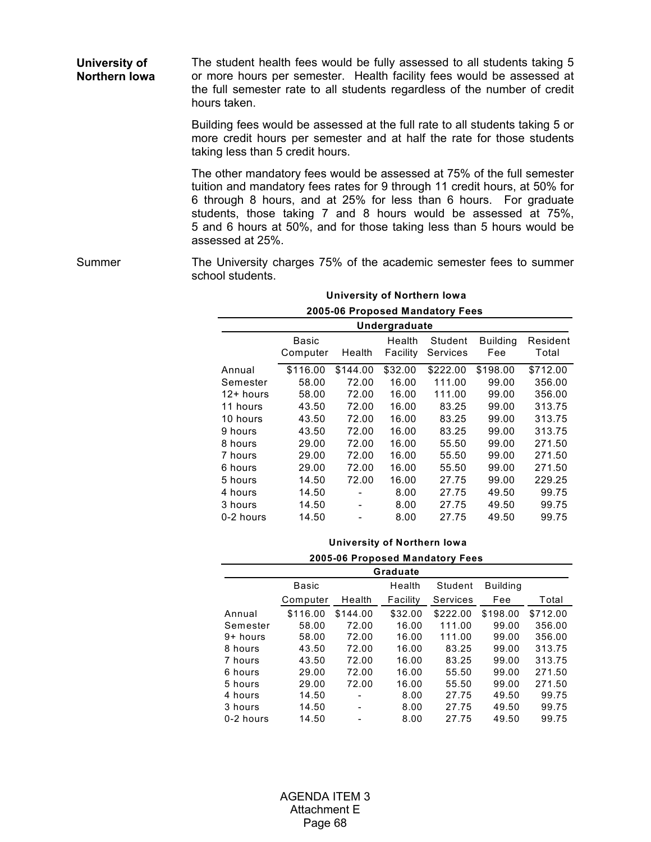**University of Northern Iowa** The student health fees would be fully assessed to all students taking 5 or more hours per semester. Health facility fees would be assessed at the full semester rate to all students regardless of the number of credit hours taken.

> Building fees would be assessed at the full rate to all students taking 5 or more credit hours per semester and at half the rate for those students taking less than 5 credit hours.

> The other mandatory fees would be assessed at 75% of the full semester tuition and mandatory fees rates for 9 through 11 credit hours, at 50% for 6 through 8 hours, and at 25% for less than 6 hours. For graduate students, those taking 7 and 8 hours would be assessed at 75%, 5 and 6 hours at 50%, and for those taking less than 5 hours would be assessed at 25%.

Summer The University charges 75% of the academic semester fees to summer school students.

| University of Northern Iowa     |  |  |
|---------------------------------|--|--|
| 2005-06 Proposed Mandatory Fees |  |  |

|           | Undergraduate |          |          |                 |                 |          |  |  |  |  |  |  |
|-----------|---------------|----------|----------|-----------------|-----------------|----------|--|--|--|--|--|--|
|           | <b>Basic</b>  |          | Health   | Student         | <b>Building</b> | Resident |  |  |  |  |  |  |
|           | Computer      | Health   | Facility | <b>Services</b> | Fee             | Total    |  |  |  |  |  |  |
| Annual    | \$116.00      | \$144.00 | \$32.00  | \$222.00        | \$198.00        | \$712.00 |  |  |  |  |  |  |
| Semester  | 58.00         | 72.00    | 16.00    | 111.00          | 99.00           | 356.00   |  |  |  |  |  |  |
| 12+ hours | 58.00         | 72.00    | 16.00    | 111.00          | 99.00           | 356.00   |  |  |  |  |  |  |
| 11 hours  | 43.50         | 72.00    | 16.00    | 83.25           | 99.00           | 313.75   |  |  |  |  |  |  |
| 10 hours  | 43.50         | 72.00    | 16.00    | 83.25           | 99.00           | 313.75   |  |  |  |  |  |  |
| 9 hours   | 43.50         | 72.00    | 16.00    | 83.25           | 99.00           | 313.75   |  |  |  |  |  |  |
| 8 hours   | 29.00         | 72.00    | 16.00    | 55.50           | 99.00           | 271.50   |  |  |  |  |  |  |
| 7 hours   | 29.00         | 72.00    | 16.00    | 55.50           | 99.00           | 271.50   |  |  |  |  |  |  |
| 6 hours   | 29.00         | 72.00    | 16.00    | 55.50           | 99.00           | 271.50   |  |  |  |  |  |  |
| 5 hours   | 14.50         | 72.00    | 16.00    | 27.75           | 99.00           | 229.25   |  |  |  |  |  |  |
| 4 hours   | 14.50         |          | 8.00     | 27.75           | 49.50           | 99.75    |  |  |  |  |  |  |
| 3 hours   | 14.50         |          | 8.00     | 27.75           | 49.50           | 99.75    |  |  |  |  |  |  |
| 0-2 hours | 14.50         |          | 8.00     | 27.75           | 49.50           | 99.75    |  |  |  |  |  |  |

|                 |                                        | University of Northern Iowa |          |          |                 |          |  |  |  |  |  |  |
|-----------------|----------------------------------------|-----------------------------|----------|----------|-----------------|----------|--|--|--|--|--|--|
|                 | <b>2005-06 Proposed Mandatory Fees</b> |                             |          |          |                 |          |  |  |  |  |  |  |
| <b>Graduate</b> |                                        |                             |          |          |                 |          |  |  |  |  |  |  |
|                 | Basic                                  |                             | Health   | Student  | <b>Building</b> |          |  |  |  |  |  |  |
|                 | Computer                               | Health                      | Facility | Services | Fee             | Total    |  |  |  |  |  |  |
| Annual          | \$116.00                               | \$144.00                    | \$32.00  | \$222.00 | \$198.00        | \$712.00 |  |  |  |  |  |  |
| Semester        | 58.00                                  | 72.00                       | 16.00    | 111.00   | 99.00           | 356.00   |  |  |  |  |  |  |
| 9+ hours        | 58.00                                  | 72.00                       | 16.00    | 111.00   | 99.00           | 356.00   |  |  |  |  |  |  |
| 8 hours         | 43.50                                  | 72.00                       | 16.00    | 83.25    | 99.00           | 313.75   |  |  |  |  |  |  |
| 7 hours         | 43.50                                  | 72.00                       | 16.00    | 83.25    | 99.00           | 313.75   |  |  |  |  |  |  |
| 6 hours         | 29.00                                  | 72.00                       | 16.00    | 55.50    | 99.00           | 271.50   |  |  |  |  |  |  |
| 5 hours         | 29.00                                  | 72.00                       | 16.00    | 55.50    | 99.00           | 271.50   |  |  |  |  |  |  |
| 4 hours         | 14.50                                  |                             | 8.00     | 27.75    | 49.50           | 99.75    |  |  |  |  |  |  |
| 3 hours         | 14.50                                  |                             | 8.00     | 27.75    | 49.50           | 99.75    |  |  |  |  |  |  |
| 0-2 hours       | 14.50                                  |                             | 8.00     | 27.75    | 49.50           | 99.75    |  |  |  |  |  |  |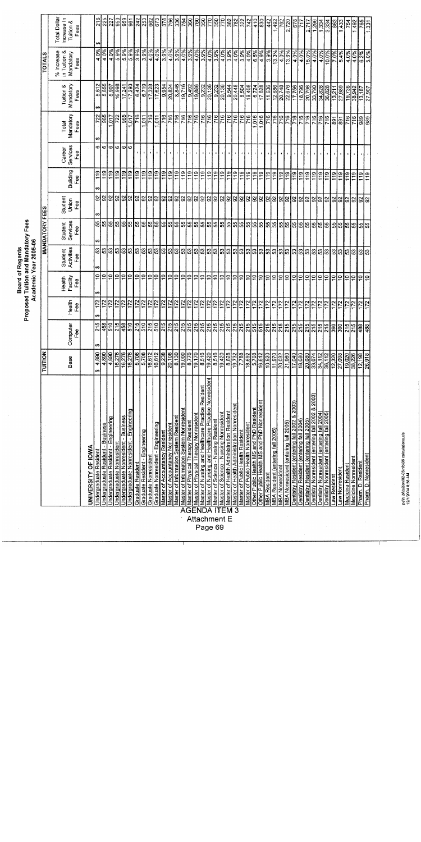|                                |                                                                                      | <b>TUITION</b>          |                             |                       |                           |                              | <b>MANDATORY FEES</b>      |              |                                      |                        |                   |                                      |                                         |                                  |
|--------------------------------|--------------------------------------------------------------------------------------|-------------------------|-----------------------------|-----------------------|---------------------------|------------------------------|----------------------------|--------------|--------------------------------------|------------------------|-------------------|--------------------------------------|-----------------------------------------|----------------------------------|
|                                |                                                                                      |                         |                             |                       |                           |                              |                            |              |                                      |                        |                   |                                      | <b>TOTALS</b>                           |                                  |
|                                |                                                                                      |                         |                             |                       |                           |                              |                            | Student      |                                      | Career                 | Total             |                                      | % Increase<br>in Tuition &<br>Mandatory | Total Dollar                     |
|                                |                                                                                      | Base                    | Computer<br>£ee             | Health<br>Fee         | Health<br>Facility<br>Fee | Student<br>Activities<br>Fee | Student<br>Services<br>Fee | Union<br>Fee | <b>Building</b><br>Fee               | <b>Services</b><br>Fee | Mandatory<br>Fees | Tuition &<br>Mandatory<br>Fees       |                                         | Increase In<br>Tuition &<br>Fees |
|                                | UNIVERSITY OF IOWA                                                                   |                         |                             |                       |                           |                              |                            |              |                                      |                        |                   |                                      |                                         |                                  |
|                                | <b>Undergraduate Resident</b>                                                        | 4,890<br>ŧθ             | 215<br>မာ                   | $\frac{172}{2}$<br>မှ | မာ                        | မာ                           | Ø                          | မာ           | $\frac{9}{119}$<br>$\leftrightarrow$ | ٥                      | 722<br>မာ         | 5,612<br>↮                           |                                         | ↮                                |
|                                | <b>Undergraduate Resident - Business</b>                                             | 4,890                   | 458                         | $\overline{172}$      | 히ㅎ                        | នៅន $ $                      |                            |              | $\frac{1}{1}$                        | ဖ                      | 965               | 5,855                                | $\frac{4.0\%}{4.0\%}$                   |                                  |
|                                | Undergraduate Resident - Engineering                                                 | 4,890                   | $\frac{1}{5}$               | 172                   | $\frac{1}{2}$             | 53                           |                            |              | $\frac{1}{1}$                        | $\circ$                | 60 <sub>1</sub>   | 5,907                                | 4.0%                                    |                                  |
|                                | Undergraduate Nonresident                                                            | 16,276                  | $\overline{215}$            | 172                   | $\frac{1}{2}$             | $\mathbb{S}$                 |                            |              | 119                                  | $\boldsymbol{\omega}$  | $\overline{72}$   | 16,998                               | 5.9%                                    | 950                              |
|                                | <b>Undergraduate Nonresident - Business</b>                                          | 16,276                  | 458                         | 172                   | $\overline{a}$            | S3                           |                            |              | 119                                  |                        | $\overline{965}$  | 17,241                               | 5.9%                                    | 959                              |
|                                | Undergraduate Nonresident - Engineering                                              | 16,276                  | 510                         | $\overline{12}$       | ∣≘                        | $\boldsymbol{53}$            |                            |              | $\frac{611}{2}$                      | ပေါ့                   | 1,017             | 17,293                               | 5.9%                                    |                                  |
|                                | Graduate Resident                                                                    | 5,708                   | 215                         | 172                   | $\overline{e}$            | $\overline{3}$               |                            |              | 119                                  |                        | $\overline{716}$  | 6,424                                | 3.9%                                    | 242                              |
|                                | Graduate Resident - Engineering                                                      | 5,708                   | 510                         | $\frac{172}{2}$       | ¦e                        | $\mathbb{S}^1$               |                            |              | 119                                  |                        | 1,011             | 6,719                                | 3.9%                                    |                                  |
|                                | <b>Graduate Nonresident</b>                                                          | 16,612                  | $\overline{215}$            | $\overline{172}$      | ¦≘                        |                              |                            |              | 119                                  |                        | 716               |                                      | 4.0%                                    | 662                              |
|                                | Graduate Nonresident - Engineering                                                   | 16,612                  | $\frac{5}{215}$             | 172                   | ¦ē                        | ន ន                          |                            |              | 119                                  |                        | 1,011             | $\frac{17,328}{17,623}$              | 4.0%                                    | 5                                |
|                                | <b>Master of Accountancy Resident</b>                                                | 9,238                   |                             | 172                   | ∣≘                        |                              |                            |              | $\frac{1}{1}$                        |                        | 716               | 9,954                                | 3.9%                                    |                                  |
|                                | Master of Accountancy Nonresident                                                    | 20,108                  | 215                         | 172                   | ٥,                        |                              |                            |              | 119                                  |                        | 716               | 20,824                               | 4.0%                                    |                                  |
|                                | Master of Information System Resident                                                | 8,130                   | ᆌ레                          | 172                   | $\frac{1}{2}$             |                              |                            |              | 119                                  |                        | 716               | 8,846                                | 3.9%                                    | 336                              |
|                                | Master of Information System Nonresident                                             | 19,000                  |                             | 172                   | ∣ุื่≘                     |                              |                            |              | 119                                  |                        | 716               | 19,716                               | 4.0%                                    | $\overline{54}$                  |
|                                | <b>Master of Physical Therapy Resident</b><br>Master of Physical Therapy Nonresident | 8,776                   |                             | 172                   | ļē                        |                              |                            |              | 119                                  |                        | 716               | 9,492                                | 3.9%                                    | 360                              |
|                                |                                                                                      | 19,170                  |                             | 172                   | ļā                        |                              |                            |              | $\frac{1}{1}$                        |                        | 716               | 19,886                               | 4.0%                                    | 760                              |
| <b>Attachment E</b><br>Page 69 | Master of Nursing and Healthcare Practice Resident<br><b>AGENDA</b>                  | $\frac{8,516}{19,420}$  | 215<br>215<br>215<br>215    | 172                   | ុី                        |                              |                            |              | 119                                  |                        | 716               | 9,232                                | 3.9%                                    | 350                              |
|                                | Master of Nursing and Healthcare Practice Nonresident                                |                         |                             | 172                   | 의의                        |                              |                            |              | 119                                  |                        | 716               | 20,136                               | 4.0%                                    | $\frac{0.7}{0}$                  |
|                                | Master of Science - Nursing Resident                                                 | 8,516                   |                             | 172                   |                           |                              |                            |              | 119                                  |                        |                   | 9,232                                |                                         | 350                              |
|                                | Master of Science - Nursing Nonresident                                              | 19,420                  | $\frac{215}{ }$             | $\frac{172}{2}$       | lal                       |                              |                            |              | $\frac{9}{17}$                       |                        | $\frac{16}{17}$   | 20,136                               |                                         | $\overline{770}$                 |
|                                | Master of Health Administration Resident<br>$\overline{EM3}$                         | 8,828                   | $\frac{15}{215}$            | 172                   | 의                         |                              |                            |              | 119                                  |                        | $\frac{16}{16}$   | 9,544                                |                                         |                                  |
|                                | <b>Master of Health Administration Nonresident</b>                                   | 19,732                  | $\overline{215}$            | 172                   | ∣≃                        |                              |                            |              | $\frac{1}{2}$                        |                        | 716               | 20,448                               |                                         | $\frac{362}{782}$                |
|                                | Master of Public Health Resident                                                     | 7,788                   | 215                         | 172                   | e                         |                              |                            |              | $\frac{9}{1}$                        |                        | $\frac{1}{7}$     | $\frac{8,504}{19,408}$               |                                         |                                  |
|                                | Master of Public Health Nonresident                                                  | 18,692                  | 215                         | 172                   | $\vert \mathsf{O} \vert$  |                              |                            |              | $\frac{9}{1}$                        |                        | $\frac{1}{716}$   |                                      |                                         | $\frac{322}{742}$                |
|                                | Other Public Health MS and PhD Resident                                              | 5,708                   | 515                         | 172                   | ļ5                        |                              |                            |              | $\overline{119}$                     |                        | 1,016             | 6,724                                | 6.5%                                    | 410                              |
|                                | Other Public Health MS and PhD Nonresident                                           | 16,612                  | $\frac{5}{15}$              | 172                   | ¦≑                        |                              |                            |              | $\frac{1}{1}$                        |                        | 1,016             | 17,628                               | 4.9%                                    | $\frac{80}{30}$                  |
|                                | <b>MBA Resident</b>                                                                  | 10,920                  | $\frac{15}{2}$              | 172                   | β                         |                              |                            |              | $\frac{1}{1}$                        |                        | $\frac{3}{7}$     | 11,636                               | ಹೆ<br> ಸ                                | $\frac{4}{3}$                    |
|                                | MBA Resident (entering fall 2005)                                                    | 11,970                  | 215                         | 172                   | ¦e                        |                              |                            |              | 119                                  |                        | $\frac{1}{716}$   | 12,686                               | 13.3%                                   |                                  |
|                                | <b>MBA Nonresident</b>                                                               | 20,032                  | $\overline{215}$            |                       | $\overline{\phantom{0}}$  |                              |                            |              | $\frac{1}{1}$                        |                        | 716               | 20,748                               | 4.0%                                    | 792                              |
|                                | MBA Nonresident (entering fall 2005                                                  | 21,960                  | $\overline{215}$            |                       | ٥,                        |                              |                            |              | $\frac{1}{10}$                       |                        | 716               | 22,676                               | $13.6\%$                                | 2.720                            |
|                                | 2003)<br>Dentistry Resident (entering fall 2002                                      | 17,040                  | 215                         |                       | ې                         |                              |                            | ଖଖଖଖଖଖଖ      | 119                                  |                        | $\frac{37}{16}$   | 17,756                               | $4.0\%$                                 | 678                              |
|                                | Dentistry Resident (entering fall 2004)                                              | 18,080                  | 215                         | 172                   | $\overline{a}$            |                              |                            |              | $\frac{1}{10}$                       |                        | 716               | 18,796                               | 4.0%                                    | $\frac{1}{717}$                  |
|                                | Dentistry Resident (entering fall 2005)                                              | 20,080                  | 215                         | 172                   | $\frac{1}{2}$             |                              |                            |              | $\frac{9}{10}$                       |                        | $\frac{1}{716}$   | 20,796                               | 15.0%                                   | 2,717                            |
|                                | Dentistry Nonresident (entering fall 2002 & 2003)                                    |                         | 215                         | 172                   | ő                         |                              |                            |              | 119                                  |                        | 1e<br>71e         | 33,790                               | 4.0%                                    | 1,296                            |
|                                | Dentistry Nonresident (entering fall 2004)                                           |                         | 215                         | 172                   | $\overline{10}$           |                              |                            | ଖ ଖ ଖ        | $\frac{9}{11}$                       |                        | $\frac{1}{716}$   | 34,828                               | $4.0\%$                                 | 1,334                            |
|                                | Dentistry Nonresident (entering fail 2005)                                           | $\frac{33.074}{39.112}$ | 215                         | 172                   | ē                         |                              |                            |              | 119                                  |                        | 716               | 36,828                               | 10.0%                                   | 3,334                            |
|                                | Law Resident                                                                         | 12,320                  | $\overline{\phantom{0}390}$ | 172                   | $\overline{a}$            |                              |                            |              | 119                                  |                        |                   | 13.211                               | 7.0%                                    | 863                              |
|                                | Law Nonresident                                                                      | 27,098                  | la<br>အျ                    | 172                   | $\overline{0}$            | ကြိုး                        | ြင်း                       | 읽읽           | 119                                  |                        | $\frac{25}{8}$    | 27,989                               | 64%                                     | $\frac{1}{433}$                  |
|                                | Medicine Resident                                                                    | 19,020                  | 215                         |                       | $\overline{ }$            |                              |                            |              | $\frac{1}{1}$                        |                        | 716               | 19,736                               |                                         | 754                              |
|                                | Medicine Nonresident                                                                 | 38,226                  | 215                         | 172                   | ő                         | នៅនៅន                        | នៅនៅនាន                    | ၶ ೫ ೫ ೫      | 119                                  |                        |                   |                                      | $\frac{4.0\%}{4.0\%}$                   | $\frac{1}{92}$                   |
|                                | Pham. D. Resident                                                                    | 12,198                  | 488                         | $\overline{172}$      | ă                         |                              |                            |              |                                      |                        | 686               | $\frac{36}{36}$<br>$\frac{342}{187}$ | $\frac{6.2%}{5.0%}$                     | $\frac{18}{25}$                  |
|                                | Pham. D. Nonresident                                                                 | 26.918                  |                             | 172                   | $\overline{e}$            |                              |                            |              | $\frac{1}{19}$                       |                        | lg                |                                      |                                         |                                  |

Board of Regents<br>Proposed Tuition and Mandatory Fees<br>Academic Year 2005-06

pe\n:\bf\tuition\02-03info\06 calculations.xls<br>12/1/2004 8:38 AM